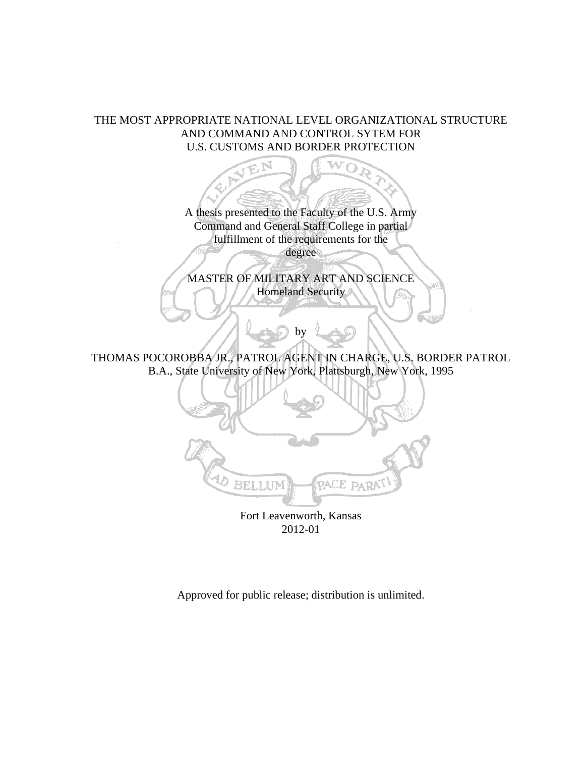# THE MOST APPROPRIATE NATIONAL LEVEL ORGANIZATIONAL STRUCTURE AND COMMAND AND CONTROL SYTEM FOR U.S. CUSTOMS AND BORDER PROTECTION



Approved for public release; distribution is unlimited.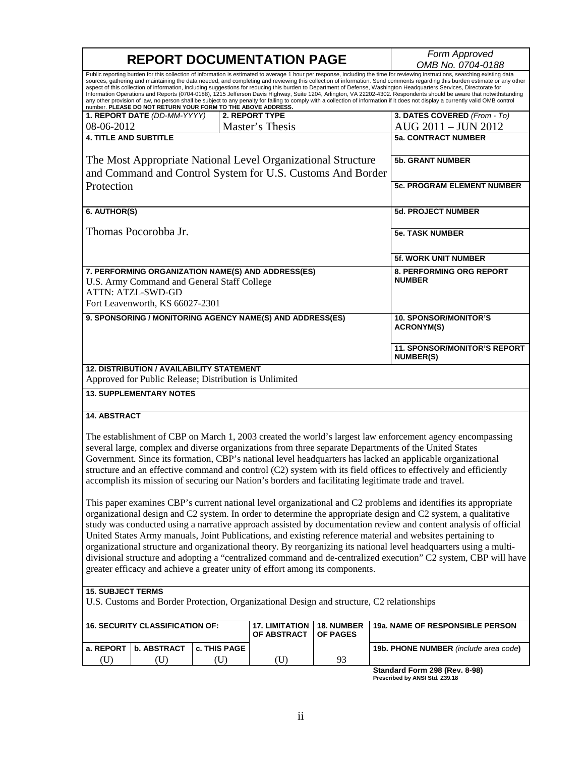|                                                                                                                                                                                                                                                                                                                                                                                                                                                                                                                                                                                                                                                                                                                                                                                                                                                                                                                                                                   | <b>REPORT DOCUMENTATION PAGE</b> | Form Approved     |                                                           |            |                                                                                                           |  |  |
|-------------------------------------------------------------------------------------------------------------------------------------------------------------------------------------------------------------------------------------------------------------------------------------------------------------------------------------------------------------------------------------------------------------------------------------------------------------------------------------------------------------------------------------------------------------------------------------------------------------------------------------------------------------------------------------------------------------------------------------------------------------------------------------------------------------------------------------------------------------------------------------------------------------------------------------------------------------------|----------------------------------|-------------------|-----------------------------------------------------------|------------|-----------------------------------------------------------------------------------------------------------|--|--|
|                                                                                                                                                                                                                                                                                                                                                                                                                                                                                                                                                                                                                                                                                                                                                                                                                                                                                                                                                                   |                                  | OMB No. 0704-0188 |                                                           |            |                                                                                                           |  |  |
| Public reporting burden for this collection of information is estimated to average 1 hour per response, including the time for reviewing instructions, searching existing data<br>sources, gathering and maintaining the data needed, and completing and reviewing this collection of information. Send comments regarding this burden estimate or any other<br>aspect of this collection of information, including suggestions for reducing this burden to Department of Defense, Washington Headquarters Services, Directorate for<br>Information Operations and Reports (0704-0188), 1215 Jefferson Davis Highway, Suite 1204, Arlington, VA 22202-4302. Respondents should be aware that notwithstanding<br>any other provision of law, no person shall be subject to any penalty for failing to comply with a collection of information if it does not display a currently valid OMB control<br>number. PLEASE DO NOT RETURN YOUR FORM TO THE ABOVE ADDRESS. |                                  |                   |                                                           |            |                                                                                                           |  |  |
|                                                                                                                                                                                                                                                                                                                                                                                                                                                                                                                                                                                                                                                                                                                                                                                                                                                                                                                                                                   | 1. REPORT DATE (DD-MM-YYYY)      |                   | 2. REPORT TYPE                                            |            | 3. DATES COVERED (From - To)                                                                              |  |  |
| 08-06-2012                                                                                                                                                                                                                                                                                                                                                                                                                                                                                                                                                                                                                                                                                                                                                                                                                                                                                                                                                        |                                  |                   | Master's Thesis                                           |            | AUG 2011 - JUN 2012                                                                                       |  |  |
| <b>4. TITLE AND SUBTITLE</b>                                                                                                                                                                                                                                                                                                                                                                                                                                                                                                                                                                                                                                                                                                                                                                                                                                                                                                                                      |                                  |                   |                                                           |            | <b>5a. CONTRACT NUMBER</b>                                                                                |  |  |
| The Most Appropriate National Level Organizational Structure<br>and Command and Control System for U.S. Customs And Border                                                                                                                                                                                                                                                                                                                                                                                                                                                                                                                                                                                                                                                                                                                                                                                                                                        |                                  |                   |                                                           |            | <b>5b. GRANT NUMBER</b>                                                                                   |  |  |
| Protection                                                                                                                                                                                                                                                                                                                                                                                                                                                                                                                                                                                                                                                                                                                                                                                                                                                                                                                                                        |                                  |                   |                                                           |            | 5c. PROGRAM ELEMENT NUMBER                                                                                |  |  |
| 6. AUTHOR(S)                                                                                                                                                                                                                                                                                                                                                                                                                                                                                                                                                                                                                                                                                                                                                                                                                                                                                                                                                      |                                  |                   |                                                           |            | <b>5d. PROJECT NUMBER</b>                                                                                 |  |  |
| Thomas Pocorobba Jr.                                                                                                                                                                                                                                                                                                                                                                                                                                                                                                                                                                                                                                                                                                                                                                                                                                                                                                                                              |                                  |                   |                                                           |            | <b>5e. TASK NUMBER</b>                                                                                    |  |  |
|                                                                                                                                                                                                                                                                                                                                                                                                                                                                                                                                                                                                                                                                                                                                                                                                                                                                                                                                                                   |                                  |                   |                                                           |            | <b>5f. WORK UNIT NUMBER</b>                                                                               |  |  |
| 7. PERFORMING ORGANIZATION NAME(S) AND ADDRESS(ES)<br>U.S. Army Command and General Staff College<br><b>ATTN: ATZL-SWD-GD</b><br>Fort Leavenworth, KS 66027-2301                                                                                                                                                                                                                                                                                                                                                                                                                                                                                                                                                                                                                                                                                                                                                                                                  |                                  |                   |                                                           |            | 8. PERFORMING ORG REPORT<br><b>NUMBER</b>                                                                 |  |  |
|                                                                                                                                                                                                                                                                                                                                                                                                                                                                                                                                                                                                                                                                                                                                                                                                                                                                                                                                                                   |                                  |                   |                                                           |            |                                                                                                           |  |  |
|                                                                                                                                                                                                                                                                                                                                                                                                                                                                                                                                                                                                                                                                                                                                                                                                                                                                                                                                                                   |                                  |                   | 9. SPONSORING / MONITORING AGENCY NAME(S) AND ADDRESS(ES) |            | <b>10. SPONSOR/MONITOR'S</b><br><b>ACRONYM(S)</b>                                                         |  |  |
|                                                                                                                                                                                                                                                                                                                                                                                                                                                                                                                                                                                                                                                                                                                                                                                                                                                                                                                                                                   |                                  |                   |                                                           |            | <b>11. SPONSOR/MONITOR'S REPORT</b><br><b>NUMBER(S)</b>                                                   |  |  |
| <b>12. DISTRIBUTION / AVAILABILITY STATEMENT</b><br>Approved for Public Release; Distribution is Unlimited                                                                                                                                                                                                                                                                                                                                                                                                                                                                                                                                                                                                                                                                                                                                                                                                                                                        |                                  |                   |                                                           |            |                                                                                                           |  |  |
|                                                                                                                                                                                                                                                                                                                                                                                                                                                                                                                                                                                                                                                                                                                                                                                                                                                                                                                                                                   | <b>13. SUPPLEMENTARY NOTES</b>   |                   |                                                           |            |                                                                                                           |  |  |
| <b>14. ABSTRACT</b>                                                                                                                                                                                                                                                                                                                                                                                                                                                                                                                                                                                                                                                                                                                                                                                                                                                                                                                                               |                                  |                   |                                                           |            |                                                                                                           |  |  |
|                                                                                                                                                                                                                                                                                                                                                                                                                                                                                                                                                                                                                                                                                                                                                                                                                                                                                                                                                                   |                                  |                   |                                                           |            | The establishment of CBP on March 1, 2003 created the world's largest law enforcement agency encompassing |  |  |
| several large, complex and diverse organizations from three separate Departments of the United States                                                                                                                                                                                                                                                                                                                                                                                                                                                                                                                                                                                                                                                                                                                                                                                                                                                             |                                  |                   |                                                           |            |                                                                                                           |  |  |
| Government. Since its formation, CBP's national level headquarters has lacked an applicable organizational<br>structure and an effective command and control (C2) system with its field offices to effectively and efficiently                                                                                                                                                                                                                                                                                                                                                                                                                                                                                                                                                                                                                                                                                                                                    |                                  |                   |                                                           |            |                                                                                                           |  |  |
|                                                                                                                                                                                                                                                                                                                                                                                                                                                                                                                                                                                                                                                                                                                                                                                                                                                                                                                                                                   |                                  |                   |                                                           |            | accomplish its mission of securing our Nation's borders and facilitating legitimate trade and travel.     |  |  |
| This paper examines CBP's current national level organizational and C2 problems and identifies its appropriate                                                                                                                                                                                                                                                                                                                                                                                                                                                                                                                                                                                                                                                                                                                                                                                                                                                    |                                  |                   |                                                           |            |                                                                                                           |  |  |
| organizational design and C2 system. In order to determine the appropriate design and C2 system, a qualitative                                                                                                                                                                                                                                                                                                                                                                                                                                                                                                                                                                                                                                                                                                                                                                                                                                                    |                                  |                   |                                                           |            |                                                                                                           |  |  |
| study was conducted using a narrative approach assisted by documentation review and content analysis of official                                                                                                                                                                                                                                                                                                                                                                                                                                                                                                                                                                                                                                                                                                                                                                                                                                                  |                                  |                   |                                                           |            |                                                                                                           |  |  |
| United States Army manuals, Joint Publications, and existing reference material and websites pertaining to                                                                                                                                                                                                                                                                                                                                                                                                                                                                                                                                                                                                                                                                                                                                                                                                                                                        |                                  |                   |                                                           |            |                                                                                                           |  |  |
| organizational structure and organizational theory. By reorganizing its national level headquarters using a multi-                                                                                                                                                                                                                                                                                                                                                                                                                                                                                                                                                                                                                                                                                                                                                                                                                                                |                                  |                   |                                                           |            |                                                                                                           |  |  |
| divisional structure and adopting a "centralized command and de-centralized execution" C2 system, CBP will have                                                                                                                                                                                                                                                                                                                                                                                                                                                                                                                                                                                                                                                                                                                                                                                                                                                   |                                  |                   |                                                           |            |                                                                                                           |  |  |
| greater efficacy and achieve a greater unity of effort among its components.                                                                                                                                                                                                                                                                                                                                                                                                                                                                                                                                                                                                                                                                                                                                                                                                                                                                                      |                                  |                   |                                                           |            |                                                                                                           |  |  |
| <b>15. SUBJECT TERMS</b>                                                                                                                                                                                                                                                                                                                                                                                                                                                                                                                                                                                                                                                                                                                                                                                                                                                                                                                                          |                                  |                   |                                                           |            |                                                                                                           |  |  |
| U.S. Customs and Border Protection, Organizational Design and structure, C2 relationships                                                                                                                                                                                                                                                                                                                                                                                                                                                                                                                                                                                                                                                                                                                                                                                                                                                                         |                                  |                   |                                                           |            |                                                                                                           |  |  |
| <b>16. SECURITY CLASSIFICATION OF:</b>                                                                                                                                                                                                                                                                                                                                                                                                                                                                                                                                                                                                                                                                                                                                                                                                                                                                                                                            |                                  |                   | <b>17. LIMITATION</b>                                     | 18. NUMBER | 19a. NAME OF RESPONSIBLE PERSON                                                                           |  |  |
|                                                                                                                                                                                                                                                                                                                                                                                                                                                                                                                                                                                                                                                                                                                                                                                                                                                                                                                                                                   |                                  |                   | OF ABSTRACT                                               | OF PAGES   |                                                                                                           |  |  |
| a. REPORT                                                                                                                                                                                                                                                                                                                                                                                                                                                                                                                                                                                                                                                                                                                                                                                                                                                                                                                                                         | <b>b. ABSTRACT</b>               | c. THIS PAGE      |                                                           |            | 19b. PHONE NUMBER (include area code)                                                                     |  |  |
| (U)                                                                                                                                                                                                                                                                                                                                                                                                                                                                                                                                                                                                                                                                                                                                                                                                                                                                                                                                                               | (U)                              | (U)               | (U)                                                       | 93         |                                                                                                           |  |  |

**Standard Form 298 (Rev. 8-98) Prescribed by ANSI Std. Z39.18**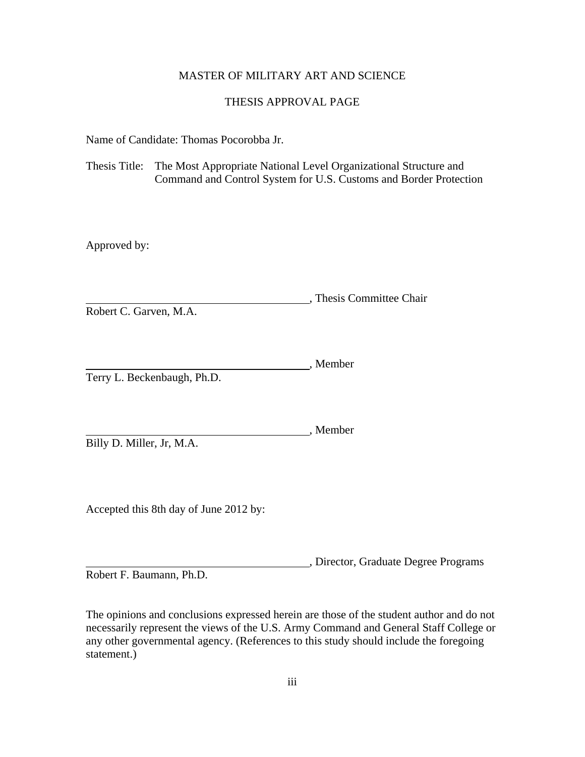## MASTER OF MILITARY ART AND SCIENCE

# THESIS APPROVAL PAGE

<span id="page-2-0"></span>Name of Candidate: Thomas Pocorobba Jr.

Thesis Title: The Most Appropriate National Level Organizational Structure and Command and Control System for U.S. Customs and Border Protection

Approved by:

, Thesis Committee Chair Robert C. Garven, M.A.

, Member Terry L. Beckenbaugh, Ph.D.

, Member

Billy D. Miller, Jr, M.A.

Accepted this 8th day of June 2012 by:

, Director, Graduate Degree Programs

Robert F. Baumann, Ph.D.

The opinions and conclusions expressed herein are those of the student author and do not necessarily represent the views of the U.S. Army Command and General Staff College or any other governmental agency. (References to this study should include the foregoing statement.)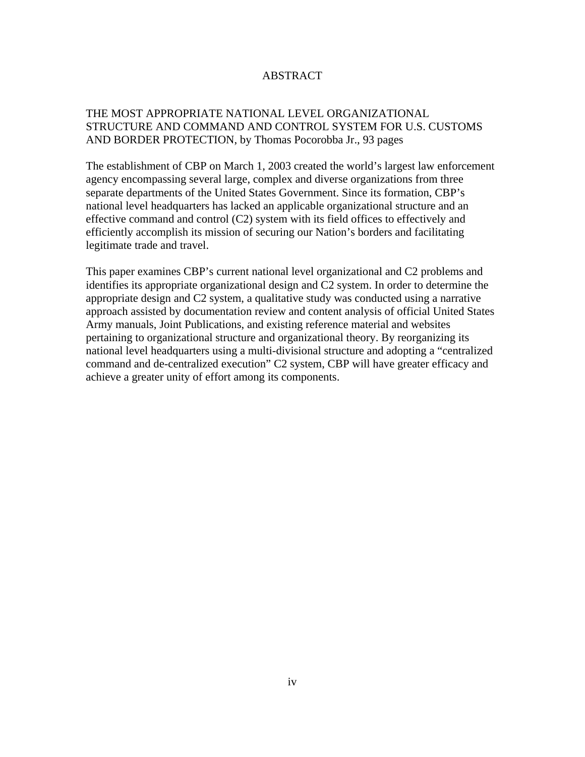## ABSTRACT

# <span id="page-3-0"></span>THE MOST APPROPRIATE NATIONAL LEVEL ORGANIZATIONAL STRUCTURE AND COMMAND AND CONTROL SYSTEM FOR U.S. CUSTOMS AND BORDER PROTECTION, by Thomas Pocorobba Jr., 93 pages

The establishment of CBP on March 1, 2003 created the world's largest law enforcement agency encompassing several large, complex and diverse organizations from three separate departments of the United States Government. Since its formation, CBP's national level headquarters has lacked an applicable organizational structure and an effective command and control (C2) system with its field offices to effectively and efficiently accomplish its mission of securing our Nation's borders and facilitating legitimate trade and travel.

This paper examines CBP's current national level organizational and C2 problems and identifies its appropriate organizational design and C2 system. In order to determine the appropriate design and C2 system, a qualitative study was conducted using a narrative approach assisted by documentation review and content analysis of official United States Army manuals, Joint Publications, and existing reference material and websites pertaining to organizational structure and organizational theory. By reorganizing its national level headquarters using a multi-divisional structure and adopting a "centralized command and de-centralized execution" C2 system, CBP will have greater efficacy and achieve a greater unity of effort among its components.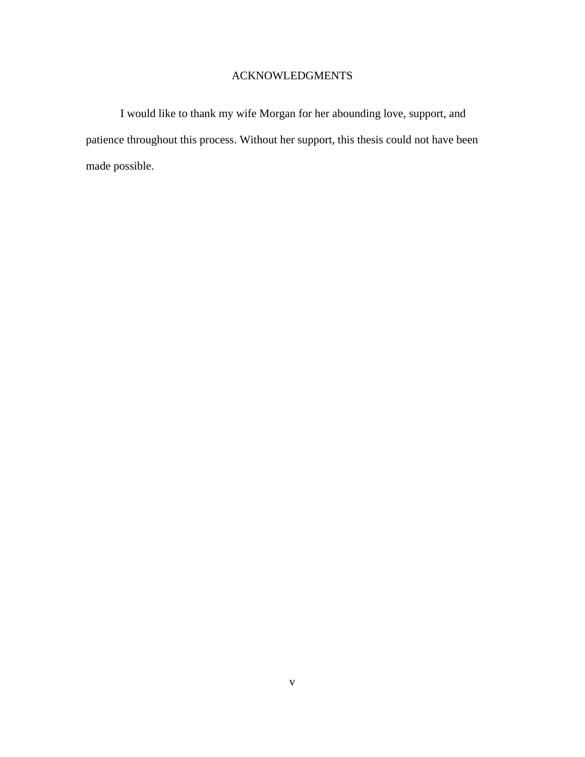### ACKNOWLEDGMENTS

<span id="page-4-0"></span>I would like to thank my wife Morgan for her abounding love, support, and patience throughout this process. Without her support, this thesis could not have been made possible.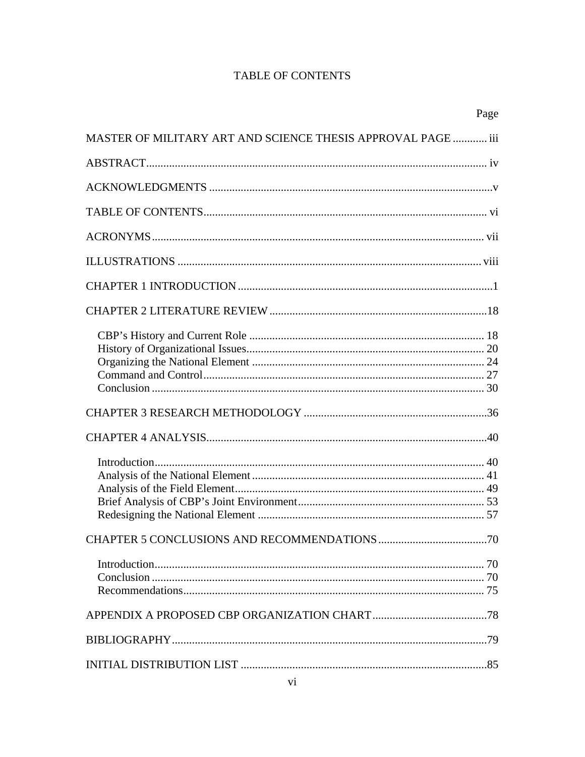# TABLE OF CONTENTS

|                                                              | Page |
|--------------------------------------------------------------|------|
| MASTER OF MILITARY ART AND SCIENCE THESIS APPROVAL PAGE  iii |      |
|                                                              |      |
|                                                              |      |
|                                                              |      |
|                                                              |      |
|                                                              |      |
|                                                              |      |
|                                                              |      |
|                                                              |      |
|                                                              |      |
|                                                              |      |
|                                                              |      |
|                                                              |      |
|                                                              |      |
|                                                              |      |
|                                                              |      |
|                                                              |      |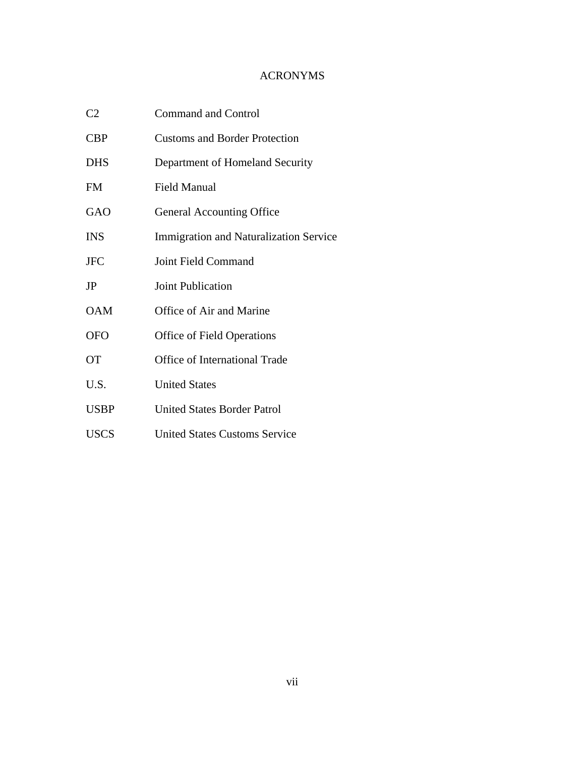# ACRONYMS

<span id="page-6-0"></span>

| C <sub>2</sub> | <b>Command and Control</b>                    |  |  |
|----------------|-----------------------------------------------|--|--|
| <b>CBP</b>     | <b>Customs and Border Protection</b>          |  |  |
| <b>DHS</b>     | Department of Homeland Security               |  |  |
| <b>FM</b>      | Field Manual                                  |  |  |
| <b>GAO</b>     | <b>General Accounting Office</b>              |  |  |
| <b>INS</b>     | <b>Immigration and Naturalization Service</b> |  |  |
| <b>JFC</b>     | Joint Field Command                           |  |  |
| JP             | Joint Publication                             |  |  |
| <b>OAM</b>     | Office of Air and Marine                      |  |  |
| <b>OFO</b>     | <b>Office of Field Operations</b>             |  |  |
| <b>OT</b>      | Office of International Trade                 |  |  |
| U.S.           | <b>United States</b>                          |  |  |
| <b>USBP</b>    | <b>United States Border Patrol</b>            |  |  |
| <b>USCS</b>    | <b>United States Customs Service</b>          |  |  |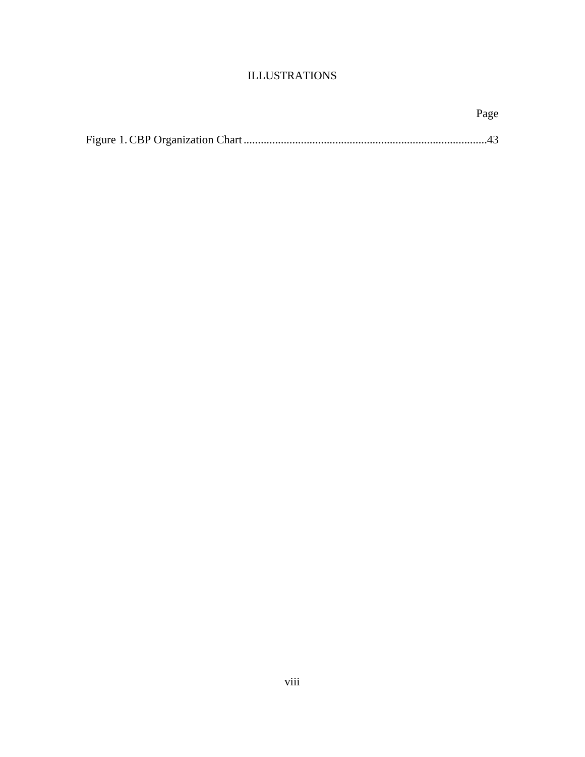# ILLUSTRATIONS

<span id="page-7-0"></span>

| Page |
|------|
|      |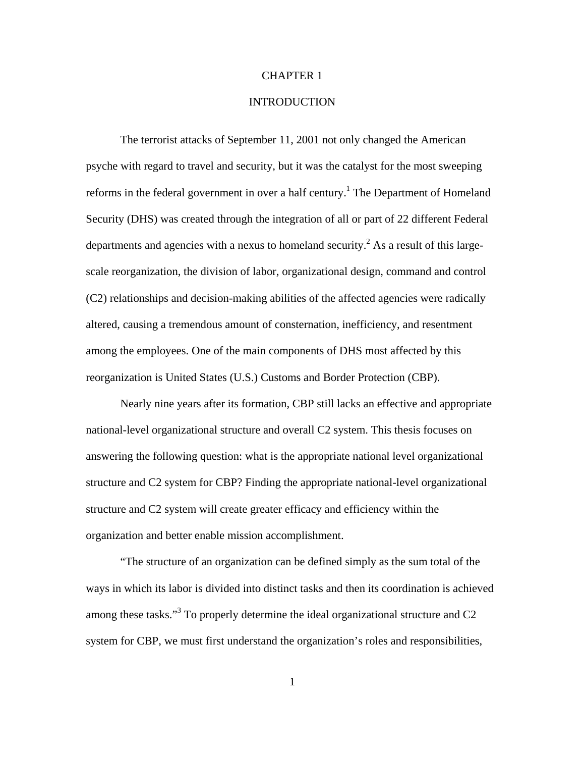#### CHAPTER 1

## INTRODUCTION

<span id="page-8-0"></span>The terrorist attacks of September 11, 2001 not only changed the American psyche with regard to travel and security, but it was the catalyst for the most sweeping reforms in the federal government in over a half century.<sup>1</sup> The Department of Homeland Security (DHS) was created through the integration of all or part of 22 different Federal departments and agencies with a nexus to homeland security.<sup>2</sup> As a result of this largescale reorganization, the division of labor, organizational design, command and control (C2) relationships and decision-making abilities of the affected agencies were radically altered, causing a tremendous amount of consternation, inefficiency, and resentment among the employees. One of the main components of DHS most affected by this reorganization is United States (U.S.) Customs and Border Protection (CBP).

Nearly nine years after its formation, CBP still lacks an effective and appropriate national-level organizational structure and overall C2 system. This thesis focuses on answering the following question: what is the appropriate national level organizational structure and C2 system for CBP? Finding the appropriate national-level organizational structure and C2 system will create greater efficacy and efficiency within the organization and better enable mission accomplishment.

"The structure of an organization can be defined simply as the sum total of the ways in which its labor is divided into distinct tasks and then its coordination is achieved among these tasks."<sup>3</sup> To properly determine the ideal organizational structure and C2 system for CBP, we must first understand the organization's roles and responsibilities,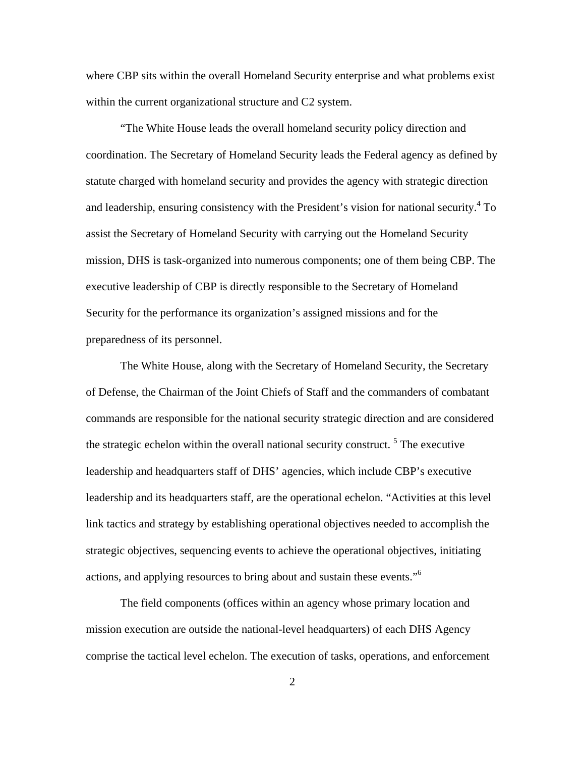where CBP sits within the overall Homeland Security enterprise and what problems exist within the current organizational structure and C2 system.

"The White House leads the overall homeland security policy direction and coordination. The Secretary of Homeland Security leads the Federal agency as defined by statute charged with homeland security and provides the agency with strategic direction and leadership, ensuring consistency with the President's vision for national security.<sup>4</sup> To assist the Secretary of Homeland Security with carrying out the Homeland Security mission, DHS is task-organized into numerous components; one of them being CBP. The executive leadership of CBP is directly responsible to the Secretary of Homeland Security for the performance its organization's assigned missions and for the preparedness of its personnel.

The White House, along with the Secretary of Homeland Security, the Secretary of Defense, the Chairman of the Joint Chiefs of Staff and the commanders of combatant commands are responsible for the national security strategic direction and are considered the strategic echelon within the overall national security construct.<sup>5</sup> The executive leadership and headquarters staff of DHS' agencies, which include CBP's executive leadership and its headquarters staff, are the operational echelon. "Activities at this level link tactics and strategy by establishing operational objectives needed to accomplish the strategic objectives, sequencing events to achieve the operational objectives, initiating actions, and applying resources to bring about and sustain these events."6

The field components (offices within an agency whose primary location and mission execution are outside the national-level headquarters) of each DHS Agency comprise the tactical level echelon. The execution of tasks, operations, and enforcement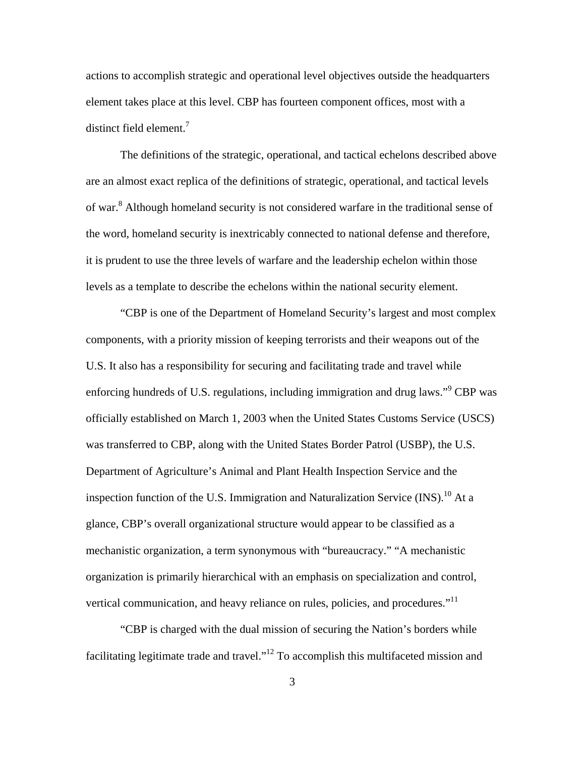actions to accomplish strategic and operational level objectives outside the headquarters element takes place at this level. CBP has fourteen component offices, most with a distinct field element.<sup>7</sup>

The definitions of the strategic, operational, and tactical echelons described above are an almost exact replica of the definitions of strategic, operational, and tactical levels of war.<sup>8</sup> Although homeland security is not considered warfare in the traditional sense of the word, homeland security is inextricably connected to national defense and therefore, it is prudent to use the three levels of warfare and the leadership echelon within those levels as a template to describe the echelons within the national security element.

"CBP is one of the Department of Homeland Security's largest and most complex components, with a priority mission of keeping terrorists and their weapons out of the U.S. It also has a responsibility for securing and facilitating trade and travel while enforcing hundreds of U.S. regulations, including immigration and drug laws."<sup>9</sup> CBP was officially established on March 1, 2003 when the United States Customs Service (USCS) was transferred to CBP, along with the United States Border Patrol (USBP), the U.S. Department of Agriculture's Animal and Plant Health Inspection Service and the inspection function of the U.S. Immigration and Naturalization Service  $(INS).<sup>10</sup>$  At a glance, CBP's overall organizational structure would appear to be classified as a mechanistic organization, a term synonymous with "bureaucracy." "A mechanistic organization is primarily hierarchical with an emphasis on specialization and control, vertical communication, and heavy reliance on rules, policies, and procedures."<sup>11</sup>

"CBP is charged with the dual mission of securing the Nation's borders while facilitating legitimate trade and travel."12 To accomplish this multifaceted mission and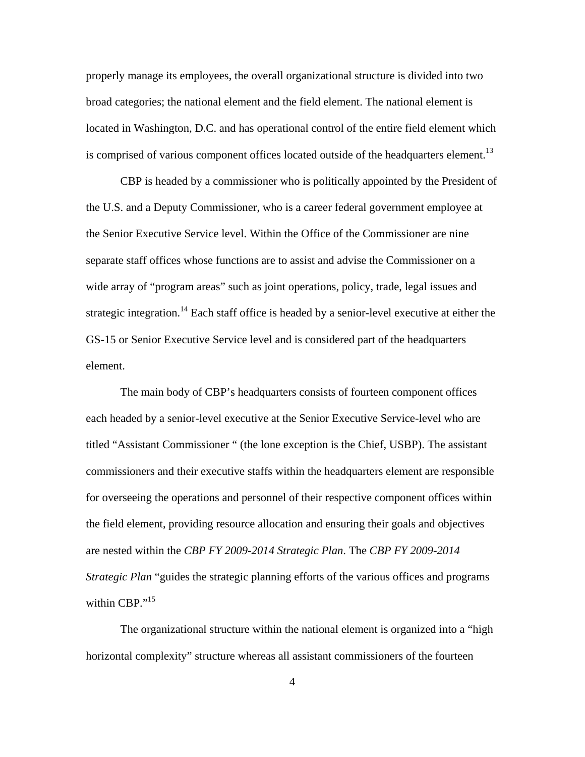properly manage its employees, the overall organizational structure is divided into two broad categories; the national element and the field element. The national element is located in Washington, D.C. and has operational control of the entire field element which is comprised of various component offices located outside of the headquarters element.<sup>13</sup>

CBP is headed by a commissioner who is politically appointed by the President of the U.S. and a Deputy Commissioner, who is a career federal government employee at the Senior Executive Service level. Within the Office of the Commissioner are nine separate staff offices whose functions are to assist and advise the Commissioner on a wide array of "program areas" such as joint operations, policy, trade, legal issues and strategic integration.<sup>14</sup> Each staff office is headed by a senior-level executive at either the GS-15 or Senior Executive Service level and is considered part of the headquarters element.

The main body of CBP's headquarters consists of fourteen component offices each headed by a senior-level executive at the Senior Executive Service-level who are titled "Assistant Commissioner " (the lone exception is the Chief, USBP). The assistant commissioners and their executive staffs within the headquarters element are responsible for overseeing the operations and personnel of their respective component offices within the field element, providing resource allocation and ensuring their goals and objectives are nested within the *CBP FY 2009-2014 Strategic Plan*. The *CBP FY 2009-2014 Strategic Plan* "guides the strategic planning efforts of the various offices and programs within CBP."<sup>15</sup>

The organizational structure within the national element is organized into a "high horizontal complexity" structure whereas all assistant commissioners of the fourteen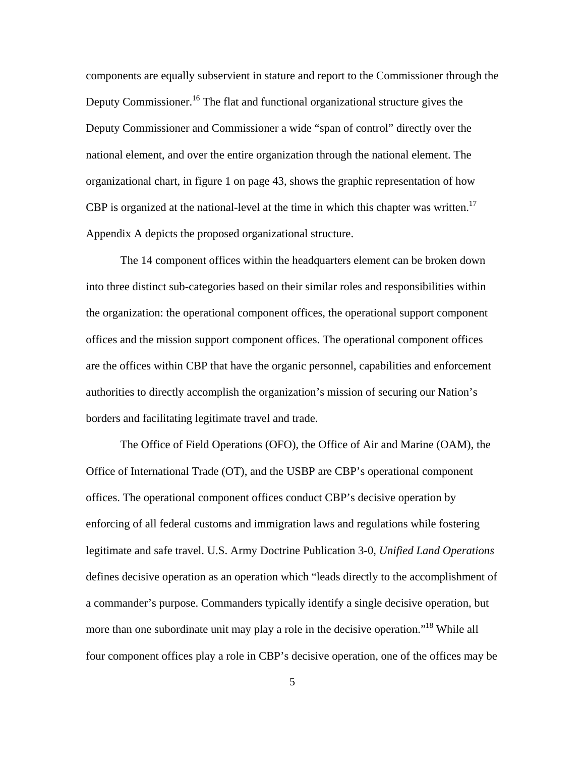components are equally subservient in stature and report to the Commissioner through the Deputy Commissioner.<sup>16</sup> The flat and functional organizational structure gives the Deputy Commissioner and Commissioner a wide "span of control" directly over the national element, and over the entire organization through the national element. The organizational chart, in figure 1 on page 43, shows the graphic representation of how CBP is organized at the national-level at the time in which this chapter was written.<sup>17</sup> Appendix A depicts the proposed organizational structure.

The 14 component offices within the headquarters element can be broken down into three distinct sub-categories based on their similar roles and responsibilities within the organization: the operational component offices, the operational support component offices and the mission support component offices. The operational component offices are the offices within CBP that have the organic personnel, capabilities and enforcement authorities to directly accomplish the organization's mission of securing our Nation's borders and facilitating legitimate travel and trade.

The Office of Field Operations (OFO), the Office of Air and Marine (OAM), the Office of International Trade (OT), and the USBP are CBP's operational component offices. The operational component offices conduct CBP's decisive operation by enforcing of all federal customs and immigration laws and regulations while fostering legitimate and safe travel. U.S. Army Doctrine Publication 3-0, *Unified Land Operations*  defines decisive operation as an operation which "leads directly to the accomplishment of a commander's purpose. Commanders typically identify a single decisive operation, but more than one subordinate unit may play a role in the decisive operation."<sup>18</sup> While all four component offices play a role in CBP's decisive operation, one of the offices may be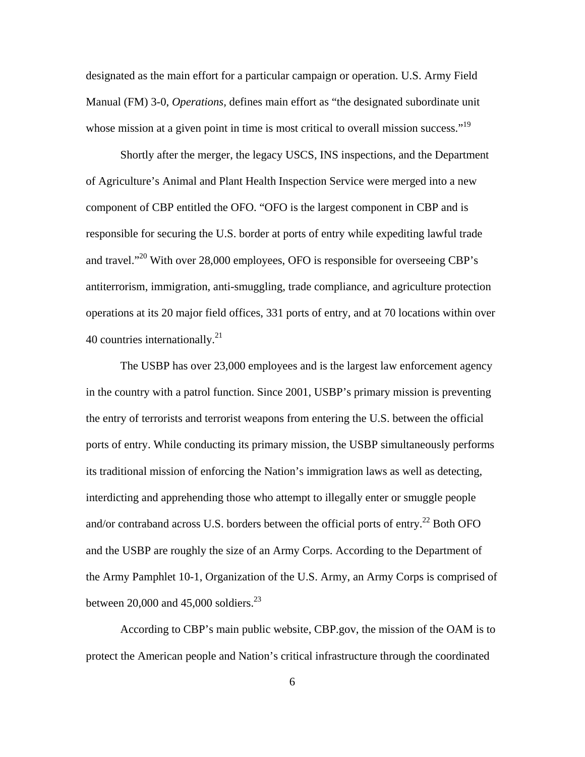designated as the main effort for a particular campaign or operation. U.S. Army Field Manual (FM) 3-0, *Operations,* defines main effort as "the designated subordinate unit whose mission at a given point in time is most critical to overall mission success."<sup>19</sup>

Shortly after the merger, the legacy USCS, INS inspections, and the Department of Agriculture's Animal and Plant Health Inspection Service were merged into a new component of CBP entitled the OFO. "OFO is the largest component in CBP and is responsible for securing the U.S. border at ports of entry while expediting lawful trade and travel."20 With over 28,000 employees, OFO is responsible for overseeing CBP's antiterrorism, immigration, anti-smuggling, trade compliance, and agriculture protection operations at its 20 major field offices, 331 ports of entry, and at 70 locations within over 40 countries internationally.<sup>21</sup>

The USBP has over 23,000 employees and is the largest law enforcement agency in the country with a patrol function. Since 2001, USBP's primary mission is preventing the entry of terrorists and terrorist weapons from entering the U.S. between the official ports of entry. While conducting its primary mission, the USBP simultaneously performs its traditional mission of enforcing the Nation's immigration laws as well as detecting, interdicting and apprehending those who attempt to illegally enter or smuggle people and/or contraband across U.S. borders between the official ports of entry.<sup>22</sup> Both OFO and the USBP are roughly the size of an Army Corps. According to the Department of the Army Pamphlet 10-1, Organization of the U.S. Army, an Army Corps is comprised of between 20,000 and 45,000 soldiers. $^{23}$ 

According to CBP's main public website, CBP.gov, the mission of the OAM is to protect the American people and Nation's critical infrastructure through the coordinated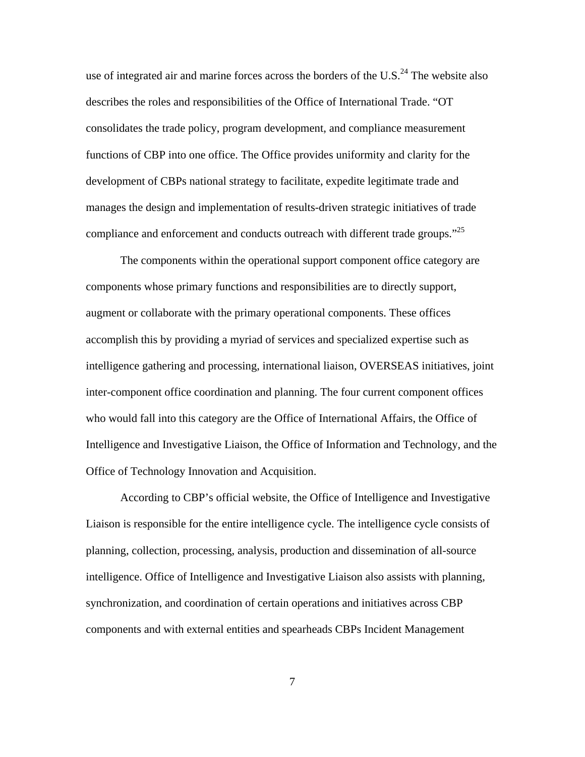use of integrated air and marine forces across the borders of the U.S.<sup>24</sup> The website also describes the roles and responsibilities of the Office of International Trade. "OT consolidates the trade policy, program development, and compliance measurement functions of CBP into one office. The Office provides uniformity and clarity for the development of CBPs national strategy to facilitate, expedite legitimate trade and manages the design and implementation of results-driven strategic initiatives of trade compliance and enforcement and conducts outreach with different trade groups."<sup>25</sup>

The components within the operational support component office category are components whose primary functions and responsibilities are to directly support, augment or collaborate with the primary operational components. These offices accomplish this by providing a myriad of services and specialized expertise such as intelligence gathering and processing, international liaison, OVERSEAS initiatives, joint inter-component office coordination and planning. The four current component offices who would fall into this category are the Office of International Affairs, the Office of Intelligence and Investigative Liaison, the Office of Information and Technology, and the Office of Technology Innovation and Acquisition.

According to CBP's official website, the Office of Intelligence and Investigative Liaison is responsible for the entire intelligence cycle. The intelligence cycle consists of planning, collection, processing, analysis, production and dissemination of all-source intelligence. Office of Intelligence and Investigative Liaison also assists with planning, synchronization, and coordination of certain operations and initiatives across CBP components and with external entities and spearheads CBPs Incident Management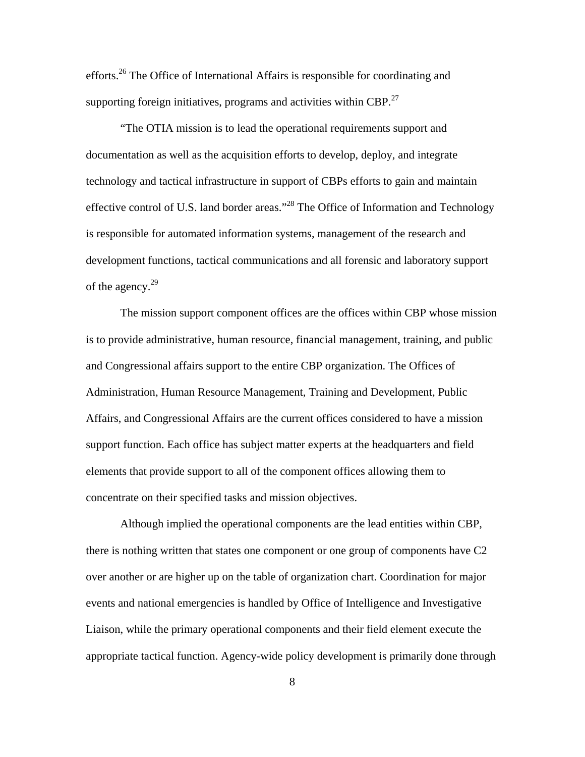efforts.26 The Office of International Affairs is responsible for coordinating and supporting foreign initiatives, programs and activities within CBP.<sup>27</sup>

"The OTIA mission is to lead the operational requirements support and documentation as well as the acquisition efforts to develop, deploy, and integrate technology and tactical infrastructure in support of CBPs efforts to gain and maintain effective control of U.S. land border areas."28 The Office of Information and Technology is responsible for automated information systems, management of the research and development functions, tactical communications and all forensic and laboratory support of the agency.<sup>29</sup>

The mission support component offices are the offices within CBP whose mission is to provide administrative, human resource, financial management, training, and public and Congressional affairs support to the entire CBP organization. The Offices of Administration, Human Resource Management, Training and Development, Public Affairs, and Congressional Affairs are the current offices considered to have a mission support function. Each office has subject matter experts at the headquarters and field elements that provide support to all of the component offices allowing them to concentrate on their specified tasks and mission objectives.

Although implied the operational components are the lead entities within CBP, there is nothing written that states one component or one group of components have C2 over another or are higher up on the table of organization chart. Coordination for major events and national emergencies is handled by Office of Intelligence and Investigative Liaison, while the primary operational components and their field element execute the appropriate tactical function. Agency-wide policy development is primarily done through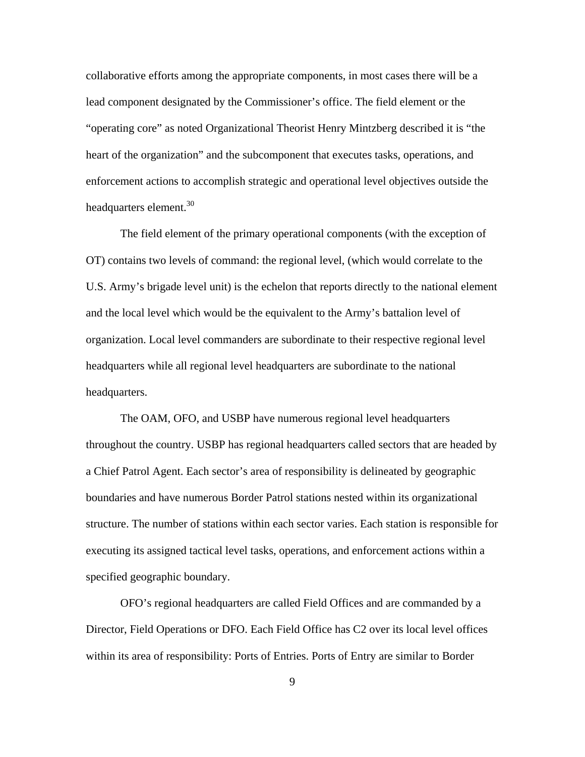collaborative efforts among the appropriate components, in most cases there will be a lead component designated by the Commissioner's office. The field element or the "operating core" as noted Organizational Theorist Henry Mintzberg described it is "the heart of the organization" and the subcomponent that executes tasks, operations, and enforcement actions to accomplish strategic and operational level objectives outside the headquarters element.<sup>30</sup>

The field element of the primary operational components (with the exception of OT) contains two levels of command: the regional level, (which would correlate to the U.S. Army's brigade level unit) is the echelon that reports directly to the national element and the local level which would be the equivalent to the Army's battalion level of organization. Local level commanders are subordinate to their respective regional level headquarters while all regional level headquarters are subordinate to the national headquarters.

The OAM, OFO, and USBP have numerous regional level headquarters throughout the country. USBP has regional headquarters called sectors that are headed by a Chief Patrol Agent. Each sector's area of responsibility is delineated by geographic boundaries and have numerous Border Patrol stations nested within its organizational structure. The number of stations within each sector varies. Each station is responsible for executing its assigned tactical level tasks, operations, and enforcement actions within a specified geographic boundary.

OFO's regional headquarters are called Field Offices and are commanded by a Director, Field Operations or DFO. Each Field Office has C2 over its local level offices within its area of responsibility: Ports of Entries. Ports of Entry are similar to Border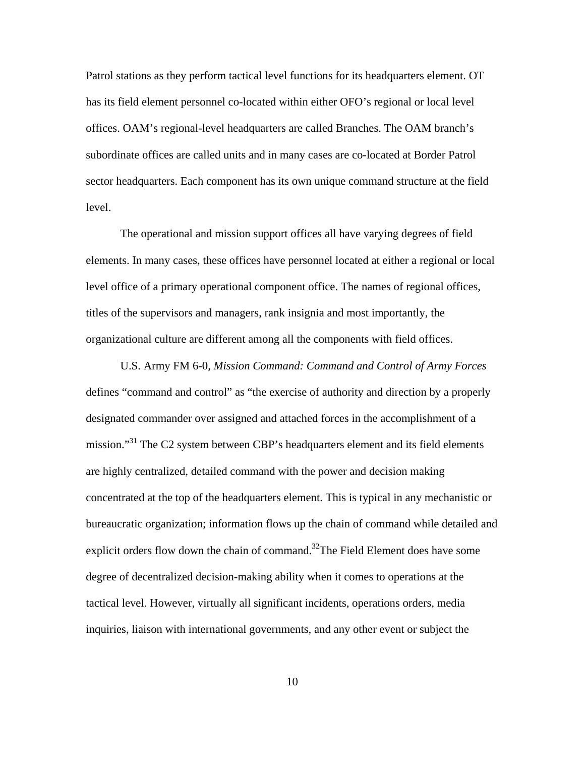Patrol stations as they perform tactical level functions for its headquarters element. OT has its field element personnel co-located within either OFO's regional or local level offices. OAM's regional-level headquarters are called Branches. The OAM branch's subordinate offices are called units and in many cases are co-located at Border Patrol sector headquarters. Each component has its own unique command structure at the field level.

The operational and mission support offices all have varying degrees of field elements. In many cases, these offices have personnel located at either a regional or local level office of a primary operational component office. The names of regional offices, titles of the supervisors and managers, rank insignia and most importantly, the organizational culture are different among all the components with field offices.

U.S. Army FM 6-0, *Mission Command: Command and Control of Army Forces*  defines "command and control" as "the exercise of authority and direction by a properly designated commander over assigned and attached forces in the accomplishment of a mission."<sup>31</sup> The C2 system between CBP's headquarters element and its field elements are highly centralized, detailed command with the power and decision making concentrated at the top of the headquarters element. This is typical in any mechanistic or bureaucratic organization; information flows up the chain of command while detailed and explicit orders flow down the chain of command.<sup>32</sup>The Field Element does have some degree of decentralized decision-making ability when it comes to operations at the tactical level. However, virtually all significant incidents, operations orders, media inquiries, liaison with international governments, and any other event or subject the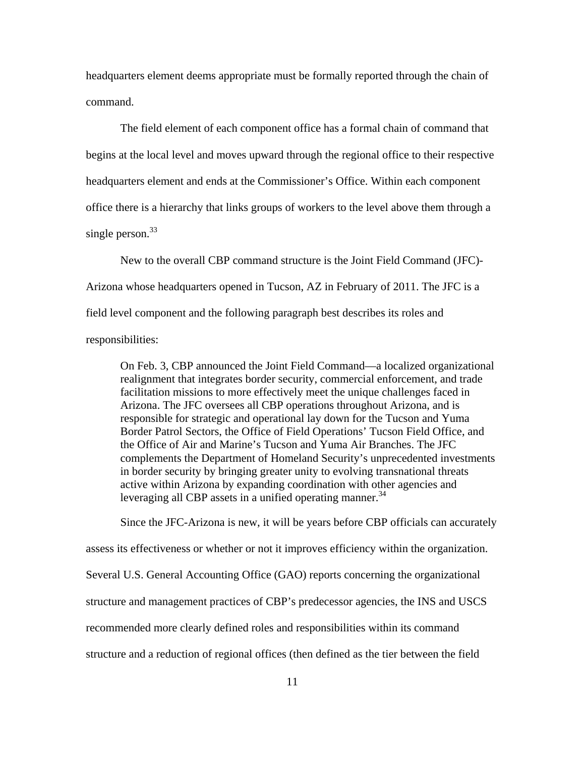headquarters element deems appropriate must be formally reported through the chain of command.

The field element of each component office has a formal chain of command that begins at the local level and moves upward through the regional office to their respective headquarters element and ends at the Commissioner's Office. Within each component office there is a hierarchy that links groups of workers to the level above them through a single person.<sup>33</sup>

New to the overall CBP command structure is the Joint Field Command (JFC) Arizona whose headquarters opened in Tucson, AZ in February of 2011. The JFC is a field level component and the following paragraph best describes its roles and responsibilities:

On Feb. 3, CBP announced the Joint Field Command—a localized organizational realignment that integrates border security, commercial enforcement, and trade facilitation missions to more effectively meet the unique challenges faced in Arizona. The JFC oversees all CBP operations throughout Arizona, and is responsible for strategic and operational lay down for the Tucson and Yuma Border Patrol Sectors, the Office of Field Operations' Tucson Field Office, and the Office of Air and Marine's Tucson and Yuma Air Branches. The JFC complements the Department of Homeland Security's unprecedented investments in border security by bringing greater unity to evolving transnational threats active within Arizona by expanding coordination with other agencies and leveraging all CBP assets in a unified operating manner.<sup>34</sup>

Since the JFC-Arizona is new, it will be years before CBP officials can accurately

assess its effectiveness or whether or not it improves efficiency within the organization.

Several U.S. General Accounting Office (GAO) reports concerning the organizational

structure and management practices of CBP's predecessor agencies, the INS and USCS

recommended more clearly defined roles and responsibilities within its command

structure and a reduction of regional offices (then defined as the tier between the field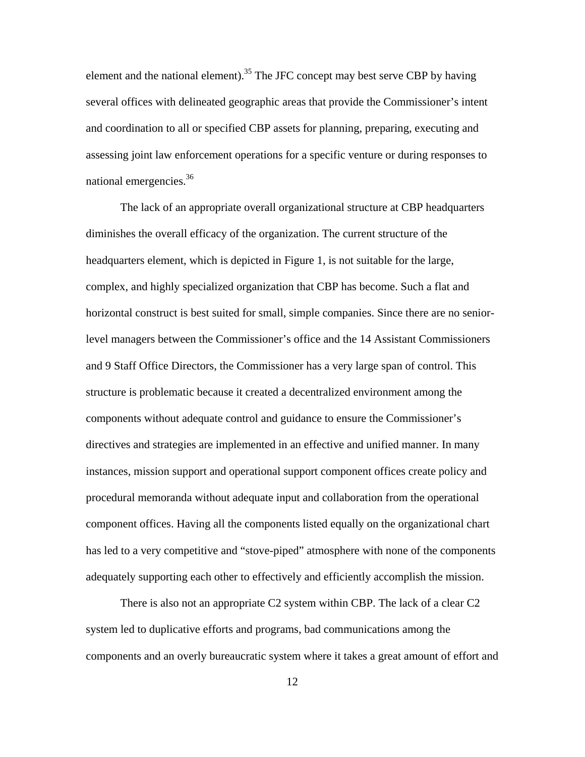element and the national element).<sup>35</sup> The JFC concept may best serve CBP by having several offices with delineated geographic areas that provide the Commissioner's intent and coordination to all or specified CBP assets for planning, preparing, executing and assessing joint law enforcement operations for a specific venture or during responses to national emergencies.36

The lack of an appropriate overall organizational structure at CBP headquarters diminishes the overall efficacy of the organization. The current structure of the headquarters element, which is depicted in Figure 1, is not suitable for the large, complex, and highly specialized organization that CBP has become. Such a flat and horizontal construct is best suited for small, simple companies. Since there are no seniorlevel managers between the Commissioner's office and the 14 Assistant Commissioners and 9 Staff Office Directors, the Commissioner has a very large span of control. This structure is problematic because it created a decentralized environment among the components without adequate control and guidance to ensure the Commissioner's directives and strategies are implemented in an effective and unified manner. In many instances, mission support and operational support component offices create policy and procedural memoranda without adequate input and collaboration from the operational component offices. Having all the components listed equally on the organizational chart has led to a very competitive and "stove-piped" atmosphere with none of the components adequately supporting each other to effectively and efficiently accomplish the mission.

There is also not an appropriate C2 system within CBP. The lack of a clear C2 system led to duplicative efforts and programs, bad communications among the components and an overly bureaucratic system where it takes a great amount of effort and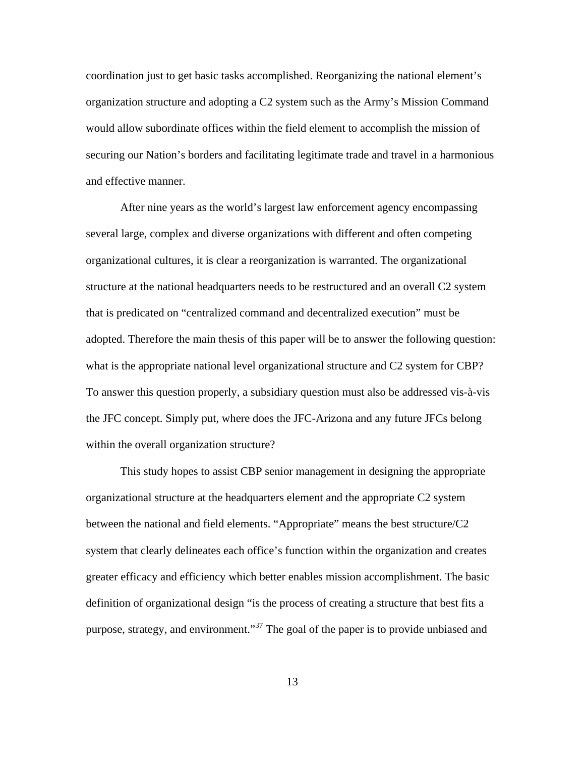coordination just to get basic tasks accomplished. Reorganizing the national element's organization structure and adopting a C2 system such as the Army's Mission Command would allow subordinate offices within the field element to accomplish the mission of securing our Nation's borders and facilitating legitimate trade and travel in a harmonious and effective manner.

After nine years as the world's largest law enforcement agency encompassing several large, complex and diverse organizations with different and often competing organizational cultures, it is clear a reorganization is warranted. The organizational structure at the national headquarters needs to be restructured and an overall C2 system that is predicated on "centralized command and decentralized execution" must be adopted. Therefore the main thesis of this paper will be to answer the following question: what is the appropriate national level organizational structure and C2 system for CBP? To answer this question properly, a subsidiary question must also be addressed vis-à-vis the JFC concept. Simply put, where does the JFC-Arizona and any future JFCs belong within the overall organization structure?

This study hopes to assist CBP senior management in designing the appropriate organizational structure at the headquarters element and the appropriate C2 system between the national and field elements. "Appropriate" means the best structure/C2 system that clearly delineates each office's function within the organization and creates greater efficacy and efficiency which better enables mission accomplishment. The basic definition of organizational design "is the process of creating a structure that best fits a purpose, strategy, and environment."<sup>37</sup> The goal of the paper is to provide unbiased and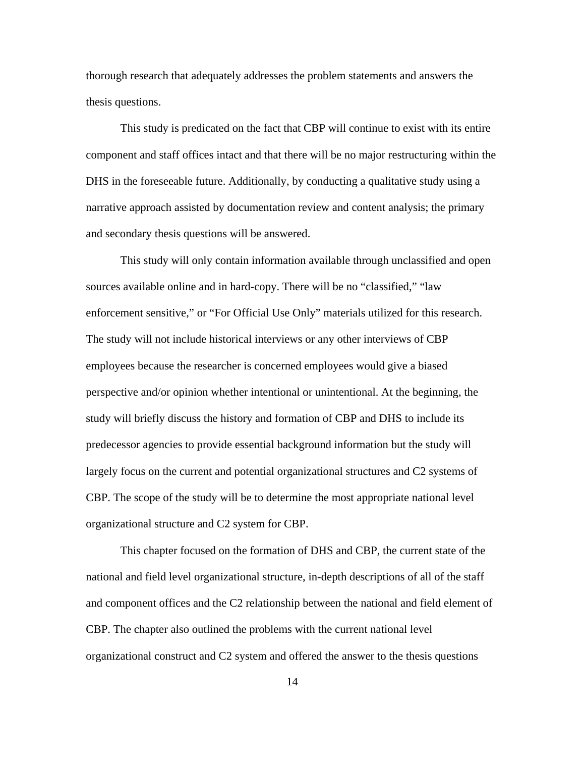thorough research that adequately addresses the problem statements and answers the thesis questions.

This study is predicated on the fact that CBP will continue to exist with its entire component and staff offices intact and that there will be no major restructuring within the DHS in the foreseeable future. Additionally, by conducting a qualitative study using a narrative approach assisted by documentation review and content analysis; the primary and secondary thesis questions will be answered.

This study will only contain information available through unclassified and open sources available online and in hard-copy. There will be no "classified," "law enforcement sensitive," or "For Official Use Only" materials utilized for this research. The study will not include historical interviews or any other interviews of CBP employees because the researcher is concerned employees would give a biased perspective and/or opinion whether intentional or unintentional. At the beginning, the study will briefly discuss the history and formation of CBP and DHS to include its predecessor agencies to provide essential background information but the study will largely focus on the current and potential organizational structures and C2 systems of CBP. The scope of the study will be to determine the most appropriate national level organizational structure and C2 system for CBP.

This chapter focused on the formation of DHS and CBP, the current state of the national and field level organizational structure, in-depth descriptions of all of the staff and component offices and the C2 relationship between the national and field element of CBP. The chapter also outlined the problems with the current national level organizational construct and C2 system and offered the answer to the thesis questions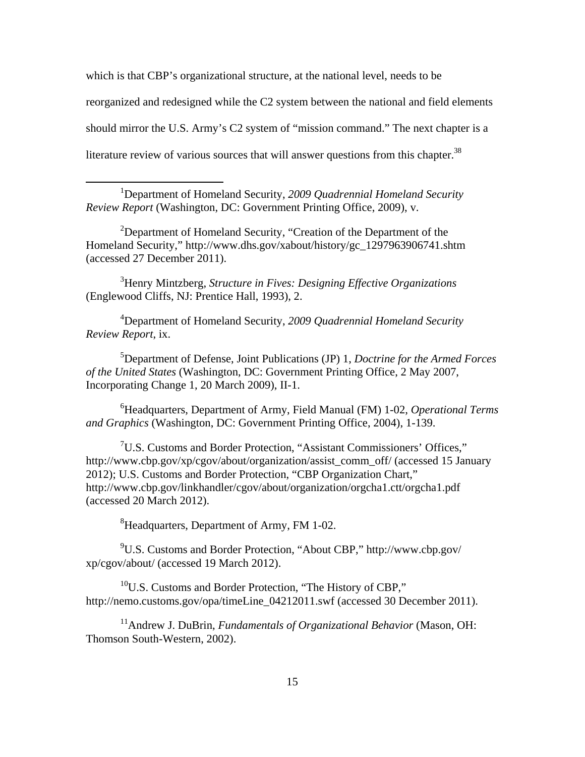which is that CBP's organizational structure, at the national level, needs to be reorganized and redesigned while the C2 system between the national and field elements should mirror the U.S. Army's C2 system of "mission command." The next chapter is a literature review of various sources that will answer questions from this chapter.<sup>38</sup>

<sup>1</sup>Department of Homeland Security, 2009 Quadrennial Homeland Security *Review Report* (Washington, DC: Government Printing Office, 2009), v.

 $\overline{a}$ 

<sup>2</sup>Department of Homeland Security, "Creation of the Department of the Homeland Security," http://www.dhs.gov/xabout/history/gc\_1297963906741.shtm (accessed 27 December 2011).

3 Henry Mintzberg, *Structure in Fives: Designing Effective Organizations*  (Englewood Cliffs, NJ: Prentice Hall, 1993), 2.

4 Department of Homeland Security, *2009 Quadrennial Homeland Security Review Report*, ix.

5 Department of Defense, Joint Publications (JP) 1, *Doctrine for the Armed Forces of the United States* (Washington, DC: Government Printing Office, 2 May 2007, Incorporating Change 1, 20 March 2009), II-1.

6 Headquarters, Department of Army, Field Manual (FM) 1-02, *Operational Terms and Graphics* (Washington, DC: Government Printing Office, 2004), 1-139.

<sup>7</sup>U.S. Customs and Border Protection, "Assistant Commissioners' Offices," http://www.cbp.gov/xp/cgov/about/organization/assist\_comm\_off/ (accessed 15 January 2012); U.S. Customs and Border Protection, "CBP Organization Chart," http://www.cbp.gov/linkhandler/cgov/about/organization/orgcha1.ctt/orgcha1.pdf (accessed 20 March 2012).

 ${}^{8}$ Headquarters, Department of Army, FM 1-02.

9 U.S. Customs and Border Protection, "About CBP," http://www.cbp.gov/ xp/cgov/about/ (accessed 19 March 2012).

 $10^{\circ}$ U.S. Customs and Border Protection, "The History of CBP," http://nemo.customs.gov/opa/timeLine\_04212011.swf (accessed 30 December 2011).

<sup>11</sup>Andrew J. DuBrin, *Fundamentals of Organizational Behavior* (Mason, OH: Thomson South-Western, 2002).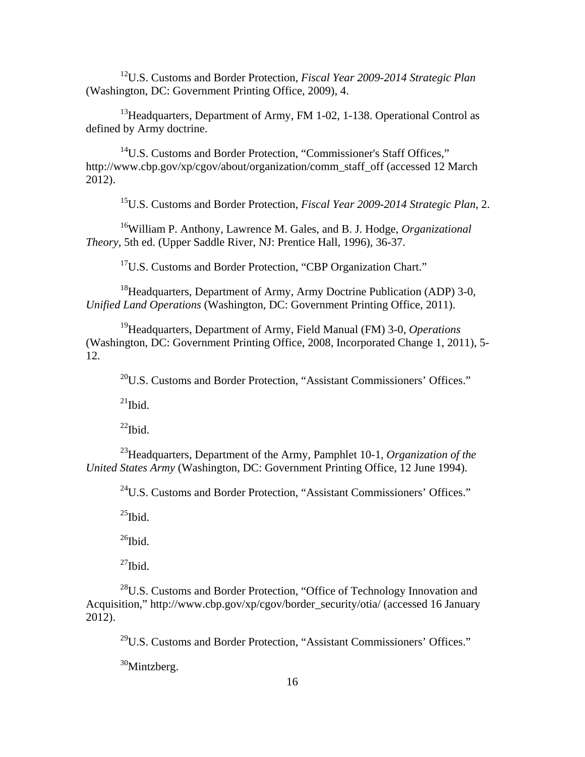12U.S. Customs and Border Protection, *Fiscal Year 2009-2014 Strategic Plan*  (Washington, DC: Government Printing Office, 2009), 4.

<sup>13</sup>Headquarters, Department of Army, FM 1-02, 1-138. Operational Control as defined by Army doctrine.

<sup>14</sup>U.S. Customs and Border Protection, "Commissioner's Staff Offices," http://www.cbp.gov/xp/cgov/about/organization/comm\_staff\_off (accessed 12 March 2012).

15U.S. Customs and Border Protection, *Fiscal Year 2009-2014 Strategic Plan*, 2.

16William P. Anthony, Lawrence M. Gales, and B. J. Hodge, *Organizational Theory*, 5th ed. (Upper Saddle River, NJ: Prentice Hall, 1996), 36-37.

<sup>17</sup>U.S. Customs and Border Protection, "CBP Organization Chart."

<sup>18</sup> Headquarters, Department of Army, Army Doctrine Publication (ADP) 3-0, *Unified Land Operations* (Washington, DC: Government Printing Office, 2011).

19Headquarters, Department of Army, Field Manual (FM) 3-0, *Operations*  (Washington, DC: Government Printing Office, 2008, Incorporated Change 1, 2011), 5 12.

 $^{20}$ U.S. Customs and Border Protection, "Assistant Commissioners' Offices."

 $^{21}$ Ibid.

 $^{22}$ Ibid.

23Headquarters, Department of the Army, Pamphlet 10-1, *Organization of the United States Army* (Washington, DC: Government Printing Office, 12 June 1994).

<sup>24</sup>U.S. Customs and Border Protection, "Assistant Commissioners' Offices."

 $^{25}$ Ibid.

 $^{26}$ Ibid.

 $^{27}$ Ibid.

28U.S. Customs and Border Protection, "Office of Technology Innovation and Acquisition," http://www.cbp.gov/xp/cgov/border\_security/otia/ (accessed 16 January 2012).

 $^{29}$ U.S. Customs and Border Protection, "Assistant Commissioners' Offices."

 $30$ Mintzberg.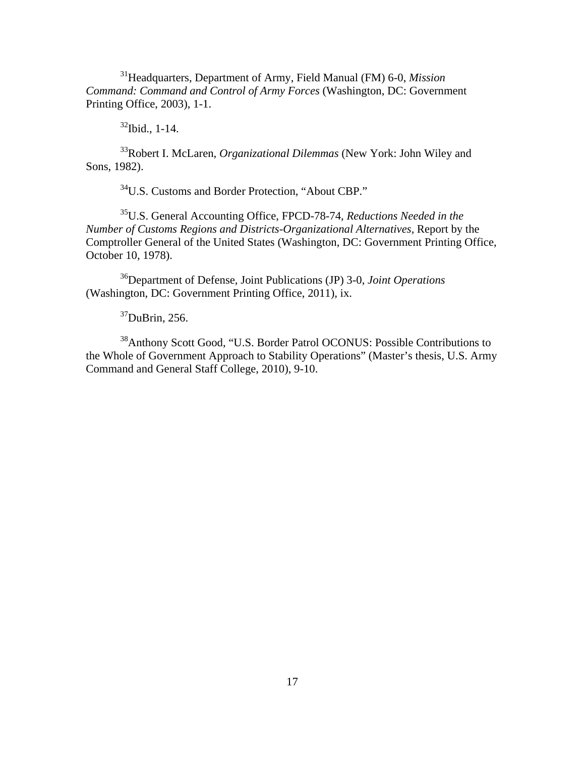31Headquarters, Department of Army, Field Manual (FM) 6-0, *Mission Command: Command and Control of Army Forces* (Washington, DC: Government Printing Office, 2003), 1-1.

 $32$ Ibid., 1-14.

33Robert I. McLaren, *Organizational Dilemmas* (New York: John Wiley and Sons, 1982).

34U.S. Customs and Border Protection, "About CBP."

35U.S. General Accounting Office, FPCD-78-74, *Reductions Needed in the Number of Customs Regions and Districts-Organizational Alternatives,* Report by the Comptroller General of the United States (Washington, DC: Government Printing Office, October 10, 1978).

36Department of Defense, Joint Publications (JP) 3-0, *Joint Operations*  (Washington, DC: Government Printing Office, 2011), ix.

 $37$ DuBrin, 256.

<sup>38</sup>Anthony Scott Good, "U.S. Border Patrol OCONUS: Possible Contributions to the Whole of Government Approach to Stability Operations" (Master's thesis, U.S. Army Command and General Staff College, 2010), 9-10.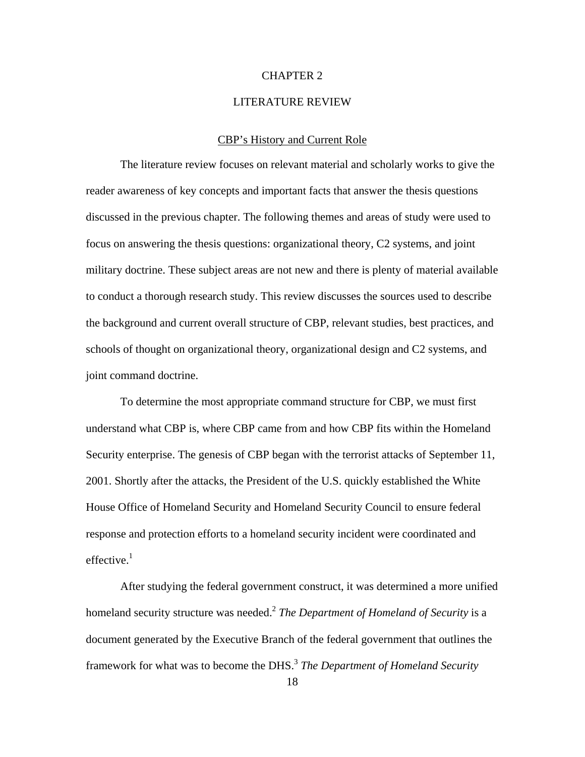#### CHAPTER 2

#### LITERATURE REVIEW

#### CBP's History and Current Role

<span id="page-25-0"></span>The literature review focuses on relevant material and scholarly works to give the reader awareness of key concepts and important facts that answer the thesis questions discussed in the previous chapter. The following themes and areas of study were used to focus on answering the thesis questions: organizational theory, C2 systems, and joint military doctrine. These subject areas are not new and there is plenty of material available to conduct a thorough research study. This review discusses the sources used to describe the background and current overall structure of CBP, relevant studies, best practices, and schools of thought on organizational theory, organizational design and C2 systems, and joint command doctrine.

To determine the most appropriate command structure for CBP, we must first understand what CBP is, where CBP came from and how CBP fits within the Homeland Security enterprise. The genesis of CBP began with the terrorist attacks of September 11, 2001. Shortly after the attacks, the President of the U.S. quickly established the White House Office of Homeland Security and Homeland Security Council to ensure federal response and protection efforts to a homeland security incident were coordinated and effective. $1$ 

After studying the federal government construct, it was determined a more unified homeland security structure was needed.<sup>2</sup> *The Department of Homeland of Security* is a document generated by the Executive Branch of the federal government that outlines the framework for what was to become the DHS.<sup>3</sup> *The Department of Homeland Security*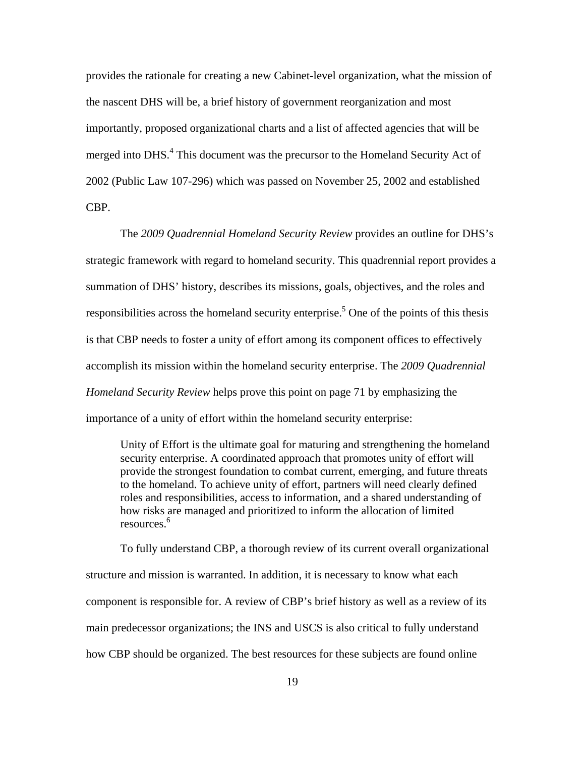provides the rationale for creating a new Cabinet-level organization, what the mission of the nascent DHS will be, a brief history of government reorganization and most importantly, proposed organizational charts and a list of affected agencies that will be merged into DHS.<sup>4</sup> This document was the precursor to the Homeland Security Act of 2002 (Public Law 107-296) which was passed on November 25, 2002 and established CBP.

The *2009 Quadrennial Homeland Security Review* provides an outline for DHS's strategic framework with regard to homeland security. This quadrennial report provides a summation of DHS' history, describes its missions, goals, objectives, and the roles and responsibilities across the homeland security enterprise.<sup>5</sup> One of the points of this thesis is that CBP needs to foster a unity of effort among its component offices to effectively accomplish its mission within the homeland security enterprise. The *2009 Quadrennial Homeland Security Review* helps prove this point on page 71 by emphasizing the importance of a unity of effort within the homeland security enterprise:

Unity of Effort is the ultimate goal for maturing and strengthening the homeland security enterprise. A coordinated approach that promotes unity of effort will provide the strongest foundation to combat current, emerging, and future threats to the homeland. To achieve unity of effort, partners will need clearly defined roles and responsibilities, access to information, and a shared understanding of how risks are managed and prioritized to inform the allocation of limited <sup>6</sup> resources.

To fully understand CBP, a thorough review of its current overall organizational structure and mission is warranted. In addition, it is necessary to know what each component is responsible for. A review of CBP's brief history as well as a review of its main predecessor organizations; the INS and USCS is also critical to fully understand how CBP should be organized. The best resources for these subjects are found online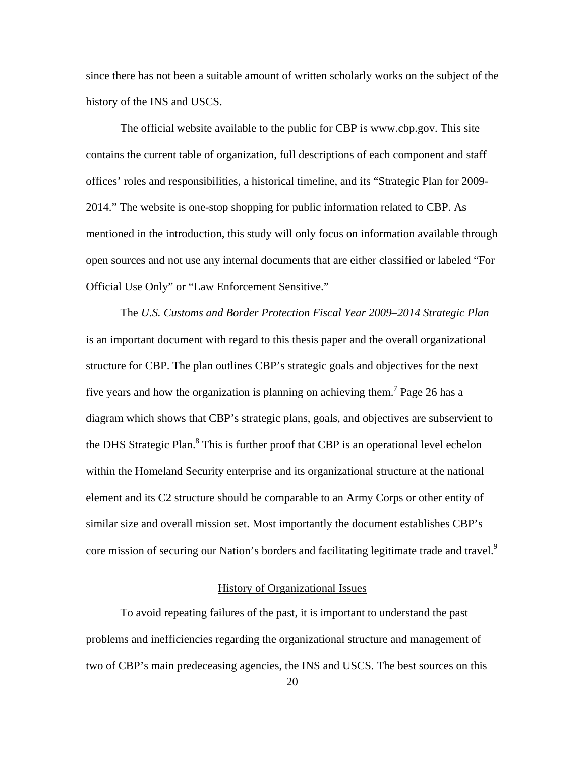<span id="page-27-0"></span>since there has not been a suitable amount of written scholarly works on the subject of the history of the INS and USCS.

The official website available to the public for CBP is www.cbp.gov. This site contains the current table of organization, full descriptions of each component and staff offices' roles and responsibilities, a historical timeline, and its "Strategic Plan for 2009 2014." The website is one-stop shopping for public information related to CBP. As mentioned in the introduction, this study will only focus on information available through open sources and not use any internal documents that are either classified or labeled "For Official Use Only" or "Law Enforcement Sensitive."

The *U.S. Customs and Border Protection Fiscal Year 2009–2014 Strategic Plan*  is an important document with regard to this thesis paper and the overall organizational structure for CBP. The plan outlines CBP's strategic goals and objectives for the next five years and how the organization is planning on achieving them.<sup>7</sup> Page 26 has a diagram which shows that CBP's strategic plans, goals, and objectives are subservient to the DHS Strategic Plan.<sup>8</sup> This is further proof that CBP is an operational level echelon within the Homeland Security enterprise and its organizational structure at the national element and its C2 structure should be comparable to an Army Corps or other entity of similar size and overall mission set. Most importantly the document establishes CBP's core mission of securing our Nation's borders and facilitating legitimate trade and travel.<sup>9</sup>

## History of Organizational Issues

To avoid repeating failures of the past, it is important to understand the past problems and inefficiencies regarding the organizational structure and management of two of CBP's main predeceasing agencies, the INS and USCS. The best sources on this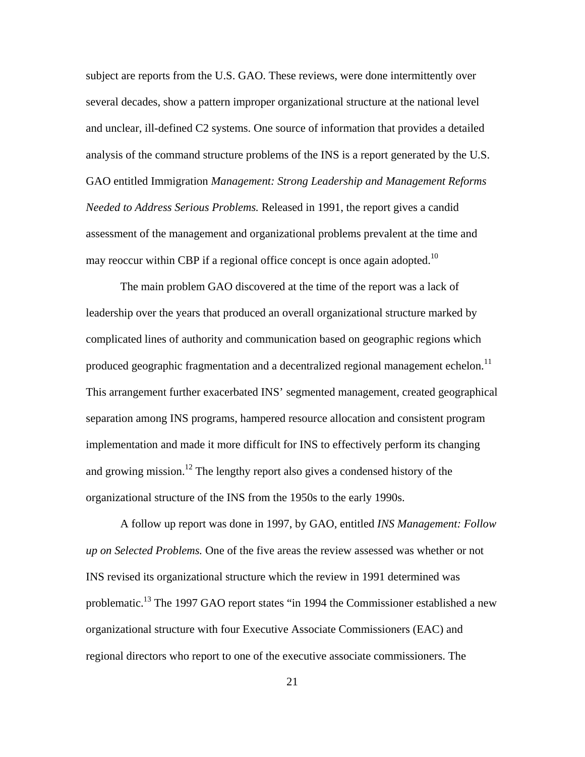subject are reports from the U.S. GAO. These reviews, were done intermittently over several decades, show a pattern improper organizational structure at the national level and unclear, ill-defined C2 systems. One source of information that provides a detailed analysis of the command structure problems of the INS is a report generated by the U.S. GAO entitled Immigration *Management: Strong Leadership and Management Reforms Needed to Address Serious Problems.* Released in 1991, the report gives a candid assessment of the management and organizational problems prevalent at the time and may reoccur within CBP if a regional office concept is once again adopted.<sup>10</sup>

The main problem GAO discovered at the time of the report was a lack of leadership over the years that produced an overall organizational structure marked by complicated lines of authority and communication based on geographic regions which produced geographic fragmentation and a decentralized regional management echelon.<sup>11</sup> This arrangement further exacerbated INS' segmented management, created geographical separation among INS programs, hampered resource allocation and consistent program implementation and made it more difficult for INS to effectively perform its changing and growing mission.<sup>12</sup> The lengthy report also gives a condensed history of the organizational structure of the INS from the 1950s to the early 1990s.

A follow up report was done in 1997, by GAO, entitled *INS Management: Follow up on Selected Problems.* One of the five areas the review assessed was whether or not INS revised its organizational structure which the review in 1991 determined was problematic.<sup>13</sup> The 1997 GAO report states "in 1994 the Commissioner established a new organizational structure with four Executive Associate Commissioners (EAC) and regional directors who report to one of the executive associate commissioners. The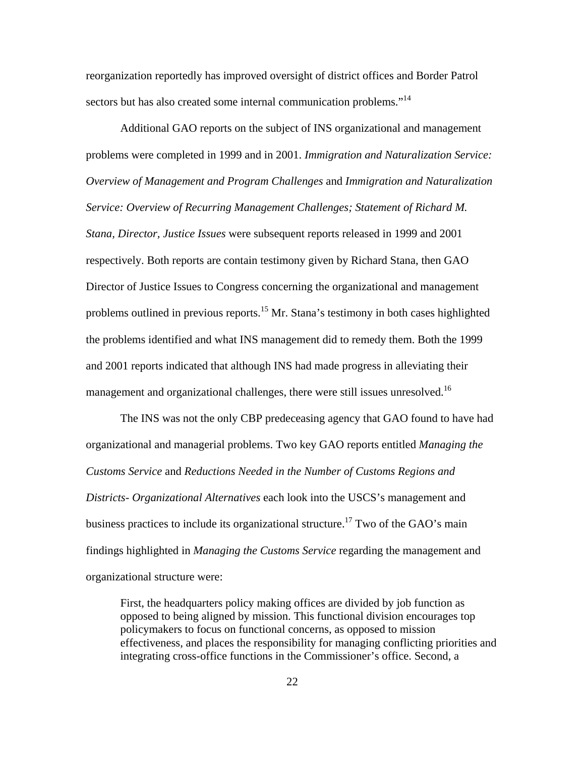reorganization reportedly has improved oversight of district offices and Border Patrol sectors but has also created some internal communication problems."<sup>14</sup>

Additional GAO reports on the subject of INS organizational and management problems were completed in 1999 and in 2001. *Immigration and Naturalization Service: Overview of Management and Program Challenges* and *Immigration and Naturalization Service: Overview of Recurring Management Challenges; Statement of Richard M. Stana, Director, Justice Issues* were subsequent reports released in 1999 and 2001 respectively. Both reports are contain testimony given by Richard Stana, then GAO Director of Justice Issues to Congress concerning the organizational and management problems outlined in previous reports.<sup>15</sup> Mr. Stana's testimony in both cases highlighted the problems identified and what INS management did to remedy them. Both the 1999 and 2001 reports indicated that although INS had made progress in alleviating their management and organizational challenges, there were still issues unresolved.<sup>16</sup>

The INS was not the only CBP predeceasing agency that GAO found to have had organizational and managerial problems. Two key GAO reports entitled *Managing the Customs Service* and *Reductions Needed in the Number of Customs Regions and Districts- Organizational Alternatives* each look into the USCS's management and business practices to include its organizational structure.<sup>17</sup> Two of the GAO's main findings highlighted in *Managing the Customs Service* regarding the management and organizational structure were:

First, the headquarters policy making offices are divided by job function as opposed to being aligned by mission. This functional division encourages top policymakers to focus on functional concerns, as opposed to mission effectiveness, and places the responsibility for managing conflicting priorities and integrating cross-office functions in the Commissioner's office. Second, a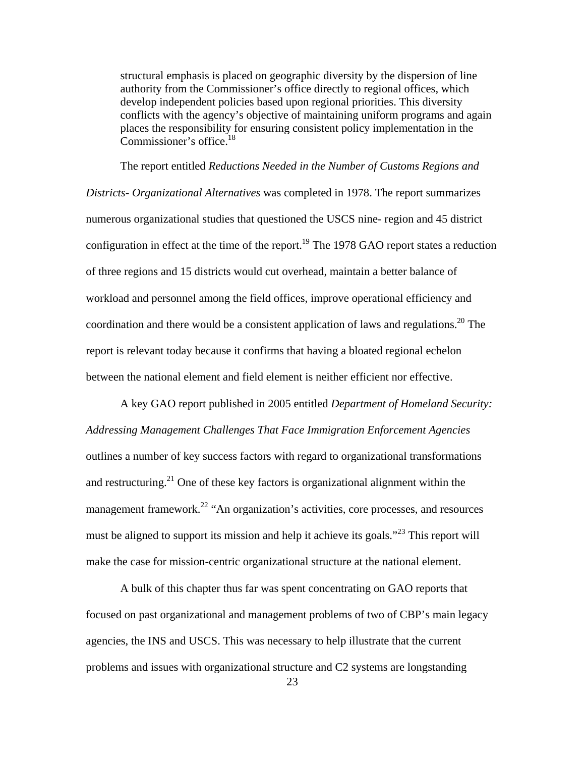structural emphasis is placed on geographic diversity by the dispersion of line authority from the Commissioner's office directly to regional offices, which develop independent policies based upon regional priorities. This diversity conflicts with the agency's objective of maintaining uniform programs and again places the responsibility for ensuring consistent policy implementation in the Commissioner's office.<sup>18</sup>

The report entitled *Reductions Needed in the Number of Customs Regions and Districts- Organizational Alternatives* was completed in 1978. The report summarizes numerous organizational studies that questioned the USCS nine- region and 45 district configuration in effect at the time of the report.<sup>19</sup> The 1978 GAO report states a reduction of three regions and 15 districts would cut overhead, maintain a better balance of workload and personnel among the field offices, improve operational efficiency and coordination and there would be a consistent application of laws and regulations.<sup>20</sup> The report is relevant today because it confirms that having a bloated regional echelon between the national element and field element is neither efficient nor effective.

A key GAO report published in 2005 entitled *Department of Homeland Security: Addressing Management Challenges That Face Immigration Enforcement Agencies*  outlines a number of key success factors with regard to organizational transformations and restructuring.<sup>21</sup> One of these key factors is organizational alignment within the management framework.<sup>22</sup> "An organization's activities, core processes, and resources must be aligned to support its mission and help it achieve its goals."<sup>23</sup> This report will make the case for mission-centric organizational structure at the national element.

A bulk of this chapter thus far was spent concentrating on GAO reports that focused on past organizational and management problems of two of CBP's main legacy agencies, the INS and USCS. This was necessary to help illustrate that the current problems and issues with organizational structure and C2 systems are longstanding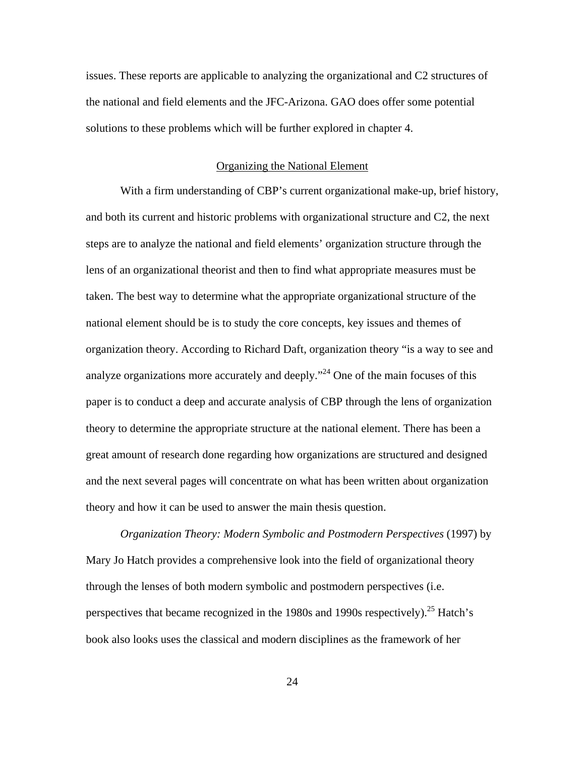<span id="page-31-0"></span>issues. These reports are applicable to analyzing the organizational and C2 structures of the national and field elements and the JFC-Arizona. GAO does offer some potential solutions to these problems which will be further explored in chapter 4.

#### Organizing the National Element

With a firm understanding of CBP's current organizational make-up, brief history, and both its current and historic problems with organizational structure and C2, the next steps are to analyze the national and field elements' organization structure through the lens of an organizational theorist and then to find what appropriate measures must be taken. The best way to determine what the appropriate organizational structure of the national element should be is to study the core concepts, key issues and themes of organization theory. According to Richard Daft, organization theory "is a way to see and analyze organizations more accurately and deeply."24 One of the main focuses of this paper is to conduct a deep and accurate analysis of CBP through the lens of organization theory to determine the appropriate structure at the national element. There has been a great amount of research done regarding how organizations are structured and designed and the next several pages will concentrate on what has been written about organization theory and how it can be used to answer the main thesis question.

*Organization Theory: Modern Symbolic and Postmodern Perspectives* (1997) by Mary Jo Hatch provides a comprehensive look into the field of organizational theory through the lenses of both modern symbolic and postmodern perspectives (i.e. perspectives that became recognized in the 1980s and 1990s respectively).25 Hatch's book also looks uses the classical and modern disciplines as the framework of her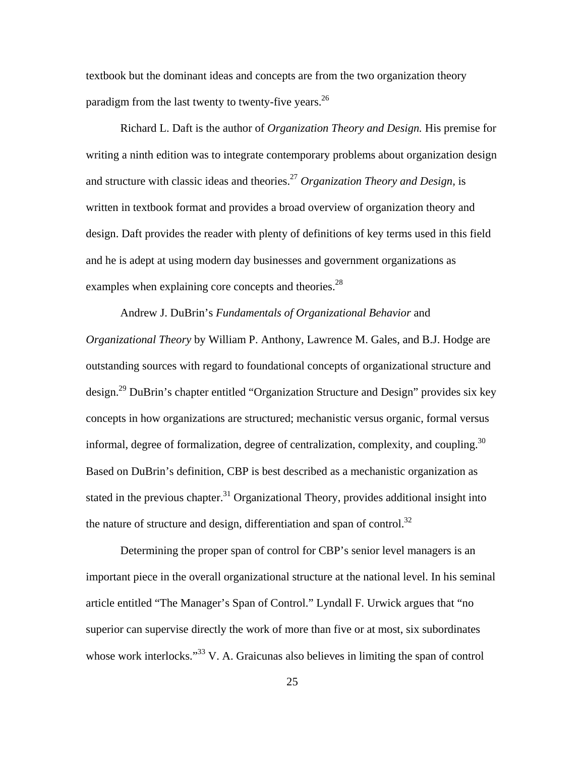textbook but the dominant ideas and concepts are from the two organization theory paradigm from the last twenty to twenty-five years.<sup>26</sup>

Richard L. Daft is the author of *Organization Theory and Design.* His premise for writing a ninth edition was to integrate contemporary problems about organization design and structure with classic ideas and theories.27 *Organization Theory and Design,* is written in textbook format and provides a broad overview of organization theory and design. Daft provides the reader with plenty of definitions of key terms used in this field and he is adept at using modern day businesses and government organizations as examples when explaining core concepts and theories.<sup>28</sup>

Andrew J. DuBrin's *Fundamentals of Organizational Behavior* and *Organizational Theory* by William P. Anthony, Lawrence M. Gales, and B.J. Hodge are outstanding sources with regard to foundational concepts of organizational structure and design.29 DuBrin's chapter entitled "Organization Structure and Design" provides six key concepts in how organizations are structured; mechanistic versus organic, formal versus informal, degree of formalization, degree of centralization, complexity, and coupling. $30$ Based on DuBrin's definition, CBP is best described as a mechanistic organization as stated in the previous chapter.<sup>31</sup> Organizational Theory, provides additional insight into the nature of structure and design, differentiation and span of control.<sup>32</sup>

Determining the proper span of control for CBP's senior level managers is an important piece in the overall organizational structure at the national level. In his seminal article entitled "The Manager's Span of Control." Lyndall F. Urwick argues that "no superior can supervise directly the work of more than five or at most, six subordinates whose work interlocks."<sup>33</sup> V. A. Graicunas also believes in limiting the span of control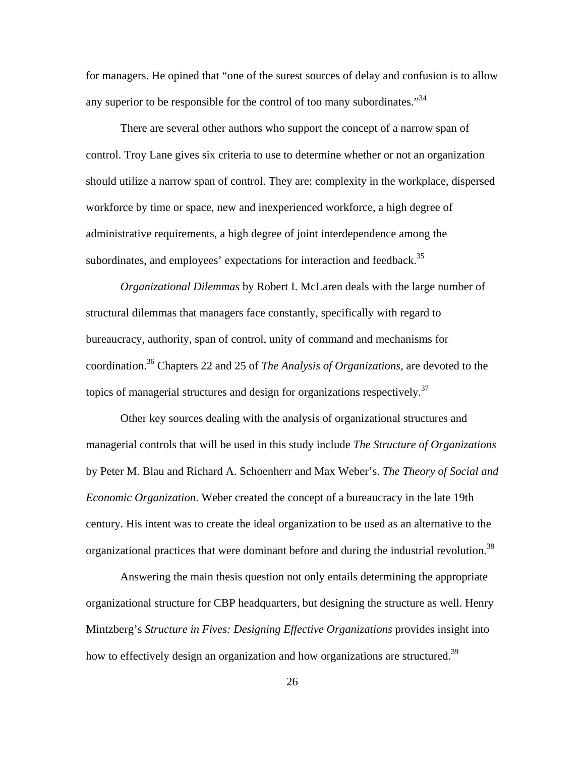for managers. He opined that "one of the surest sources of delay and confusion is to allow any superior to be responsible for the control of too many subordinates."<sup>34</sup>

There are several other authors who support the concept of a narrow span of control. Troy Lane gives six criteria to use to determine whether or not an organization should utilize a narrow span of control. They are: complexity in the workplace, dispersed workforce by time or space, new and inexperienced workforce, a high degree of administrative requirements, a high degree of joint interdependence among the subordinates, and employees' expectations for interaction and feedback.<sup>35</sup>

*Organizational Dilemmas* by Robert I. McLaren deals with the large number of structural dilemmas that managers face constantly, specifically with regard to bureaucracy, authority, span of control, unity of command and mechanisms for coordination.36 Chapters 22 and 25 of *The Analysis of Organizations,* are devoted to the topics of managerial structures and design for organizations respectively.<sup>37</sup>

organizational practices that were dominant before and during the industrial revolution.<sup>38</sup> Other key sources dealing with the analysis of organizational structures and managerial controls that will be used in this study include *The Structure of Organizations*  by Peter M. Blau and Richard A. Schoenherr and Max Weber's. *The Theory of Social and Economic Organization*. Weber created the concept of a bureaucracy in the late 19th century. His intent was to create the ideal organization to be used as an alternative to the

Answering the main thesis question not only entails determining the appropriate organizational structure for CBP headquarters, but designing the structure as well. Henry Mintzberg's *Structure in Fives: Designing Effective Organizations* provides insight into how to effectively design an organization and how organizations are structured.<sup>39</sup>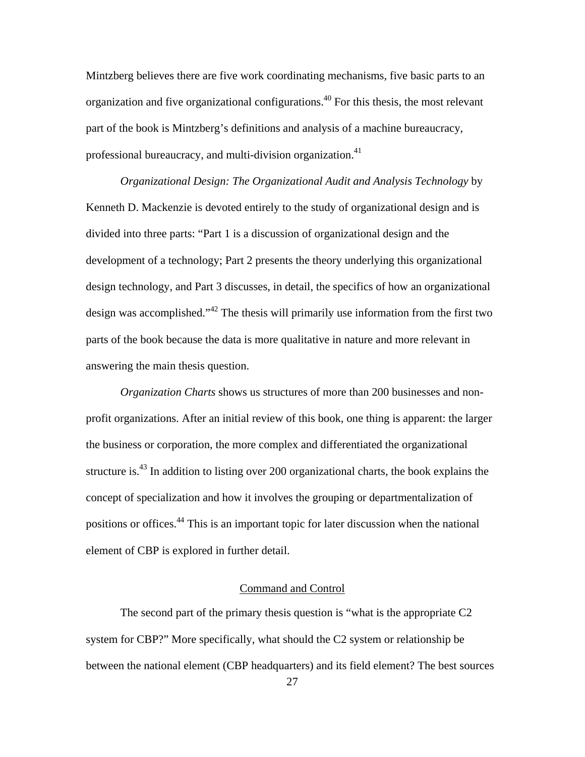<span id="page-34-0"></span>Mintzberg believes there are five work coordinating mechanisms, five basic parts to an organization and five organizational configurations.40 For this thesis, the most relevant part of the book is Mintzberg's definitions and analysis of a machine bureaucracy, professional bureaucracy, and multi-division organization.<sup>41</sup>

*Organizational Design: The Organizational Audit and Analysis Technology* by Kenneth D. Mackenzie is devoted entirely to the study of organizational design and is divided into three parts: "Part 1 is a discussion of organizational design and the development of a technology; Part 2 presents the theory underlying this organizational design technology, and Part 3 discusses, in detail, the specifics of how an organizational design was accomplished."42 The thesis will primarily use information from the first two parts of the book because the data is more qualitative in nature and more relevant in answering the main thesis question.

*Organization Charts* shows us structures of more than 200 businesses and nonprofit organizations. After an initial review of this book, one thing is apparent: the larger the business or corporation, the more complex and differentiated the organizational structure is.43 In addition to listing over 200 organizational charts, the book explains the concept of specialization and how it involves the grouping or departmentalization of positions or offices.<sup>44</sup> This is an important topic for later discussion when the national element of CBP is explored in further detail.

## Command and Control

The second part of the primary thesis question is "what is the appropriate C2 system for CBP?" More specifically, what should the C2 system or relationship be between the national element (CBP headquarters) and its field element? The best sources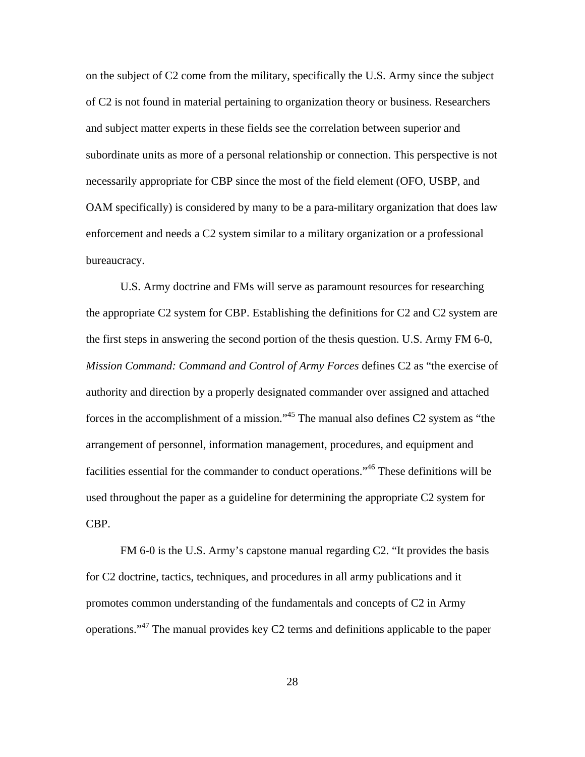on the subject of C2 come from the military, specifically the U.S. Army since the subject of C2 is not found in material pertaining to organization theory or business. Researchers and subject matter experts in these fields see the correlation between superior and subordinate units as more of a personal relationship or connection. This perspective is not necessarily appropriate for CBP since the most of the field element (OFO, USBP, and OAM specifically) is considered by many to be a para-military organization that does law enforcement and needs a C2 system similar to a military organization or a professional bureaucracy.

U.S. Army doctrine and FMs will serve as paramount resources for researching the appropriate C2 system for CBP. Establishing the definitions for C2 and C2 system are the first steps in answering the second portion of the thesis question. U.S. Army FM 6-0, *Mission Command: Command and Control of Army Forces* defines C2 as "the exercise of authority and direction by a properly designated commander over assigned and attached forces in the accomplishment of a mission."45 The manual also defines C2 system as "the arrangement of personnel, information management, procedures, and equipment and facilities essential for the commander to conduct operations."<sup>46</sup> These definitions will be used throughout the paper as a guideline for determining the appropriate C2 system for CBP.

FM 6-0 is the U.S. Army's capstone manual regarding C2. "It provides the basis for C2 doctrine, tactics, techniques, and procedures in all army publications and it promotes common understanding of the fundamentals and concepts of C2 in Army operations."47 The manual provides key C2 terms and definitions applicable to the paper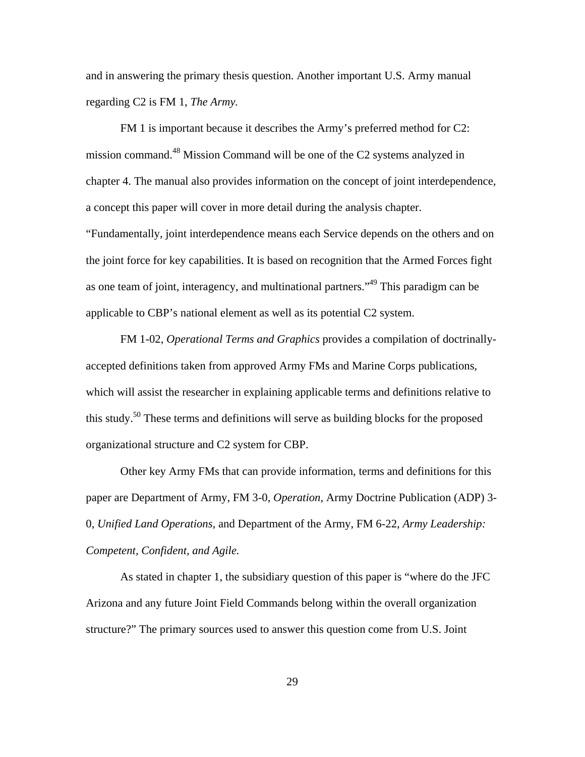and in answering the primary thesis question. Another important U.S. Army manual regarding C2 is FM 1, *The Army.* 

FM 1 is important because it describes the Army's preferred method for C2: mission command.48 Mission Command will be one of the C2 systems analyzed in chapter 4. The manual also provides information on the concept of joint interdependence, a concept this paper will cover in more detail during the analysis chapter.

"Fundamentally, joint interdependence means each Service depends on the others and on the joint force for key capabilities. It is based on recognition that the Armed Forces fight as one team of joint, interagency, and multinational partners."<sup>49</sup> This paradigm can be applicable to CBP's national element as well as its potential C2 system.

FM 1-02, *Operational Terms and Graphics* provides a compilation of doctrinallyaccepted definitions taken from approved Army FMs and Marine Corps publications, which will assist the researcher in explaining applicable terms and definitions relative to this study.50 These terms and definitions will serve as building blocks for the proposed organizational structure and C2 system for CBP.

Other key Army FMs that can provide information, terms and definitions for this paper are Department of Army, FM 3-0, *Operation,* Army Doctrine Publication (ADP) 3 0, *Unified Land Operations,* and Department of the Army, FM 6-22, *Army Leadership: Competent, Confident, and Agile.* 

As stated in chapter 1, the subsidiary question of this paper is "where do the JFC Arizona and any future Joint Field Commands belong within the overall organization structure?" The primary sources used to answer this question come from U.S. Joint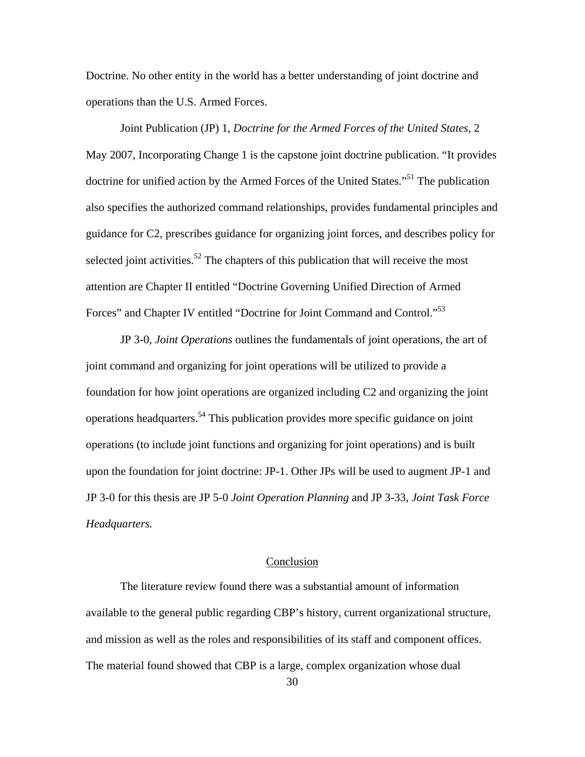Doctrine. No other entity in the world has a better understanding of joint doctrine and operations than the U.S. Armed Forces.

Joint Publication (JP) 1, *Doctrine for the Armed Forces of the United States,* 2 May 2007, Incorporating Change 1 is the capstone joint doctrine publication. "It provides doctrine for unified action by the Armed Forces of the United States."<sup>51</sup> The publication also specifies the authorized command relationships, provides fundamental principles and guidance for C2, prescribes guidance for organizing joint forces, and describes policy for selected joint activities.<sup>52</sup> The chapters of this publication that will receive the most attention are Chapter II entitled "Doctrine Governing Unified Direction of Armed Forces" and Chapter IV entitled "Doctrine for Joint Command and Control."<sup>53</sup>

JP 3-0, *Joint Operations* outlines the fundamentals of joint operations, the art of joint command and organizing for joint operations will be utilized to provide a foundation for how joint operations are organized including C2 and organizing the joint operations headquarters.54 This publication provides more specific guidance on joint operations (to include joint functions and organizing for joint operations) and is built upon the foundation for joint doctrine: JP-1. Other JPs will be used to augment JP-1 and JP 3-0 for this thesis are JP 5-0 *Joint Operation Planning* and JP 3-33, *Joint Task Force Headquarters.* 

## Conclusion

The literature review found there was a substantial amount of information available to the general public regarding CBP's history, current organizational structure, and mission as well as the roles and responsibilities of its staff and component offices. The material found showed that CBP is a large, complex organization whose dual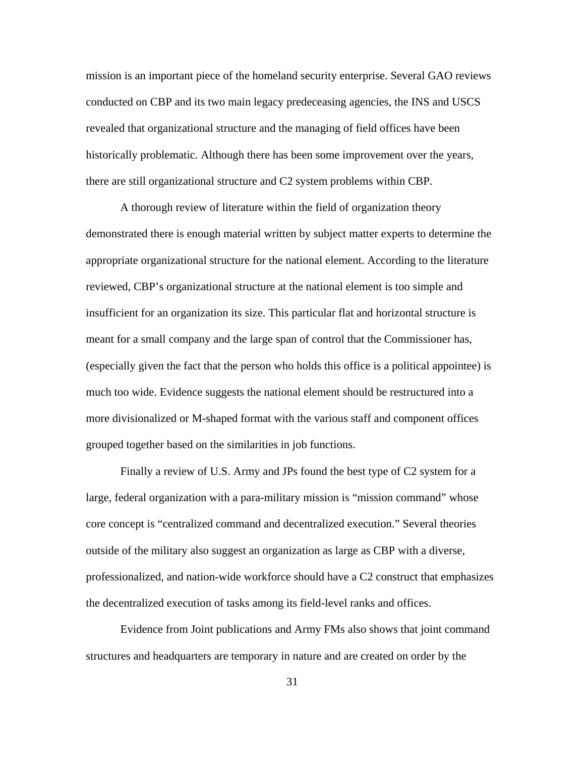mission is an important piece of the homeland security enterprise. Several GAO reviews conducted on CBP and its two main legacy predeceasing agencies, the INS and USCS revealed that organizational structure and the managing of field offices have been historically problematic. Although there has been some improvement over the years, there are still organizational structure and C2 system problems within CBP.

A thorough review of literature within the field of organization theory demonstrated there is enough material written by subject matter experts to determine the appropriate organizational structure for the national element. According to the literature reviewed, CBP's organizational structure at the national element is too simple and insufficient for an organization its size. This particular flat and horizontal structure is meant for a small company and the large span of control that the Commissioner has, (especially given the fact that the person who holds this office is a political appointee) is much too wide. Evidence suggests the national element should be restructured into a more divisionalized or M-shaped format with the various staff and component offices grouped together based on the similarities in job functions.

Finally a review of U.S. Army and JPs found the best type of C2 system for a large, federal organization with a para-military mission is "mission command" whose core concept is "centralized command and decentralized execution." Several theories outside of the military also suggest an organization as large as CBP with a diverse, professionalized, and nation-wide workforce should have a C2 construct that emphasizes the decentralized execution of tasks among its field-level ranks and offices.

Evidence from Joint publications and Army FMs also shows that joint command structures and headquarters are temporary in nature and are created on order by the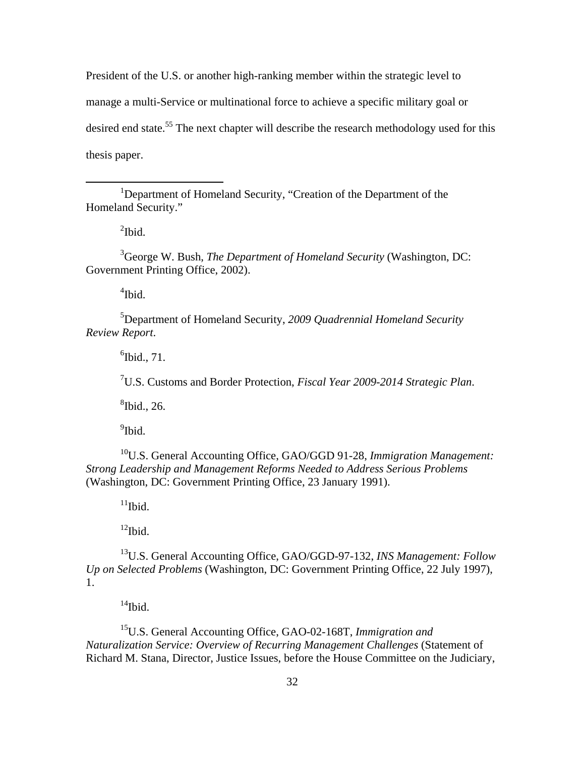President of the U.S. or another high-ranking member within the strategic level to manage a multi-Service or multinational force to achieve a specific military goal or desired end state.<sup>55</sup> The next chapter will describe the research methodology used for this thesis paper.

<sup>1</sup>Department of Homeland Security, "Creation of the Department of the Homeland Security."

 $^{2}$ Ibid.

<u>.</u>

3 George W. Bush, *The Department of Homeland Security* (Washington, DC: Government Printing Office, 2002).

4 Ibid.

5 Department of Homeland Security, *2009 Quadrennial Homeland Security Review Report*.

 $<sup>6</sup>$ Ibid., 71.</sup>

7 U.S. Customs and Border Protection, *Fiscal Year 2009-2014 Strategic Plan*.

 ${}^{8}$ Ibid., 26.

<sup>9</sup>Ibid.

10U.S. General Accounting Office, GAO/GGD 91-28, *Immigration Management: Strong Leadership and Management Reforms Needed to Address Serious Problems*  (Washington, DC: Government Printing Office, 23 January 1991).

 $11$ Ibid.

 $12$ Ibid.

13U.S. General Accounting Office, GAO/GGD-97-132, *INS Management: Follow Up on Selected Problems* (Washington, DC: Government Printing Office, 22 July 1997), 1.

 $14$ Ibid.

15U.S. General Accounting Office, GAO-02-168T, *Immigration and Naturalization Service: Overview of Recurring Management Challenges* (Statement of Richard M. Stana, Director, Justice Issues, before the House Committee on the Judiciary,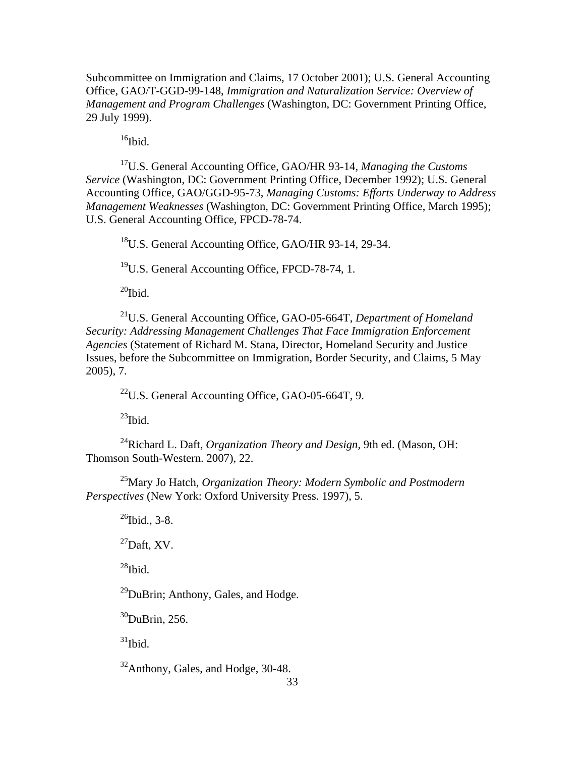Subcommittee on Immigration and Claims, 17 October 2001); U.S. General Accounting Office, GAO/T-GGD-99-148, *Immigration and Naturalization Service: Overview of Management and Program Challenges* (Washington, DC: Government Printing Office, 29 July 1999).

 $16$ Ibid.

17U.S. General Accounting Office, GAO/HR 93-14, *Managing the Customs Service* (Washington, DC: Government Printing Office, December 1992); U.S. General Accounting Office, GAO/GGD-95-73, *Managing Customs: Efforts Underway to Address Management Weaknesses* (Washington, DC: Government Printing Office, March 1995); U.S. General Accounting Office, FPCD-78-74.

<sup>18</sup>U.S. General Accounting Office, GAO/HR 93-14, 29-34.

19U.S. General Accounting Office, FPCD-78-74, 1.

 $^{20}$ Ibid.

21U.S. General Accounting Office, GAO-05-664T, *Department of Homeland Security: Addressing Management Challenges That Face Immigration Enforcement Agencies* (Statement of Richard M. Stana, Director, Homeland Security and Justice Issues, before the Subcommittee on Immigration, Border Security, and Claims, 5 May 2005), 7.

 $^{22}$ U.S. General Accounting Office, GAO-05-664T, 9.

 $^{23}$ Ibid.

24Richard L. Daft, *Organization Theory and Design,* 9th ed. (Mason, OH: Thomson South-Western. 2007), 22.

25Mary Jo Hatch, *Organization Theory: Modern Symbolic and Postmodern Perspectives* (New York: Oxford University Press. 1997), 5.

 $^{26}$ Ibid., 3-8.

 $^{27}$ Daft, XV.

 $^{28}$ Ibid.

 $^{29}$ DuBrin; Anthony, Gales, and Hodge.

 $30$ DuBrin, 256.

 $31$ Ibid.

 $32$ Anthony, Gales, and Hodge, 30-48.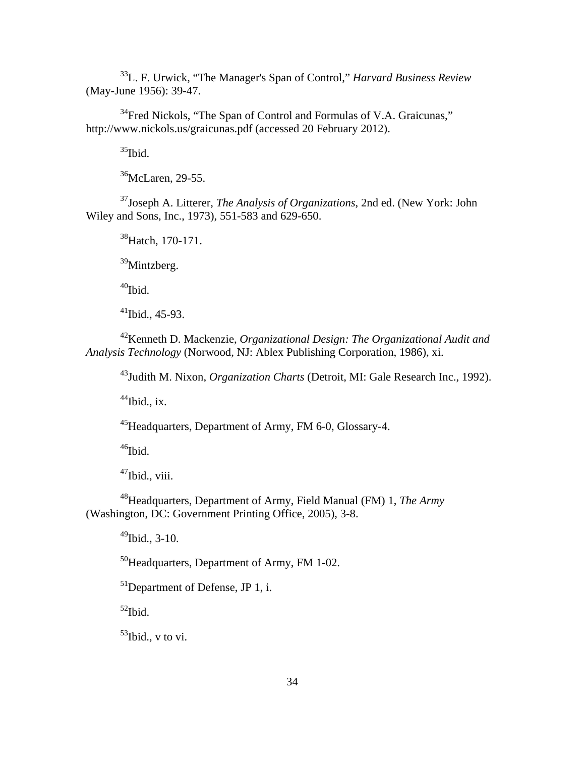33L. F. Urwick, "The Manager's Span of Control," *Harvard Business Review*  (May-June 1956): 39-47.

<sup>34</sup>Fred Nickols, "The Span of Control and Formulas of V.A. Graicunas," http://www.nickols.us/graicunas.pdf (accessed 20 February 2012).

 $35$ Ibid.

36McLaren, 29-55.

37Joseph A. Litterer, *The Analysis of Organizations*, 2nd ed. (New York: John Wiley and Sons, Inc., 1973), 551-583 and 629-650.

<sup>38</sup>Hatch, 170-171.

39Mintzberg.

 $40$ Ibid.

 $41$ Ibid., 45-93.

42Kenneth D. Mackenzie, *Organizational Design: The Organizational Audit and Analysis Technology* (Norwood, NJ: Ablex Publishing Corporation, 1986), xi.

43Judith M. Nixon, *Organization Charts* (Detroit, MI: Gale Research Inc., 1992).

 $44$ Ibid., ix.

45Headquarters, Department of Army, FM 6-0, Glossary-4.

 $^{46}$ Ibid.

 $47$ Ibid., viii.

48Headquarters, Department of Army, Field Manual (FM) 1, *The Army*  (Washington, DC: Government Printing Office, 2005), 3-8.

 $^{49}$ Ibid., 3-10.

50Headquarters, Department of Army, FM 1-02.

 $51$ Department of Defense, JP 1, i.

 $52$ Ibid.

 $53$ Ibid., v to vi.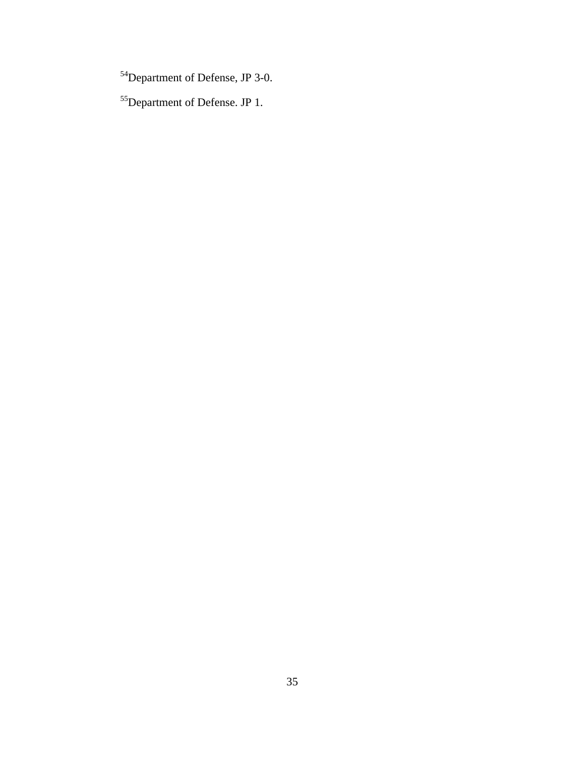54Department of Defense, JP 3-0.

55Department of Defense. JP 1.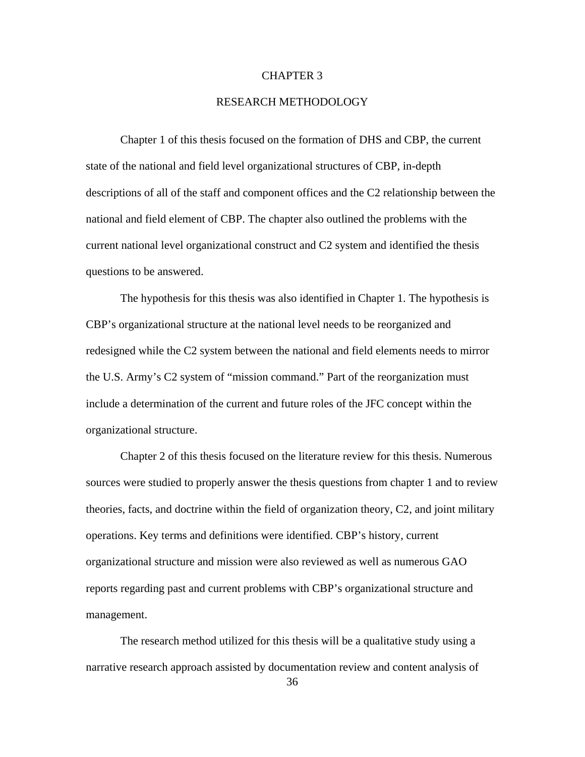#### CHAPTER 3

## RESEARCH METHODOLOGY

Chapter 1 of this thesis focused on the formation of DHS and CBP, the current state of the national and field level organizational structures of CBP, in-depth descriptions of all of the staff and component offices and the C2 relationship between the national and field element of CBP. The chapter also outlined the problems with the current national level organizational construct and C2 system and identified the thesis questions to be answered.

The hypothesis for this thesis was also identified in Chapter 1. The hypothesis is CBP's organizational structure at the national level needs to be reorganized and redesigned while the C2 system between the national and field elements needs to mirror the U.S. Army's C2 system of "mission command." Part of the reorganization must include a determination of the current and future roles of the JFC concept within the organizational structure.

Chapter 2 of this thesis focused on the literature review for this thesis. Numerous sources were studied to properly answer the thesis questions from chapter 1 and to review theories, facts, and doctrine within the field of organization theory, C2, and joint military operations. Key terms and definitions were identified. CBP's history, current organizational structure and mission were also reviewed as well as numerous GAO reports regarding past and current problems with CBP's organizational structure and management.

The research method utilized for this thesis will be a qualitative study using a narrative research approach assisted by documentation review and content analysis of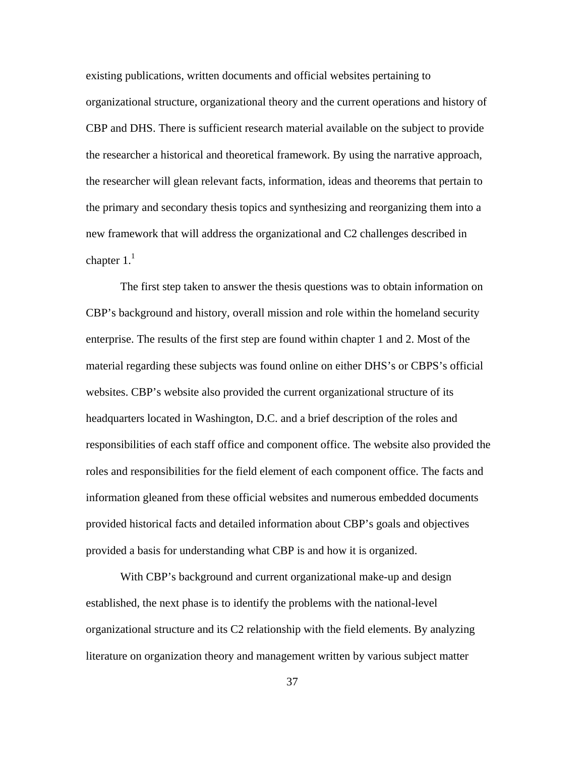existing publications, written documents and official websites pertaining to organizational structure, organizational theory and the current operations and history of CBP and DHS. There is sufficient research material available on the subject to provide the researcher a historical and theoretical framework. By using the narrative approach, the researcher will glean relevant facts, information, ideas and theorems that pertain to the primary and secondary thesis topics and synthesizing and reorganizing them into a new framework that will address the organizational and C2 challenges described in chapter  $1<sup>1</sup>$ 

The first step taken to answer the thesis questions was to obtain information on CBP's background and history, overall mission and role within the homeland security enterprise. The results of the first step are found within chapter 1 and 2. Most of the material regarding these subjects was found online on either DHS's or CBPS's official websites. CBP's website also provided the current organizational structure of its headquarters located in Washington, D.C. and a brief description of the roles and responsibilities of each staff office and component office. The website also provided the roles and responsibilities for the field element of each component office. The facts and information gleaned from these official websites and numerous embedded documents provided historical facts and detailed information about CBP's goals and objectives provided a basis for understanding what CBP is and how it is organized.

With CBP's background and current organizational make-up and design established, the next phase is to identify the problems with the national-level organizational structure and its C2 relationship with the field elements. By analyzing literature on organization theory and management written by various subject matter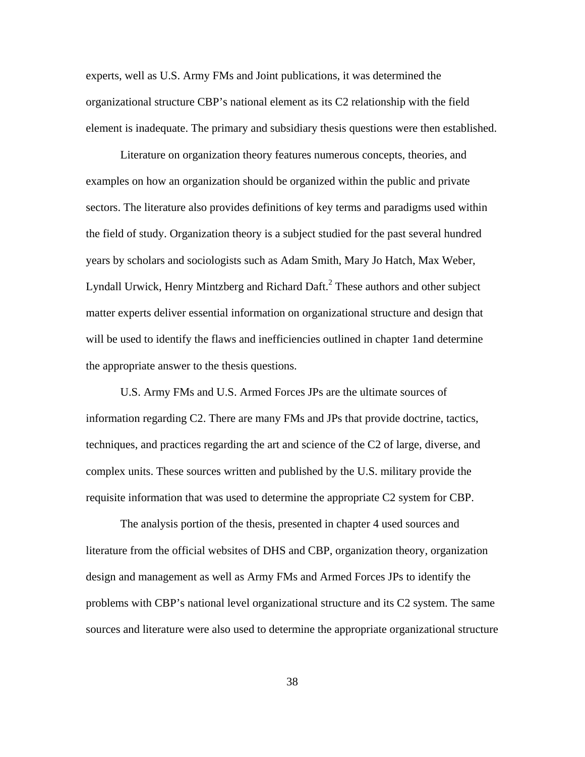experts, well as U.S. Army FMs and Joint publications, it was determined the organizational structure CBP's national element as its C2 relationship with the field element is inadequate. The primary and subsidiary thesis questions were then established.

Literature on organization theory features numerous concepts, theories, and examples on how an organization should be organized within the public and private sectors. The literature also provides definitions of key terms and paradigms used within the field of study. Organization theory is a subject studied for the past several hundred years by scholars and sociologists such as Adam Smith, Mary Jo Hatch, Max Weber, Lyndall Urwick, Henry Mintzberg and Richard Daft.<sup>2</sup> These authors and other subject matter experts deliver essential information on organizational structure and design that will be used to identify the flaws and inefficiencies outlined in chapter 1and determine the appropriate answer to the thesis questions.

U.S. Army FMs and U.S. Armed Forces JPs are the ultimate sources of information regarding C2. There are many FMs and JPs that provide doctrine, tactics, techniques, and practices regarding the art and science of the C2 of large, diverse, and complex units. These sources written and published by the U.S. military provide the requisite information that was used to determine the appropriate C2 system for CBP.

The analysis portion of the thesis, presented in chapter 4 used sources and literature from the official websites of DHS and CBP, organization theory, organization design and management as well as Army FMs and Armed Forces JPs to identify the problems with CBP's national level organizational structure and its C2 system. The same sources and literature were also used to determine the appropriate organizational structure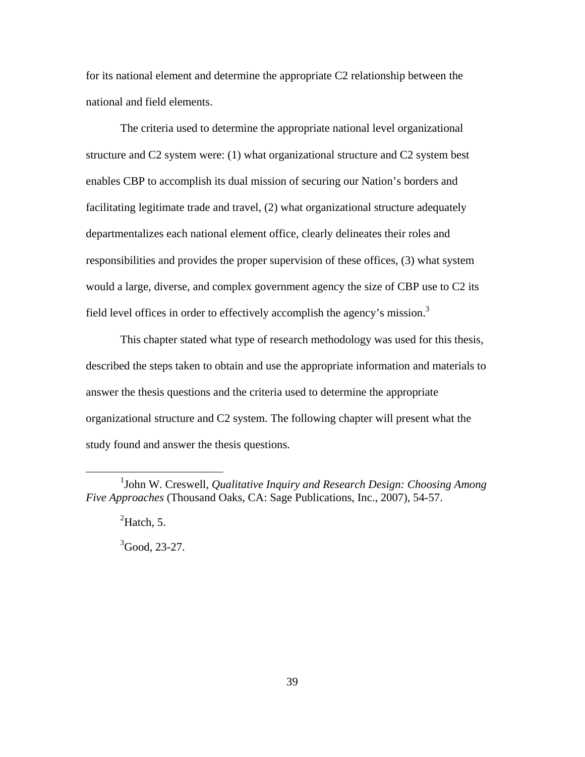for its national element and determine the appropriate C2 relationship between the national and field elements.

The criteria used to determine the appropriate national level organizational structure and C2 system were: (1) what organizational structure and C2 system best enables CBP to accomplish its dual mission of securing our Nation's borders and facilitating legitimate trade and travel, (2) what organizational structure adequately departmentalizes each national element office, clearly delineates their roles and responsibilities and provides the proper supervision of these offices, (3) what system would a large, diverse, and complex government agency the size of CBP use to C2 its field level offices in order to effectively accomplish the agency's mission.<sup>3</sup>

This chapter stated what type of research methodology was used for this thesis, described the steps taken to obtain and use the appropriate information and materials to answer the thesis questions and the criteria used to determine the appropriate organizational structure and C2 system. The following chapter will present what the study found and answer the thesis questions.

 ${}^{2}$ Hatch, 5.

 $\overline{a}$ 

 ${}^{3}$ Good, 23-27.

<sup>&</sup>lt;sup>1</sup>John W. Creswell, *Qualitative Inquiry and Research Design: Choosing Among Five Approaches* (Thousand Oaks, CA: Sage Publications, Inc., 2007), 54-57.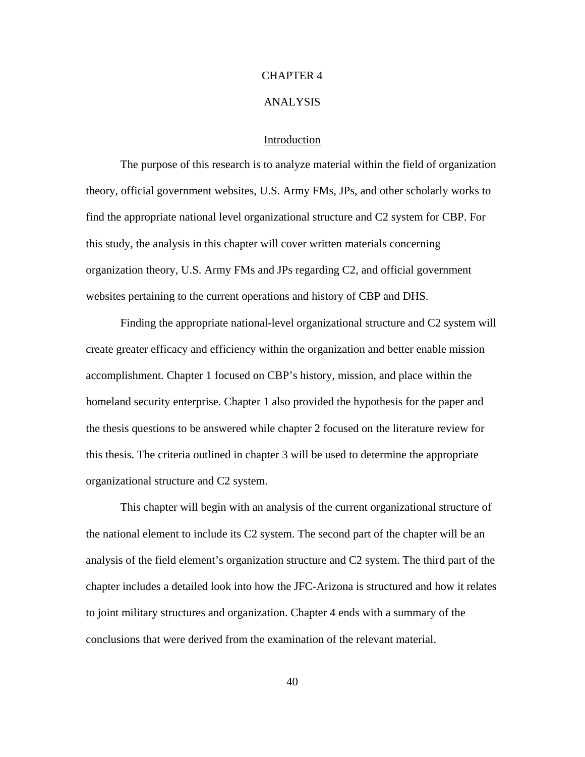### CHAPTER 4

### ANALYSIS

# Introduction

The purpose of this research is to analyze material within the field of organization theory, official government websites, U.S. Army FMs, JPs, and other scholarly works to find the appropriate national level organizational structure and C2 system for CBP. For this study, the analysis in this chapter will cover written materials concerning organization theory, U.S. Army FMs and JPs regarding C2, and official government websites pertaining to the current operations and history of CBP and DHS.

Finding the appropriate national-level organizational structure and C2 system will create greater efficacy and efficiency within the organization and better enable mission accomplishment. Chapter 1 focused on CBP's history, mission, and place within the homeland security enterprise. Chapter 1 also provided the hypothesis for the paper and the thesis questions to be answered while chapter 2 focused on the literature review for this thesis. The criteria outlined in chapter 3 will be used to determine the appropriate organizational structure and C2 system.

This chapter will begin with an analysis of the current organizational structure of the national element to include its C2 system. The second part of the chapter will be an analysis of the field element's organization structure and C2 system. The third part of the chapter includes a detailed look into how the JFC-Arizona is structured and how it relates to joint military structures and organization. Chapter 4 ends with a summary of the conclusions that were derived from the examination of the relevant material.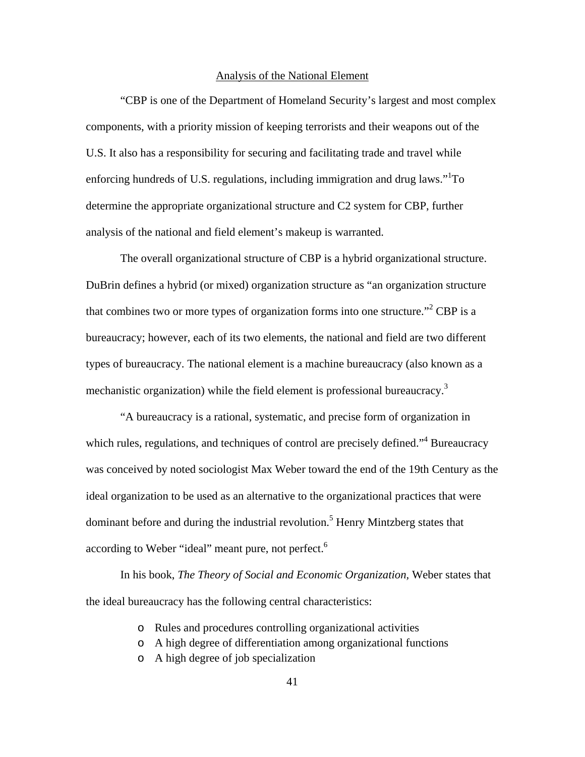## Analysis of the National Element

"CBP is one of the Department of Homeland Security's largest and most complex components, with a priority mission of keeping terrorists and their weapons out of the U.S. It also has a responsibility for securing and facilitating trade and travel while enforcing hundreds of U.S. regulations, including immigration and drug laws." $1T$ O determine the appropriate organizational structure and C2 system for CBP, further analysis of the national and field element's makeup is warranted.

The overall organizational structure of CBP is a hybrid organizational structure. DuBrin defines a hybrid (or mixed) organization structure as "an organization structure that combines two or more types of organization forms into one structure."<sup>2</sup> CBP is a bureaucracy; however, each of its two elements, the national and field are two different types of bureaucracy. The national element is a machine bureaucracy (also known as a mechanistic organization) while the field element is professional bureaucracy.<sup>3</sup>

"A bureaucracy is a rational, systematic, and precise form of organization in which rules, regulations, and techniques of control are precisely defined."<sup>4</sup> Bureaucracy was conceived by noted sociologist Max Weber toward the end of the 19th Century as the ideal organization to be used as an alternative to the organizational practices that were dominant before and during the industrial revolution.<sup>5</sup> Henry Mintzberg states that according to Weber "ideal" meant pure, not perfect.<sup>6</sup>

In his book, *The Theory of Social and Economic Organization,* Weber states that the ideal bureaucracy has the following central characteristics:

- o Rules and procedures controlling organizational activities
- o A high degree of differentiation among organizational functions
- o A high degree of job specialization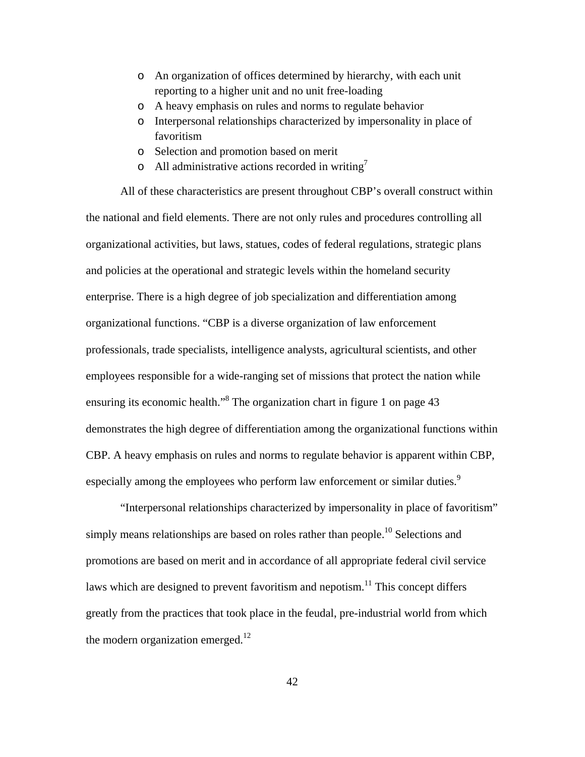- o An organization of offices determined by hierarchy, with each unit reporting to a higher unit and no unit free-loading
- o A heavy emphasis on rules and norms to regulate behavior
- o Interpersonal relationships characterized by impersonality in place of favoritism
- o Selection and promotion based on merit
- o All administrative actions recorded in writing<sup>7</sup>

All of these characteristics are present throughout CBP's overall construct within the national and field elements. There are not only rules and procedures controlling all organizational activities, but laws, statues, codes of federal regulations, strategic plans and policies at the operational and strategic levels within the homeland security enterprise. There is a high degree of job specialization and differentiation among organizational functions. "CBP is a diverse organization of law enforcement professionals, trade specialists, intelligence analysts, agricultural scientists, and other employees responsible for a wide-ranging set of missions that protect the nation while ensuring its economic health."<sup>8</sup> The organization chart in figure 1 on page 43 demonstrates the high degree of differentiation among the organizational functions within CBP. A heavy emphasis on rules and norms to regulate behavior is apparent within CBP, especially among the employees who perform law enforcement or similar duties.<sup>9</sup>

"Interpersonal relationships characterized by impersonality in place of favoritism" simply means relationships are based on roles rather than people.<sup>10</sup> Selections and promotions are based on merit and in accordance of all appropriate federal civil service laws which are designed to prevent favoritism and nepotism.<sup>11</sup> This concept differs greatly from the practices that took place in the feudal, pre-industrial world from which the modern organization emerged. $12$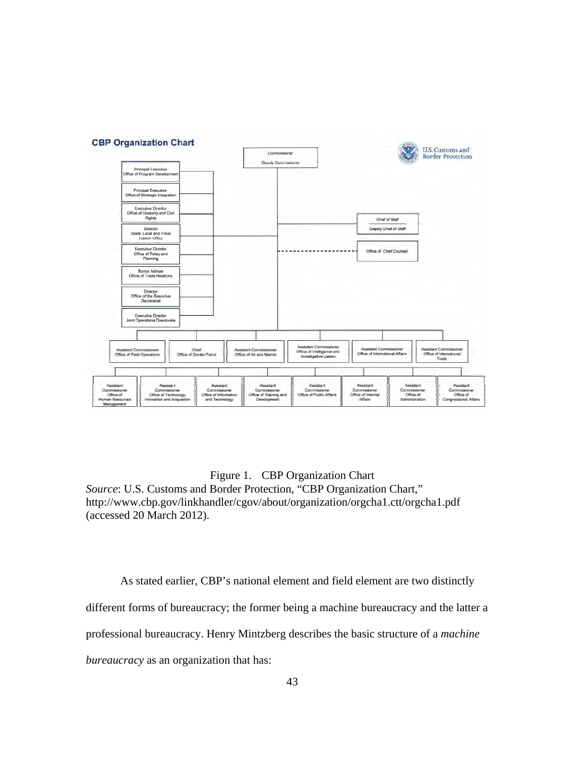

Figure 1. CBP Organization Chart *Source*: U.S. Customs and Border Protection, "CBP Organization Chart," http://www.cbp.gov/linkhandler/cgov/about/organization/orgcha1.ctt/orgcha1.pdf (accessed 20 March 2012).

As stated earlier, CBP's national element and field element are two distinctly different forms of bureaucracy; the former being a machine bureaucracy and the latter a professional bureaucracy. Henry Mintzberg describes the basic structure of a *machine bureaucracy* as an organization that has: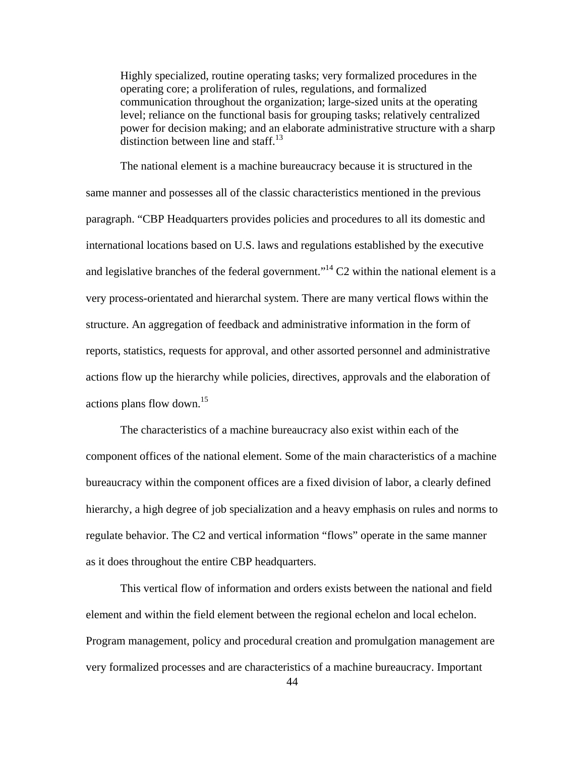Highly specialized, routine operating tasks; very formalized procedures in the operating core; a proliferation of rules, regulations, and formalized communication throughout the organization; large-sized units at the operating level; reliance on the functional basis for grouping tasks; relatively centralized power for decision making; and an elaborate administrative structure with a sharp distinction between line and staff. $^{13}$ 

The national element is a machine bureaucracy because it is structured in the same manner and possesses all of the classic characteristics mentioned in the previous paragraph. "CBP Headquarters provides policies and procedures to all its domestic and international locations based on U.S. laws and regulations established by the executive and legislative branches of the federal government."<sup>14</sup> C2 within the national element is a very process-orientated and hierarchal system. There are many vertical flows within the structure. An aggregation of feedback and administrative information in the form of reports, statistics, requests for approval, and other assorted personnel and administrative actions flow up the hierarchy while policies, directives, approvals and the elaboration of actions plans flow down.<sup>15</sup>

The characteristics of a machine bureaucracy also exist within each of the component offices of the national element. Some of the main characteristics of a machine bureaucracy within the component offices are a fixed division of labor, a clearly defined hierarchy, a high degree of job specialization and a heavy emphasis on rules and norms to regulate behavior. The C2 and vertical information "flows" operate in the same manner as it does throughout the entire CBP headquarters.

This vertical flow of information and orders exists between the national and field element and within the field element between the regional echelon and local echelon. Program management, policy and procedural creation and promulgation management are very formalized processes and are characteristics of a machine bureaucracy. Important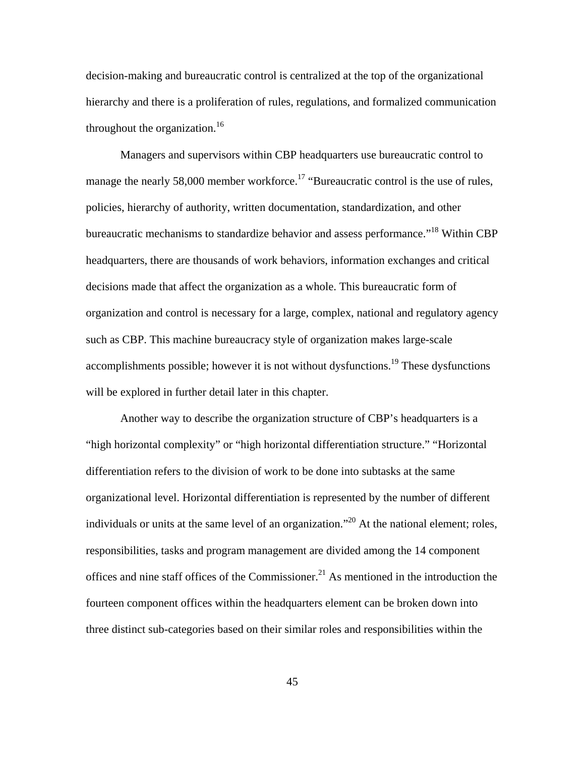decision-making and bureaucratic control is centralized at the top of the organizational hierarchy and there is a proliferation of rules, regulations, and formalized communication throughout the organization.<sup>16</sup>

Managers and supervisors within CBP headquarters use bureaucratic control to manage the nearly 58,000 member workforce.<sup>17</sup> "Bureaucratic control is the use of rules, policies, hierarchy of authority, written documentation, standardization, and other bureaucratic mechanisms to standardize behavior and assess performance."18 Within CBP headquarters, there are thousands of work behaviors, information exchanges and critical decisions made that affect the organization as a whole. This bureaucratic form of organization and control is necessary for a large, complex, national and regulatory agency such as CBP. This machine bureaucracy style of organization makes large-scale accomplishments possible; however it is not without dysfunctions.<sup>19</sup> These dysfunctions will be explored in further detail later in this chapter.

Another way to describe the organization structure of CBP's headquarters is a "high horizontal complexity" or "high horizontal differentiation structure." "Horizontal differentiation refers to the division of work to be done into subtasks at the same organizational level. Horizontal differentiation is represented by the number of different individuals or units at the same level of an organization."<sup>20</sup> At the national element; roles, responsibilities, tasks and program management are divided among the 14 component offices and nine staff offices of the Commissioner.<sup>21</sup> As mentioned in the introduction the fourteen component offices within the headquarters element can be broken down into three distinct sub-categories based on their similar roles and responsibilities within the

45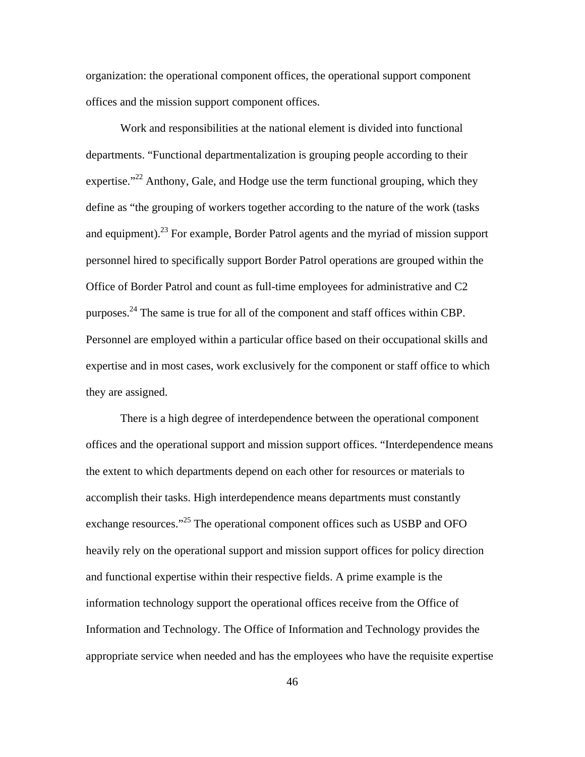organization: the operational component offices, the operational support component offices and the mission support component offices.

Work and responsibilities at the national element is divided into functional departments. "Functional departmentalization is grouping people according to their expertise."<sup>22</sup> Anthony, Gale, and Hodge use the term functional grouping, which they define as "the grouping of workers together according to the nature of the work (tasks and equipment).<sup>23</sup> For example, Border Patrol agents and the myriad of mission support personnel hired to specifically support Border Patrol operations are grouped within the Office of Border Patrol and count as full-time employees for administrative and C2 purposes.<sup>24</sup> The same is true for all of the component and staff offices within CBP. Personnel are employed within a particular office based on their occupational skills and expertise and in most cases, work exclusively for the component or staff office to which they are assigned.

There is a high degree of interdependence between the operational component offices and the operational support and mission support offices. "Interdependence means the extent to which departments depend on each other for resources or materials to accomplish their tasks. High interdependence means departments must constantly exchange resources."<sup>25</sup> The operational component offices such as USBP and OFO heavily rely on the operational support and mission support offices for policy direction and functional expertise within their respective fields. A prime example is the information technology support the operational offices receive from the Office of Information and Technology. The Office of Information and Technology provides the appropriate service when needed and has the employees who have the requisite expertise

46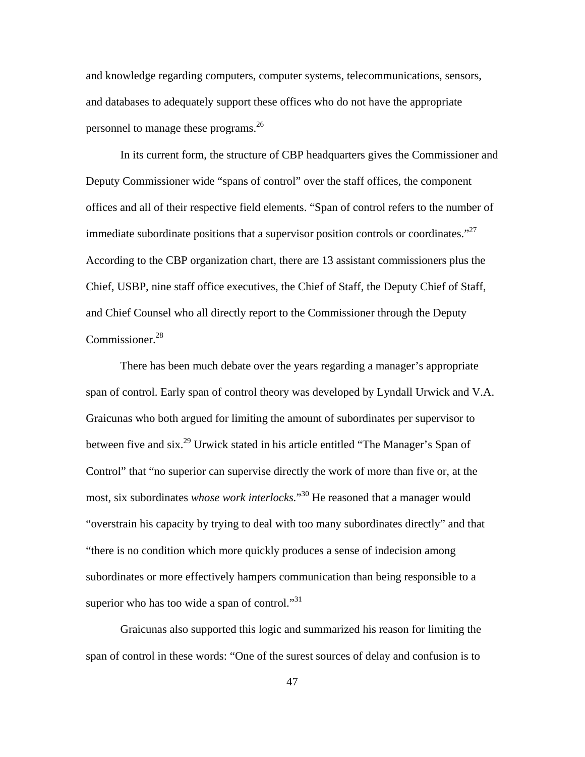and knowledge regarding computers, computer systems, telecommunications, sensors, and databases to adequately support these offices who do not have the appropriate personnel to manage these programs.<sup>26</sup>

In its current form, the structure of CBP headquarters gives the Commissioner and Deputy Commissioner wide "spans of control" over the staff offices, the component offices and all of their respective field elements. "Span of control refers to the number of immediate subordinate positions that a supervisor position controls or coordinates. $^{27}$ According to the CBP organization chart, there are 13 assistant commissioners plus the Chief, USBP, nine staff office executives, the Chief of Staff, the Deputy Chief of Staff, and Chief Counsel who all directly report to the Commissioner through the Deputy Commissioner.<sup>28</sup>

There has been much debate over the years regarding a manager's appropriate span of control. Early span of control theory was developed by Lyndall Urwick and V.A. Graicunas who both argued for limiting the amount of subordinates per supervisor to between five and six.29 Urwick stated in his article entitled "The Manager's Span of Control" that "no superior can supervise directly the work of more than five or, at the most, six subordinates *whose work interlocks.*" 30 He reasoned that a manager would "overstrain his capacity by trying to deal with too many subordinates directly" and that "there is no condition which more quickly produces a sense of indecision among subordinates or more effectively hampers communication than being responsible to a superior who has too wide a span of control."<sup>31</sup>

Graicunas also supported this logic and summarized his reason for limiting the span of control in these words: "One of the surest sources of delay and confusion is to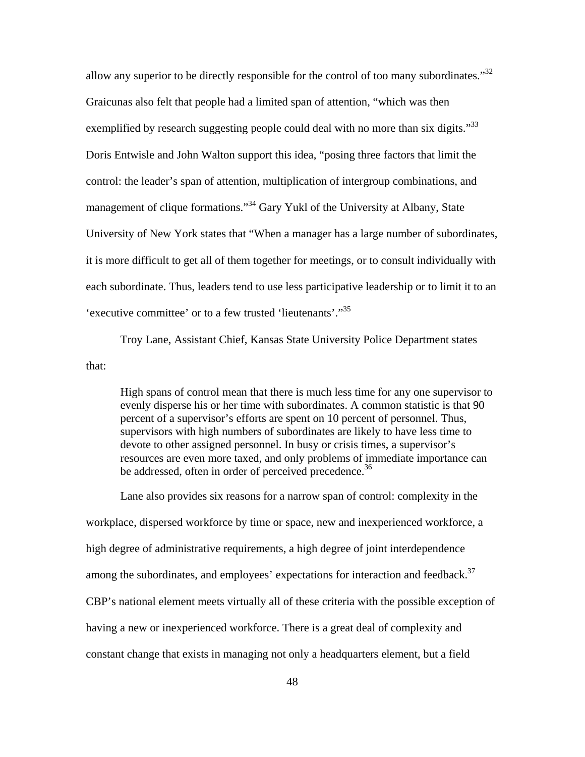allow any superior to be directly responsible for the control of too many subordinates."32 Graicunas also felt that people had a limited span of attention, "which was then exemplified by research suggesting people could deal with no more than six digits."<sup>33</sup> Doris Entwisle and John Walton support this idea, "posing three factors that limit the control: the leader's span of attention, multiplication of intergroup combinations, and management of clique formations."<sup>34</sup> Gary Yukl of the University at Albany, State University of New York states that "When a manager has a large number of subordinates, it is more difficult to get all of them together for meetings, or to consult individually with each subordinate. Thus, leaders tend to use less participative leadership or to limit it to an 'executive committee' or to a few trusted 'lieutenants'."<sup>35</sup>

Troy Lane, Assistant Chief, Kansas State University Police Department states that:

High spans of control mean that there is much less time for any one supervisor to evenly disperse his or her time with subordinates. A common statistic is that 90 percent of a supervisor's efforts are spent on 10 percent of personnel. Thus, supervisors with high numbers of subordinates are likely to have less time to devote to other assigned personnel. In busy or crisis times, a supervisor's resources are even more taxed, and only problems of immediate importance can be addressed, often in order of perceived precedence.<sup>36</sup>

Lane also provides six reasons for a narrow span of control: complexity in the workplace, dispersed workforce by time or space, new and inexperienced workforce, a high degree of administrative requirements, a high degree of joint interdependence among the subordinates, and employees' expectations for interaction and feedback.<sup>37</sup> CBP's national element meets virtually all of these criteria with the possible exception of having a new or inexperienced workforce. There is a great deal of complexity and constant change that exists in managing not only a headquarters element, but a field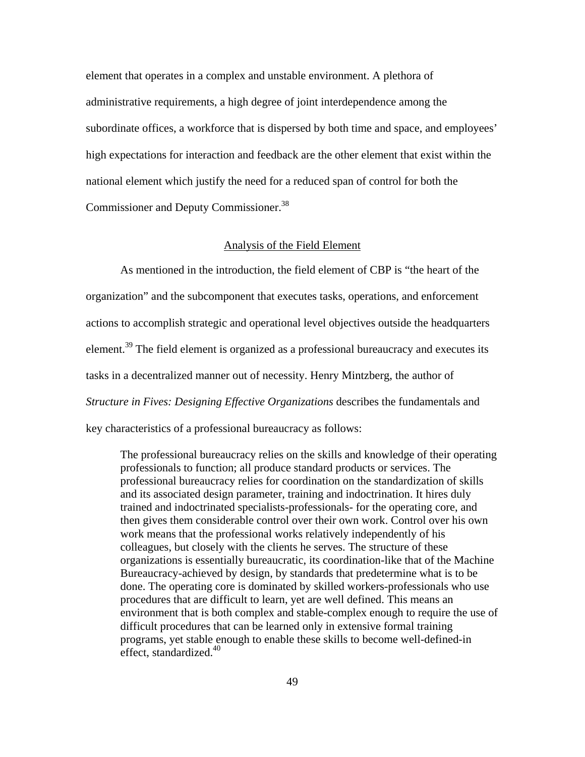element that operates in a complex and unstable environment. A plethora of administrative requirements, a high degree of joint interdependence among the subordinate offices, a workforce that is dispersed by both time and space, and employees' high expectations for interaction and feedback are the other element that exist within the national element which justify the need for a reduced span of control for both the Commissioner and Deputy Commissioner.38

## Analysis of the Field Element

As mentioned in the introduction, the field element of CBP is "the heart of the organization" and the subcomponent that executes tasks, operations, and enforcement actions to accomplish strategic and operational level objectives outside the headquarters element.<sup>39</sup> The field element is organized as a professional bureaucracy and executes its tasks in a decentralized manner out of necessity. Henry Mintzberg, the author of *Structure in Fives: Designing Effective Organizations* describes the fundamentals and key characteristics of a professional bureaucracy as follows:

The professional bureaucracy relies on the skills and knowledge of their operating professionals to function; all produce standard products or services. The professional bureaucracy relies for coordination on the standardization of skills and its associated design parameter, training and indoctrination. It hires duly trained and indoctrinated specialists-professionals- for the operating core, and then gives them considerable control over their own work. Control over his own work means that the professional works relatively independently of his colleagues, but closely with the clients he serves. The structure of these organizations is essentially bureaucratic, its coordination-like that of the Machine Bureaucracy-achieved by design, by standards that predetermine what is to be done. The operating core is dominated by skilled workers-professionals who use procedures that are difficult to learn, yet are well defined. This means an environment that is both complex and stable-complex enough to require the use of difficult procedures that can be learned only in extensive formal training programs, yet stable enough to enable these skills to become well-defined-in effect, standardized. $40$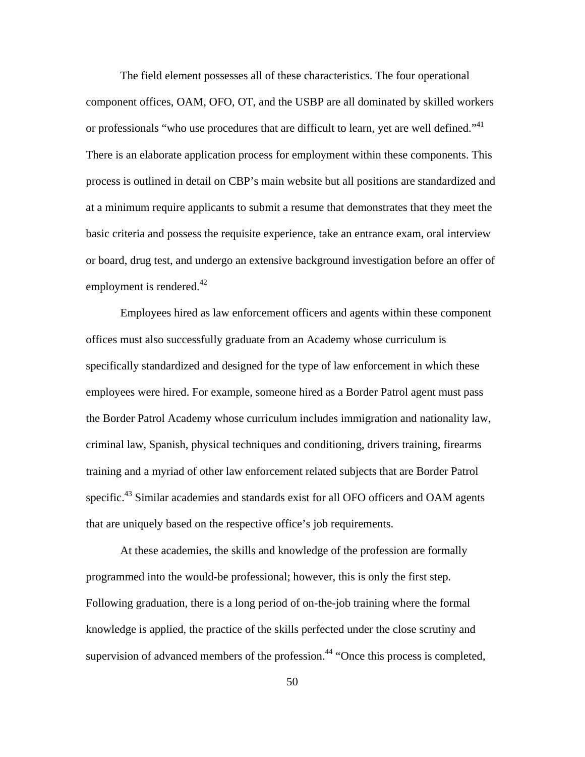The field element possesses all of these characteristics. The four operational component offices, OAM, OFO, OT, and the USBP are all dominated by skilled workers or professionals "who use procedures that are difficult to learn, yet are well defined."<sup>41</sup> There is an elaborate application process for employment within these components. This process is outlined in detail on CBP's main website but all positions are standardized and at a minimum require applicants to submit a resume that demonstrates that they meet the basic criteria and possess the requisite experience, take an entrance exam, oral interview or board, drug test, and undergo an extensive background investigation before an offer of employment is rendered. $42$ 

Employees hired as law enforcement officers and agents within these component offices must also successfully graduate from an Academy whose curriculum is specifically standardized and designed for the type of law enforcement in which these employees were hired. For example, someone hired as a Border Patrol agent must pass the Border Patrol Academy whose curriculum includes immigration and nationality law, criminal law, Spanish, physical techniques and conditioning, drivers training, firearms training and a myriad of other law enforcement related subjects that are Border Patrol specific.<sup>43</sup> Similar academies and standards exist for all OFO officers and OAM agents that are uniquely based on the respective office's job requirements.

At these academies, the skills and knowledge of the profession are formally programmed into the would-be professional; however, this is only the first step. Following graduation, there is a long period of on-the-job training where the formal knowledge is applied, the practice of the skills perfected under the close scrutiny and supervision of advanced members of the profession.<sup>44</sup> "Once this process is completed,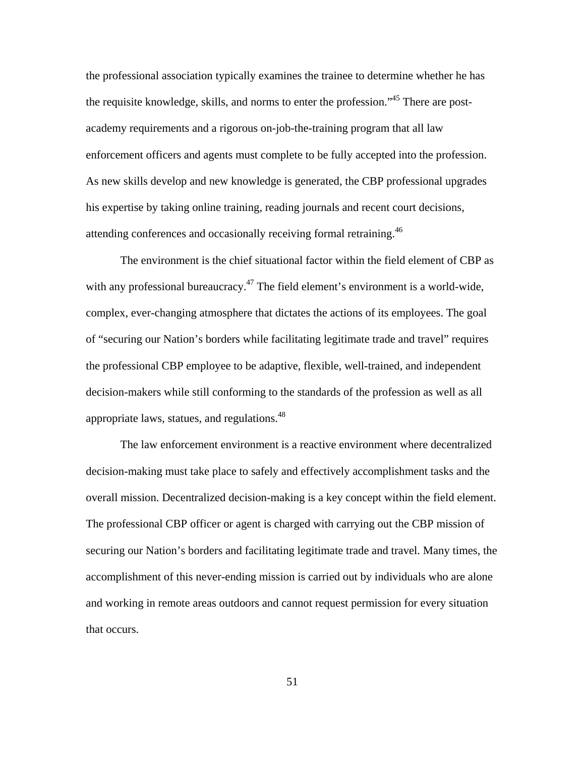the professional association typically examines the trainee to determine whether he has the requisite knowledge, skills, and norms to enter the profession.<sup>45</sup> There are postacademy requirements and a rigorous on-job-the-training program that all law enforcement officers and agents must complete to be fully accepted into the profession. As new skills develop and new knowledge is generated, the CBP professional upgrades his expertise by taking online training, reading journals and recent court decisions, attending conferences and occasionally receiving formal retraining.46

The environment is the chief situational factor within the field element of CBP as with any professional bureaucracy.<sup>47</sup> The field element's environment is a world-wide, complex, ever-changing atmosphere that dictates the actions of its employees. The goal of "securing our Nation's borders while facilitating legitimate trade and travel" requires the professional CBP employee to be adaptive, flexible, well-trained, and independent decision-makers while still conforming to the standards of the profession as well as all appropriate laws, statues, and regulations.<sup>48</sup>

The law enforcement environment is a reactive environment where decentralized decision-making must take place to safely and effectively accomplishment tasks and the overall mission. Decentralized decision-making is a key concept within the field element. The professional CBP officer or agent is charged with carrying out the CBP mission of securing our Nation's borders and facilitating legitimate trade and travel. Many times, the accomplishment of this never-ending mission is carried out by individuals who are alone and working in remote areas outdoors and cannot request permission for every situation that occurs.

51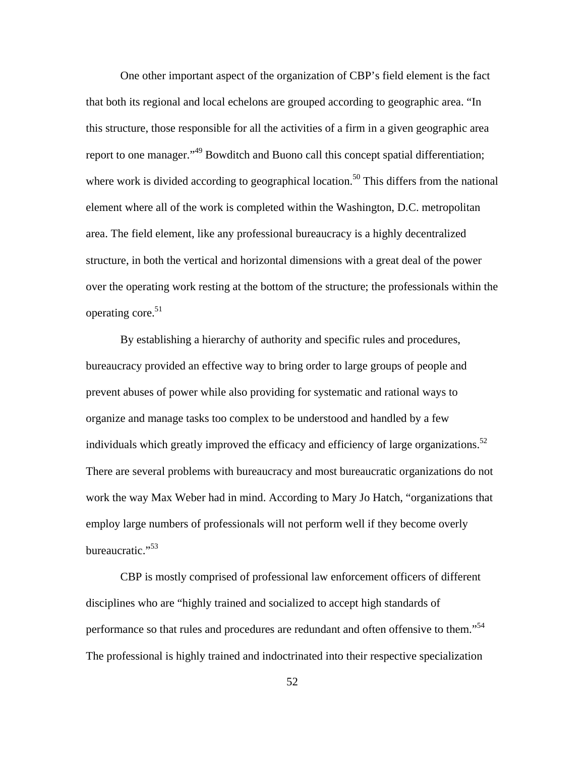One other important aspect of the organization of CBP's field element is the fact that both its regional and local echelons are grouped according to geographic area. "In this structure, those responsible for all the activities of a firm in a given geographic area report to one manager."<sup>49</sup> Bowditch and Buono call this concept spatial differentiation; where work is divided according to geographical location.<sup>50</sup> This differs from the national element where all of the work is completed within the Washington, D.C. metropolitan area. The field element, like any professional bureaucracy is a highly decentralized structure, in both the vertical and horizontal dimensions with a great deal of the power over the operating work resting at the bottom of the structure; the professionals within the operating core.<sup>51</sup>

By establishing a hierarchy of authority and specific rules and procedures, bureaucracy provided an effective way to bring order to large groups of people and prevent abuses of power while also providing for systematic and rational ways to organize and manage tasks too complex to be understood and handled by a few individuals which greatly improved the efficacy and efficiency of large organizations.<sup>52</sup> There are several problems with bureaucracy and most bureaucratic organizations do not work the way Max Weber had in mind. According to Mary Jo Hatch, "organizations that employ large numbers of professionals will not perform well if they become overly bureaucratic."<sup>53</sup>

CBP is mostly comprised of professional law enforcement officers of different disciplines who are "highly trained and socialized to accept high standards of performance so that rules and procedures are redundant and often offensive to them."<sup>54</sup> The professional is highly trained and indoctrinated into their respective specialization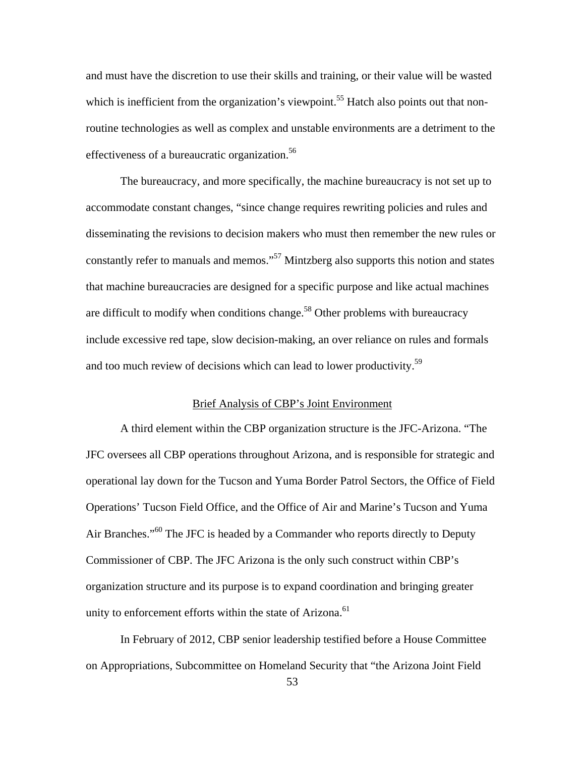and must have the discretion to use their skills and training, or their value will be wasted which is inefficient from the organization's viewpoint.<sup>55</sup> Hatch also points out that nonroutine technologies as well as complex and unstable environments are a detriment to the effectiveness of a bureaucratic organization.<sup>56</sup>

The bureaucracy, and more specifically, the machine bureaucracy is not set up to accommodate constant changes, "since change requires rewriting policies and rules and disseminating the revisions to decision makers who must then remember the new rules or constantly refer to manuals and memos."<sup>57</sup> Mintzberg also supports this notion and states that machine bureaucracies are designed for a specific purpose and like actual machines are difficult to modify when conditions change.<sup>58</sup> Other problems with bureaucracy include excessive red tape, slow decision-making, an over reliance on rules and formals and too much review of decisions which can lead to lower productivity.<sup>59</sup>

### Brief Analysis of CBP's Joint Environment

A third element within the CBP organization structure is the JFC-Arizona. "The JFC oversees all CBP operations throughout Arizona, and is responsible for strategic and operational lay down for the Tucson and Yuma Border Patrol Sectors, the Office of Field Operations' Tucson Field Office, and the Office of Air and Marine's Tucson and Yuma Air Branches."<sup>60</sup> The JFC is headed by a Commander who reports directly to Deputy Commissioner of CBP. The JFC Arizona is the only such construct within CBP's organization structure and its purpose is to expand coordination and bringing greater unity to enforcement efforts within the state of Arizona.<sup>61</sup>

In February of 2012, CBP senior leadership testified before a House Committee on Appropriations, Subcommittee on Homeland Security that "the Arizona Joint Field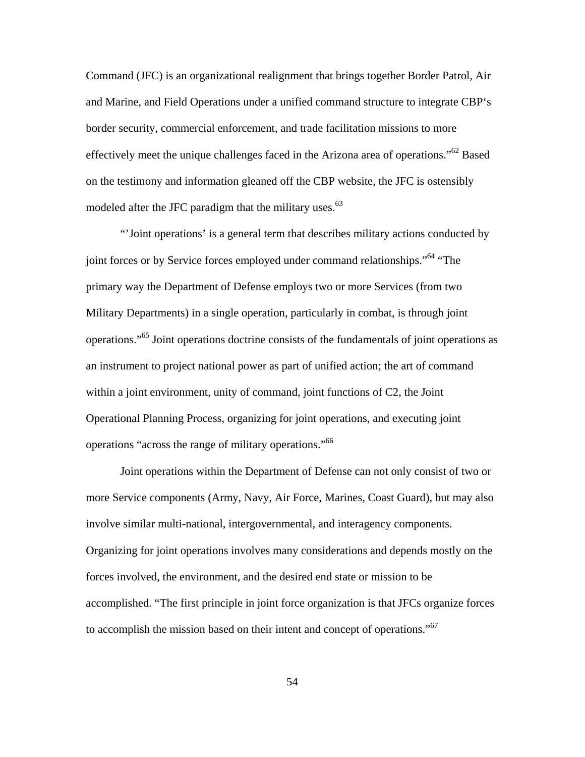Command (JFC) is an organizational realignment that brings together Border Patrol, Air and Marine, and Field Operations under a unified command structure to integrate CBP's border security, commercial enforcement, and trade facilitation missions to more effectively meet the unique challenges faced in the Arizona area of operations."62 Based on the testimony and information gleaned off the CBP website, the JFC is ostensibly modeled after the JFC paradigm that the military uses. $63$ 

"'Joint operations' is a general term that describes military actions conducted by joint forces or by Service forces employed under command relationships."<sup>64</sup> "The primary way the Department of Defense employs two or more Services (from two Military Departments) in a single operation, particularly in combat, is through joint operations."65 Joint operations doctrine consists of the fundamentals of joint operations as an instrument to project national power as part of unified action; the art of command within a joint environment, unity of command, joint functions of C2, the Joint Operational Planning Process, organizing for joint operations, and executing joint operations "across the range of military operations."66

Joint operations within the Department of Defense can not only consist of two or more Service components (Army, Navy, Air Force, Marines, Coast Guard), but may also involve similar multi-national, intergovernmental, and interagency components. Organizing for joint operations involves many considerations and depends mostly on the forces involved, the environment, and the desired end state or mission to be accomplished. "The first principle in joint force organization is that JFCs organize forces to accomplish the mission based on their intent and concept of operations."<sup>67</sup>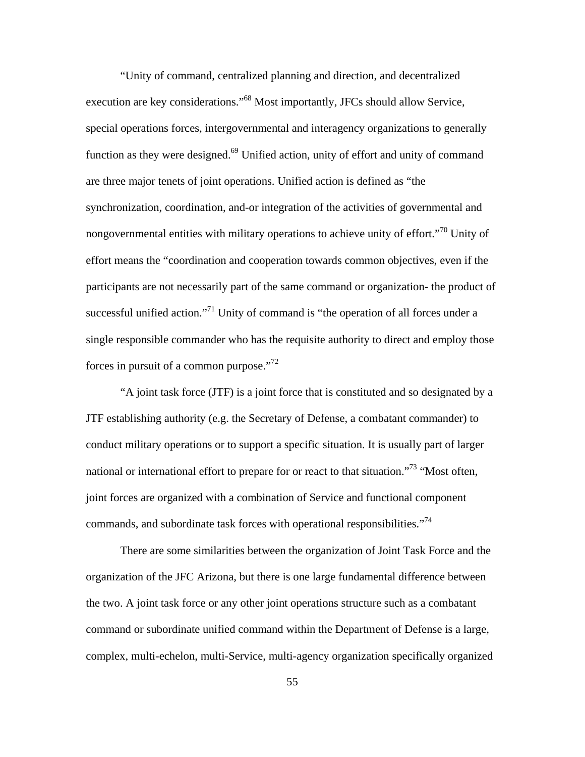"Unity of command, centralized planning and direction, and decentralized execution are key considerations."68 Most importantly, JFCs should allow Service, special operations forces, intergovernmental and interagency organizations to generally function as they were designed.<sup>69</sup> Unified action, unity of effort and unity of command are three major tenets of joint operations. Unified action is defined as "the synchronization, coordination, and-or integration of the activities of governmental and nongovernmental entities with military operations to achieve unity of effort.<sup> $n^{70}$ </sup> Unity of effort means the "coordination and cooperation towards common objectives, even if the participants are not necessarily part of the same command or organization- the product of successful unified action."<sup>71</sup> Unity of command is "the operation of all forces under a single responsible commander who has the requisite authority to direct and employ those forces in pursuit of a common purpose."<sup>72</sup>

"A joint task force (JTF) is a joint force that is constituted and so designated by a JTF establishing authority (e.g. the Secretary of Defense, a combatant commander) to conduct military operations or to support a specific situation. It is usually part of larger national or international effort to prepare for or react to that situation."<sup>73</sup> "Most often, joint forces are organized with a combination of Service and functional component commands, and subordinate task forces with operational responsibilities."<sup>74</sup>

There are some similarities between the organization of Joint Task Force and the organization of the JFC Arizona, but there is one large fundamental difference between the two. A joint task force or any other joint operations structure such as a combatant command or subordinate unified command within the Department of Defense is a large, complex, multi-echelon, multi-Service, multi-agency organization specifically organized

55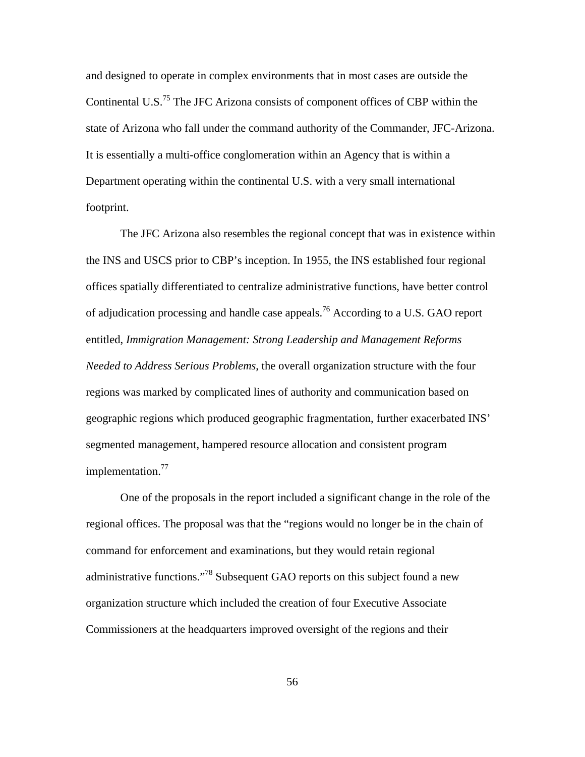and designed to operate in complex environments that in most cases are outside the Continental U.S.<sup>75</sup> The JFC Arizona consists of component offices of CBP within the state of Arizona who fall under the command authority of the Commander, JFC-Arizona. It is essentially a multi-office conglomeration within an Agency that is within a Department operating within the continental U.S. with a very small international footprint.

The JFC Arizona also resembles the regional concept that was in existence within the INS and USCS prior to CBP's inception. In 1955, the INS established four regional offices spatially differentiated to centralize administrative functions, have better control of adjudication processing and handle case appeals.<sup>76</sup> According to a U.S. GAO report entitled, *Immigration Management: Strong Leadership and Management Reforms Needed to Address Serious Problems*, the overall organization structure with the four regions was marked by complicated lines of authority and communication based on geographic regions which produced geographic fragmentation, further exacerbated INS' segmented management, hampered resource allocation and consistent program implementation.<sup>77</sup>

One of the proposals in the report included a significant change in the role of the regional offices. The proposal was that the "regions would no longer be in the chain of command for enforcement and examinations, but they would retain regional administrative functions."78 Subsequent GAO reports on this subject found a new organization structure which included the creation of four Executive Associate Commissioners at the headquarters improved oversight of the regions and their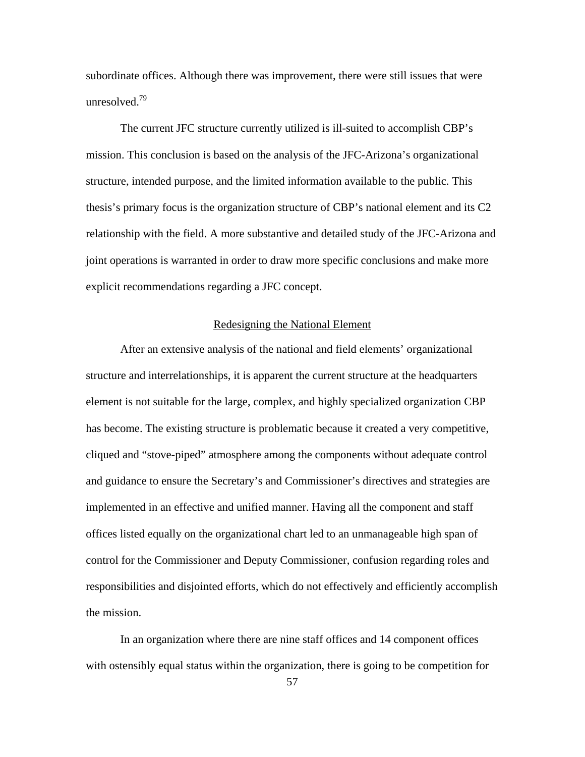subordinate offices. Although there was improvement, there were still issues that were unresolved.79

The current JFC structure currently utilized is ill-suited to accomplish CBP's mission. This conclusion is based on the analysis of the JFC-Arizona's organizational structure, intended purpose, and the limited information available to the public. This thesis's primary focus is the organization structure of CBP's national element and its C2 relationship with the field. A more substantive and detailed study of the JFC-Arizona and joint operations is warranted in order to draw more specific conclusions and make more explicit recommendations regarding a JFC concept.

### Redesigning the National Element

After an extensive analysis of the national and field elements' organizational structure and interrelationships, it is apparent the current structure at the headquarters element is not suitable for the large, complex, and highly specialized organization CBP has become. The existing structure is problematic because it created a very competitive, cliqued and "stove-piped" atmosphere among the components without adequate control and guidance to ensure the Secretary's and Commissioner's directives and strategies are implemented in an effective and unified manner. Having all the component and staff offices listed equally on the organizational chart led to an unmanageable high span of control for the Commissioner and Deputy Commissioner, confusion regarding roles and responsibilities and disjointed efforts, which do not effectively and efficiently accomplish the mission.

In an organization where there are nine staff offices and 14 component offices with ostensibly equal status within the organization, there is going to be competition for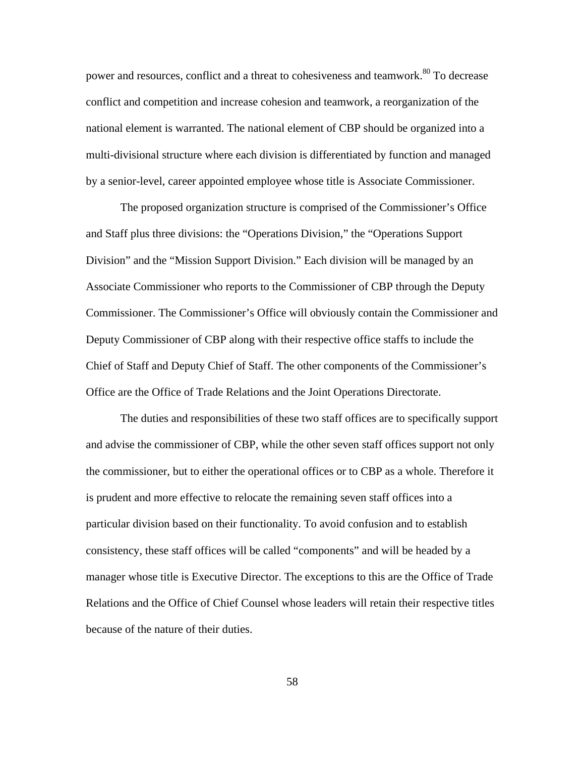power and resources, conflict and a threat to cohesiveness and teamwork.<sup>80</sup> To decrease conflict and competition and increase cohesion and teamwork, a reorganization of the national element is warranted. The national element of CBP should be organized into a multi-divisional structure where each division is differentiated by function and managed by a senior-level, career appointed employee whose title is Associate Commissioner.

The proposed organization structure is comprised of the Commissioner's Office and Staff plus three divisions: the "Operations Division," the "Operations Support Division" and the "Mission Support Division." Each division will be managed by an Associate Commissioner who reports to the Commissioner of CBP through the Deputy Commissioner. The Commissioner's Office will obviously contain the Commissioner and Deputy Commissioner of CBP along with their respective office staffs to include the Chief of Staff and Deputy Chief of Staff. The other components of the Commissioner's Office are the Office of Trade Relations and the Joint Operations Directorate.

The duties and responsibilities of these two staff offices are to specifically support and advise the commissioner of CBP, while the other seven staff offices support not only the commissioner, but to either the operational offices or to CBP as a whole. Therefore it is prudent and more effective to relocate the remaining seven staff offices into a particular division based on their functionality. To avoid confusion and to establish consistency, these staff offices will be called "components" and will be headed by a manager whose title is Executive Director. The exceptions to this are the Office of Trade Relations and the Office of Chief Counsel whose leaders will retain their respective titles because of the nature of their duties.

58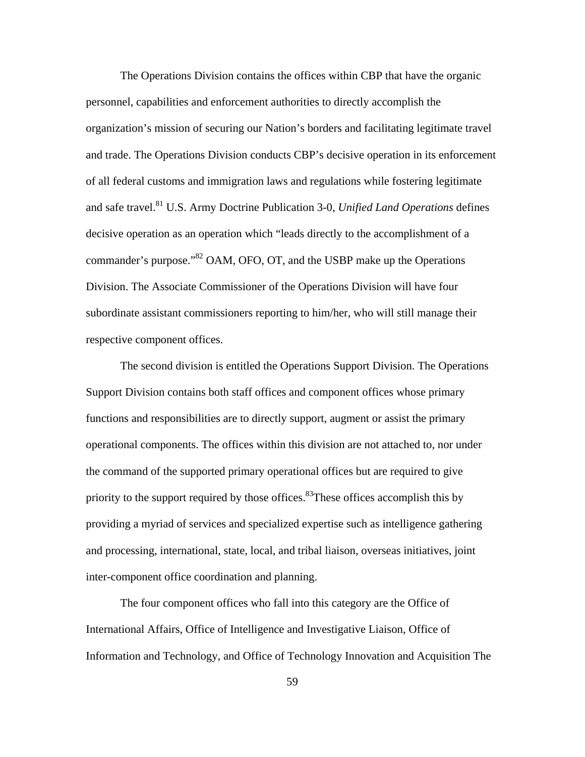The Operations Division contains the offices within CBP that have the organic personnel, capabilities and enforcement authorities to directly accomplish the organization's mission of securing our Nation's borders and facilitating legitimate travel and trade. The Operations Division conducts CBP's decisive operation in its enforcement of all federal customs and immigration laws and regulations while fostering legitimate and safe travel.81 U.S. Army Doctrine Publication 3-0, *Unified Land Operations* defines decisive operation as an operation which "leads directly to the accomplishment of a commander's purpose.<sup> $32$ </sup> OAM, OFO, OT, and the USBP make up the Operations Division. The Associate Commissioner of the Operations Division will have four subordinate assistant commissioners reporting to him/her, who will still manage their respective component offices.

The second division is entitled the Operations Support Division. The Operations Support Division contains both staff offices and component offices whose primary functions and responsibilities are to directly support, augment or assist the primary operational components. The offices within this division are not attached to, nor under the command of the supported primary operational offices but are required to give priority to the support required by those offices.<sup>83</sup>These offices accomplish this by providing a myriad of services and specialized expertise such as intelligence gathering and processing, international, state, local, and tribal liaison, overseas initiatives, joint inter-component office coordination and planning.

The four component offices who fall into this category are the Office of International Affairs, Office of Intelligence and Investigative Liaison, Office of Information and Technology, and Office of Technology Innovation and Acquisition The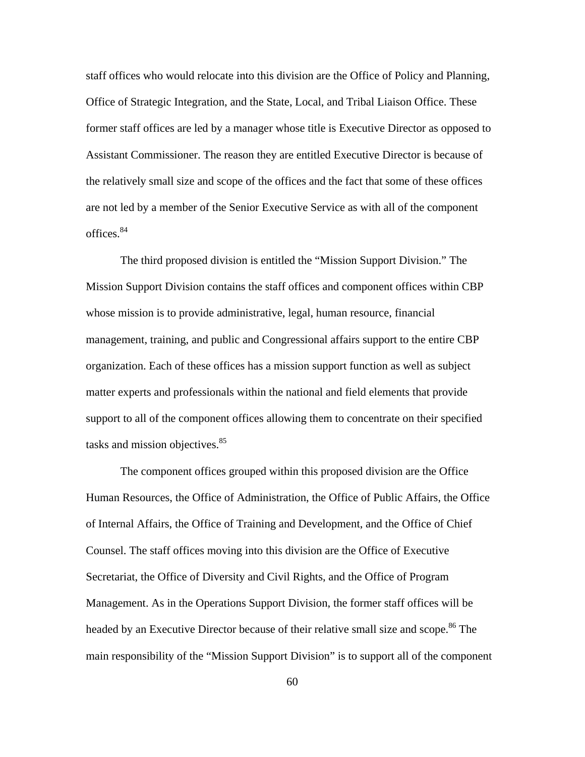staff offices who would relocate into this division are the Office of Policy and Planning, Office of Strategic Integration, and the State, Local, and Tribal Liaison Office. These former staff offices are led by a manager whose title is Executive Director as opposed to Assistant Commissioner. The reason they are entitled Executive Director is because of the relatively small size and scope of the offices and the fact that some of these offices are not led by a member of the Senior Executive Service as with all of the component offices. 84

The third proposed division is entitled the "Mission Support Division." The Mission Support Division contains the staff offices and component offices within CBP whose mission is to provide administrative, legal, human resource, financial management, training, and public and Congressional affairs support to the entire CBP organization. Each of these offices has a mission support function as well as subject matter experts and professionals within the national and field elements that provide support to all of the component offices allowing them to concentrate on their specified tasks and mission objectives.<sup>85</sup>

The component offices grouped within this proposed division are the Office Human Resources, the Office of Administration, the Office of Public Affairs, the Office of Internal Affairs, the Office of Training and Development, and the Office of Chief Counsel. The staff offices moving into this division are the Office of Executive Secretariat, the Office of Diversity and Civil Rights, and the Office of Program Management. As in the Operations Support Division, the former staff offices will be headed by an Executive Director because of their relative small size and scope.<sup>86</sup> The main responsibility of the "Mission Support Division" is to support all of the component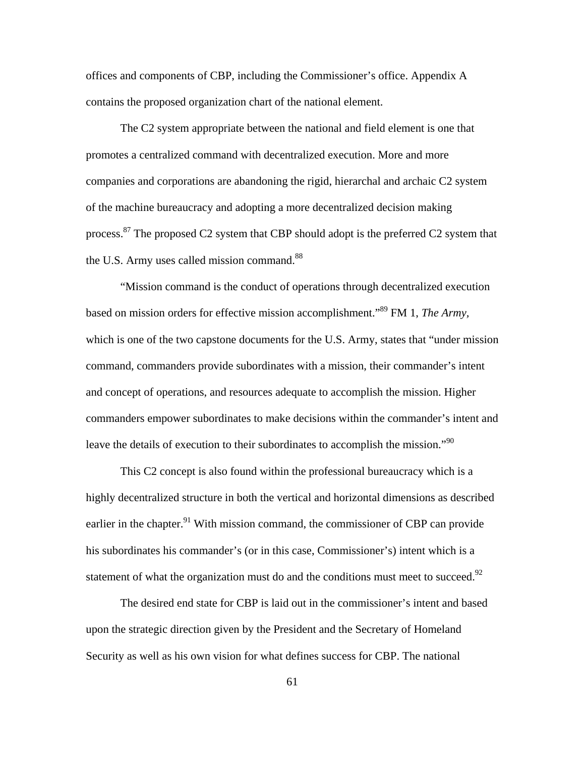offices and components of CBP, including the Commissioner's office. Appendix A contains the proposed organization chart of the national element.

The C2 system appropriate between the national and field element is one that promotes a centralized command with decentralized execution. More and more companies and corporations are abandoning the rigid, hierarchal and archaic C2 system of the machine bureaucracy and adopting a more decentralized decision making process.<sup>87</sup> The proposed C2 system that CBP should adopt is the preferred C2 system that the U.S. Army uses called mission command.<sup>88</sup>

"Mission command is the conduct of operations through decentralized execution based on mission orders for effective mission accomplishment."89 FM 1, *The Army,*  which is one of the two capstone documents for the U.S. Army, states that "under mission command, commanders provide subordinates with a mission, their commander's intent and concept of operations, and resources adequate to accomplish the mission. Higher commanders empower subordinates to make decisions within the commander's intent and leave the details of execution to their subordinates to accomplish the mission."<sup>90</sup>

This C2 concept is also found within the professional bureaucracy which is a highly decentralized structure in both the vertical and horizontal dimensions as described earlier in the chapter.<sup>91</sup> With mission command, the commissioner of CBP can provide his subordinates his commander's (or in this case, Commissioner's) intent which is a statement of what the organization must do and the conditions must meet to succeed.<sup>92</sup>

The desired end state for CBP is laid out in the commissioner's intent and based upon the strategic direction given by the President and the Secretary of Homeland Security as well as his own vision for what defines success for CBP. The national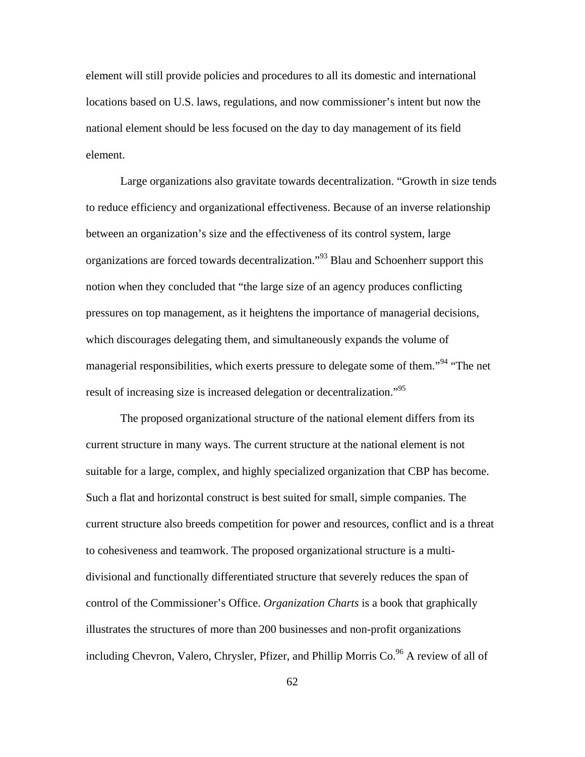element will still provide policies and procedures to all its domestic and international locations based on U.S. laws, regulations, and now commissioner's intent but now the national element should be less focused on the day to day management of its field element.

Large organizations also gravitate towards decentralization. "Growth in size tends to reduce efficiency and organizational effectiveness. Because of an inverse relationship between an organization's size and the effectiveness of its control system, large organizations are forced towards decentralization.<sup>"93</sup> Blau and Schoenherr support this notion when they concluded that "the large size of an agency produces conflicting pressures on top management, as it heightens the importance of managerial decisions, which discourages delegating them, and simultaneously expands the volume of managerial responsibilities, which exerts pressure to delegate some of them."<sup>94</sup> "The net result of increasing size is increased delegation or decentralization."<sup>95</sup>

The proposed organizational structure of the national element differs from its current structure in many ways. The current structure at the national element is not suitable for a large, complex, and highly specialized organization that CBP has become. Such a flat and horizontal construct is best suited for small, simple companies. The current structure also breeds competition for power and resources, conflict and is a threat to cohesiveness and teamwork. The proposed organizational structure is a multidivisional and functionally differentiated structure that severely reduces the span of control of the Commissioner's Office. *Organization Charts* is a book that graphically illustrates the structures of more than 200 businesses and non-profit organizations including Chevron, Valero, Chrysler, Pfizer, and Phillip Morris  $Co^{96}$  A review of all of

62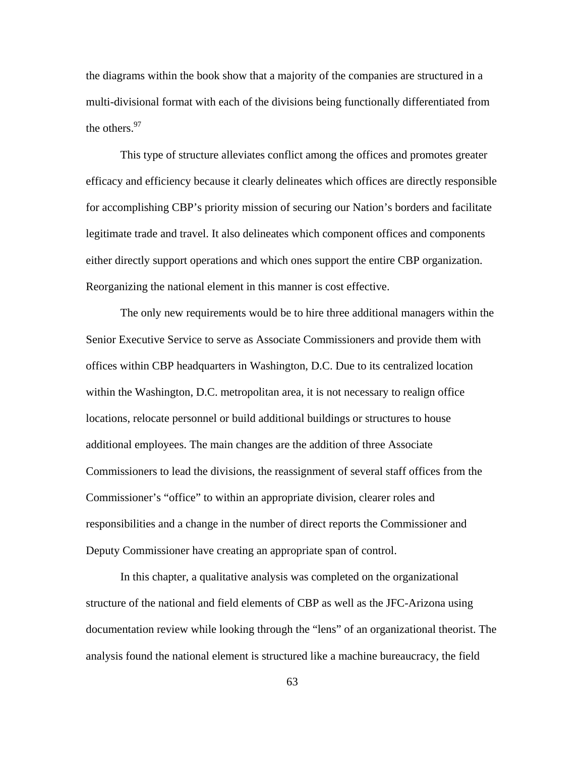the diagrams within the book show that a majority of the companies are structured in a multi-divisional format with each of the divisions being functionally differentiated from the others.<sup>97</sup>

This type of structure alleviates conflict among the offices and promotes greater efficacy and efficiency because it clearly delineates which offices are directly responsible for accomplishing CBP's priority mission of securing our Nation's borders and facilitate legitimate trade and travel. It also delineates which component offices and components either directly support operations and which ones support the entire CBP organization. Reorganizing the national element in this manner is cost effective.

The only new requirements would be to hire three additional managers within the Senior Executive Service to serve as Associate Commissioners and provide them with offices within CBP headquarters in Washington, D.C. Due to its centralized location within the Washington, D.C. metropolitan area, it is not necessary to realign office locations, relocate personnel or build additional buildings or structures to house additional employees. The main changes are the addition of three Associate Commissioners to lead the divisions, the reassignment of several staff offices from the Commissioner's "office" to within an appropriate division, clearer roles and responsibilities and a change in the number of direct reports the Commissioner and Deputy Commissioner have creating an appropriate span of control.

In this chapter, a qualitative analysis was completed on the organizational structure of the national and field elements of CBP as well as the JFC-Arizona using documentation review while looking through the "lens" of an organizational theorist. The analysis found the national element is structured like a machine bureaucracy, the field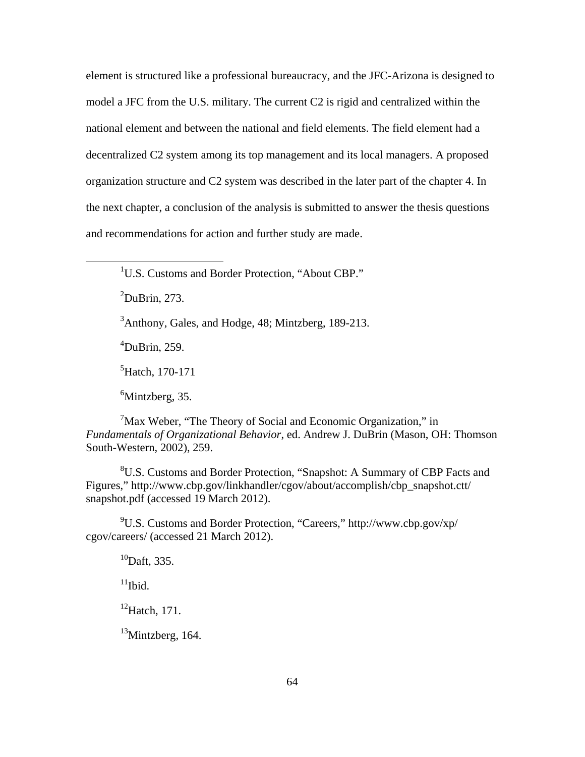element is structured like a professional bureaucracy, and the JFC-Arizona is designed to model a JFC from the U.S. military. The current C2 is rigid and centralized within the national element and between the national and field elements. The field element had a decentralized C2 system among its top management and its local managers. A proposed organization structure and C2 system was described in the later part of the chapter 4. In the next chapter, a conclusion of the analysis is submitted to answer the thesis questions and recommendations for action and further study are made.

<sup>1</sup>U.S. Customs and Border Protection, "About CBP."

 $2$ DuBrin, 273.

 $\overline{a}$ 

 $3$ Anthony, Gales, and Hodge, 48; Mintzberg, 189-213.

4 DuBrin, 259.

5 Hatch, 170-171

<sup>6</sup>Mintzberg, 35.

<sup>7</sup>Max Weber, "The Theory of Social and Economic Organization," in *Fundamentals of Organizational Behavior*, ed. Andrew J. DuBrin (Mason, OH: Thomson South-Western, 2002), 259.

<sup>8</sup>U.S. Customs and Border Protection, "Snapshot: A Summary of CBP Facts and Figures," http://www.cbp.gov/linkhandler/cgov/about/accomplish/cbp\_snapshot.ctt/ snapshot.pdf (accessed 19 March 2012).

9 U.S. Customs and Border Protection, "Careers," http://www.cbp.gov/xp/ cgov/careers/ (accessed 21 March 2012).

 $^{10}$ Daft, 335.

 $11$ Ibid.

 $^{12}$ Hatch, 171.

 $13$ Mintzberg, 164.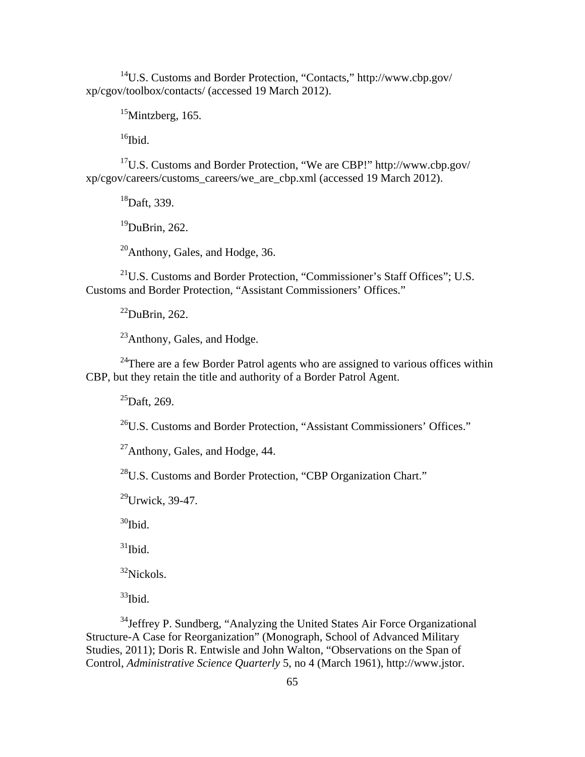14U.S. Customs and Border Protection, "Contacts," http://www.cbp.gov/ xp/cgov/toolbox/contacts/ (accessed 19 March 2012).

 $15$ Mintzberg, 165.

 $16$ Ibid.

17U.S. Customs and Border Protection, "We are CBP!" http://www.cbp.gov/ xp/cgov/careers/customs\_careers/we\_are\_cbp.xml (accessed 19 March 2012).

18Daft, 339.

 $19$ DuBrin, 262.

20Anthony, Gales, and Hodge, 36.

<sup>21</sup>U.S. Customs and Border Protection, "Commissioner's Staff Offices"; U.S. Customs and Border Protection, "Assistant Commissioners' Offices."

 $^{22}$ DuBrin, 262.

<sup>23</sup>Anthony, Gales, and Hodge.

<sup>24</sup>There are a few Border Patrol agents who are assigned to various offices within CBP, but they retain the title and authority of a Border Patrol Agent.

 $^{25}$ Daft, 269.

26U.S. Customs and Border Protection, "Assistant Commissioners' Offices."

27Anthony, Gales, and Hodge, 44.

28U.S. Customs and Border Protection, "CBP Organization Chart."

 $^{29}$ Urwick, 39-47.

 $30$ Ibid.

 $31$ Ibid.

 $32$ Nickols.

 $33$ Ibid.

<sup>34</sup> Jeffrey P. Sundberg, "Analyzing the United States Air Force Organizational Structure-A Case for Reorganization" (Monograph, School of Advanced Military Studies, 2011); Doris R. Entwisle and John Walton, "Observations on the Span of Control, *Administrative Science Quarterly* 5, no 4 (March 1961), http://www.jstor.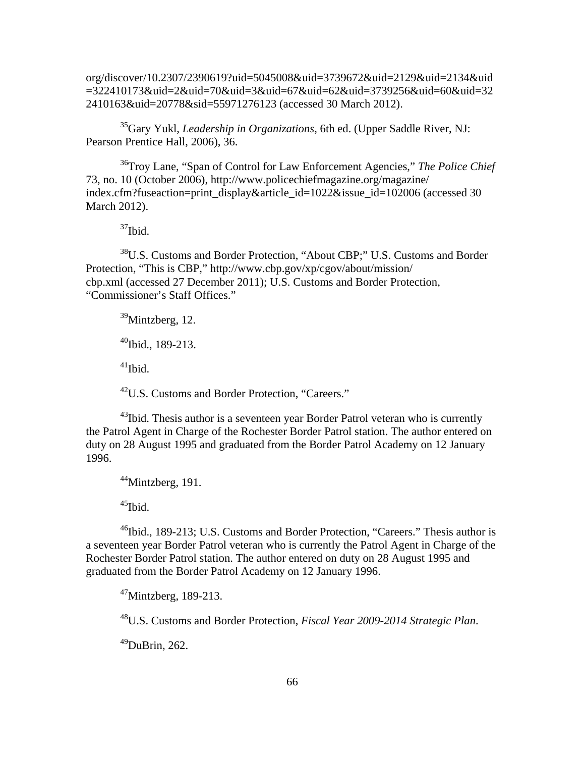org/discover/10.2307/2390619?uid=5045008&uid=3739672&uid=2129&uid=2134&uid =322410173&uid=2&uid=70&uid=3&uid=67&uid=62&uid=3739256&uid=60&uid=32 2410163&uid=20778&sid=55971276123 (accessed 30 March 2012).

35Gary Yukl, *Leadership in Organizations*, 6th ed. (Upper Saddle River, NJ: Pearson Prentice Hall, 2006), 36.

36Troy Lane, "Span of Control for Law Enforcement Agencies," *The Police Chief*  73, no. 10 (October 2006), http://www.policechiefmagazine.org/magazine/ index.cfm?fuseaction=print\_display&article\_id=1022&issue\_id=102006 (accessed 30 March 2012).

 $37$ Ibid.

<sup>38</sup>U.S. Customs and Border Protection, "About CBP;" U.S. Customs and Border Protection, "This is CBP," http://www.cbp.gov/xp/cgov/about/mission/ cbp.xml (accessed 27 December 2011); U.S. Customs and Border Protection, "Commissioner's Staff Offices."

 $39$ Mintzberg, 12.  $^{40}$ Ibid., 189-213.

 $^{41}$ Ibid.

<sup>42</sup>U.S. Customs and Border Protection, "Careers."

 $43$ Ibid. Thesis author is a seventeen year Border Patrol veteran who is currently the Patrol Agent in Charge of the Rochester Border Patrol station. The author entered on duty on 28 August 1995 and graduated from the Border Patrol Academy on 12 January 1996.

 $44$ Mintzberg, 191.

 $45$ Ibid.

<sup>46</sup>Ibid., 189-213; U.S. Customs and Border Protection, "Careers." Thesis author is a seventeen year Border Patrol veteran who is currently the Patrol Agent in Charge of the Rochester Border Patrol station. The author entered on duty on 28 August 1995 and graduated from the Border Patrol Academy on 12 January 1996.

 $47$ Mintzberg, 189-213.

48U.S. Customs and Border Protection, *Fiscal Year 2009-2014 Strategic Plan*.

 $^{49}$ DuBrin, 262.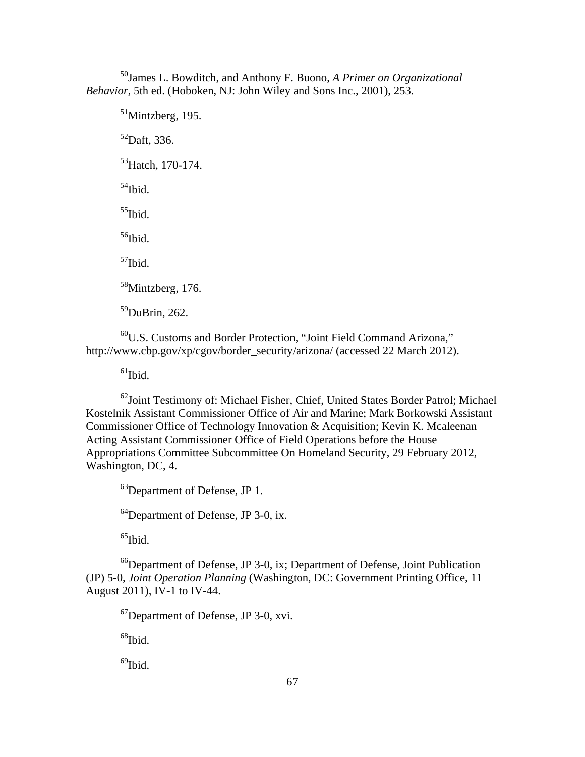50James L. Bowditch, and Anthony F. Buono, *A Primer on Organizational Behavior,* 5th ed. (Hoboken, NJ: John Wiley and Sons Inc., 2001), 253.

 $<sup>51</sup>$ Mintzberg, 195.</sup>  $52$ Daft, 336. <sup>53</sup>Hatch, 170-174.  $54$ Ibid.  $55$ Ibid.  $^{56}\mathrm{Ibid.}$  $57$ Ibid. 58Mintzberg, 176.  $59$ DuBrin, 262.

60U.S. Customs and Border Protection, "Joint Field Command Arizona," http://www.cbp.gov/xp/cgov/border\_security/arizona/ (accessed 22 March 2012).

 $<sup>61</sup>$ Ibid.</sup>

 $^{62}$ Joint Testimony of: Michael Fisher, Chief, United States Border Patrol; Michael Kostelnik Assistant Commissioner Office of Air and Marine; Mark Borkowski Assistant Commissioner Office of Technology Innovation & Acquisition; Kevin K. Mcaleenan Acting Assistant Commissioner Office of Field Operations before the House Appropriations Committee Subcommittee On Homeland Security, 29 February 2012, Washington, DC, 4.

63Department of Defense, JP 1.

64Department of Defense, JP 3-0, ix.

 $65$ Ibid.

 $^{66}$ Department of Defense, JP 3-0, ix; Department of Defense, Joint Publication (JP) 5-0, *Joint Operation Planning* (Washington, DC: Government Printing Office, 11 August 2011), IV-1 to IV-44.

67Department of Defense, JP 3-0, xvi.

 $^{68}$  Ibid.

 $^{69}$ Ibid.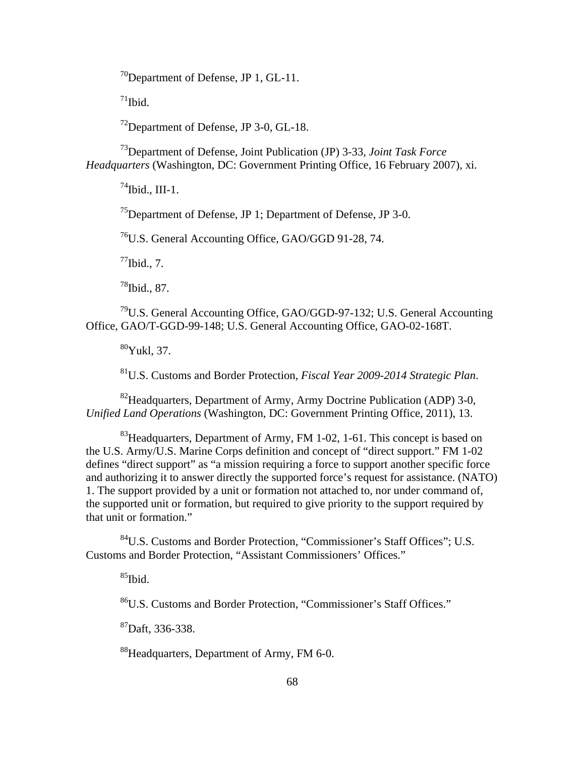$^{70}$ Department of Defense, JP 1, GL-11.

 $71$ Ibid.

72Department of Defense, JP 3-0, GL-18.

73Department of Defense, Joint Publication (JP) 3-33, *Joint Task Force Headquarters* (Washington, DC: Government Printing Office, 16 February 2007), xi.

 $^{74}$ Ibid., III-1.

75Department of Defense, JP 1; Department of Defense, JP 3-0.

76U.S. General Accounting Office, GAO/GGD 91-28, 74.

 $^{77}$ Ibid., 7.

 $^{78}$ Ibid., 87.

79U.S. General Accounting Office, GAO/GGD-97-132; U.S. General Accounting Office, GAO/T-GGD-99-148; U.S. General Accounting Office, GAO-02-168T.

80Yukl, 37.

81U.S. Customs and Border Protection, *Fiscal Year 2009-2014 Strategic Plan*.

82Headquarters, Department of Army, Army Doctrine Publication (ADP) 3-0, *Unified Land Operations* (Washington, DC: Government Printing Office, 2011), 13.

 $83$ Headquarters, Department of Army, FM 1-02, 1-61. This concept is based on the U.S. Army/U.S. Marine Corps definition and concept of "direct support." FM 1-02 defines "direct support" as "a mission requiring a force to support another specific force and authorizing it to answer directly the supported force's request for assistance. (NATO) 1. The support provided by a unit or formation not attached to, nor under command of, the supported unit or formation, but required to give priority to the support required by that unit or formation."

84U.S. Customs and Border Protection, "Commissioner's Staff Offices"; U.S. Customs and Border Protection, "Assistant Commissioners' Offices."

 $85$ Ibid.

86U.S. Customs and Border Protection, "Commissioner's Staff Offices."

 ${}^{87}$ Daft, 336-338.

<sup>88</sup>Headquarters, Department of Army, FM 6-0.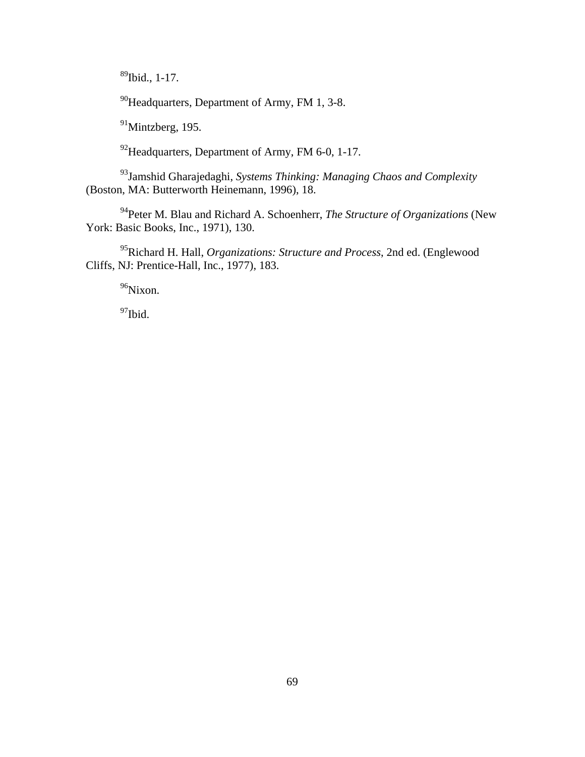$89$ Ibid., 1-17.

<sup>90</sup>Headquarters, Department of Army, FM 1, 3-8.

 $91$ Mintzberg, 195.

<sup>92</sup>Headquarters, Department of Army, FM 6-0, 1-17.

93Jamshid Gharajedaghi, *Systems Thinking: Managing Chaos and Complexity*  (Boston, MA: Butterworth Heinemann, 1996), 18.

94Peter M. Blau and Richard A. Schoenherr, *The Structure of Organizations* (New York: Basic Books, Inc., 1971), 130.

95Richard H. Hall, *Organizations: Structure and Process*, 2nd ed. (Englewood Cliffs, NJ: Prentice-Hall, Inc., 1977), 183.

<sup>96</sup>Nixon.

<sup>97</sup>Ibid.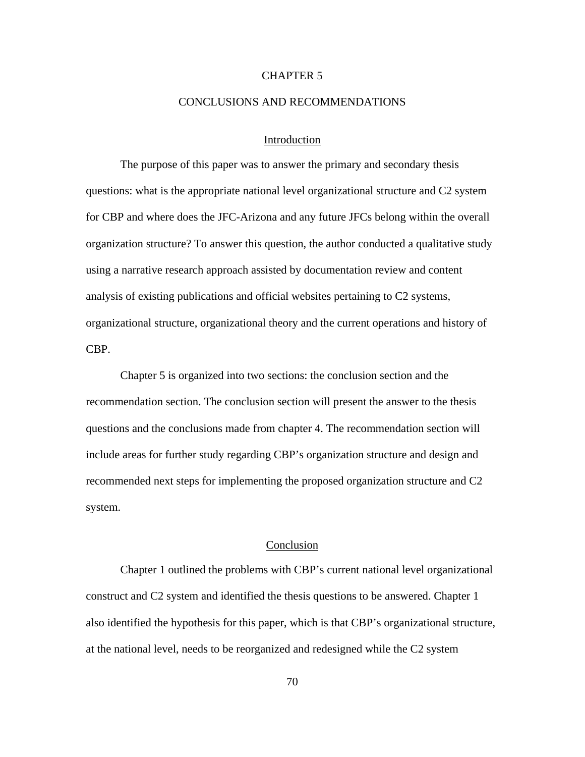# CHAPTER 5

## CONCLUSIONS AND RECOMMENDATIONS

# Introduction

The purpose of this paper was to answer the primary and secondary thesis questions: what is the appropriate national level organizational structure and C2 system for CBP and where does the JFC-Arizona and any future JFCs belong within the overall organization structure? To answer this question, the author conducted a qualitative study using a narrative research approach assisted by documentation review and content analysis of existing publications and official websites pertaining to C2 systems, organizational structure, organizational theory and the current operations and history of CBP.

Chapter 5 is organized into two sections: the conclusion section and the recommendation section. The conclusion section will present the answer to the thesis questions and the conclusions made from chapter 4. The recommendation section will include areas for further study regarding CBP's organization structure and design and recommended next steps for implementing the proposed organization structure and C2 system.

## Conclusion

Chapter 1 outlined the problems with CBP's current national level organizational construct and C2 system and identified the thesis questions to be answered. Chapter 1 also identified the hypothesis for this paper, which is that CBP's organizational structure, at the national level, needs to be reorganized and redesigned while the C2 system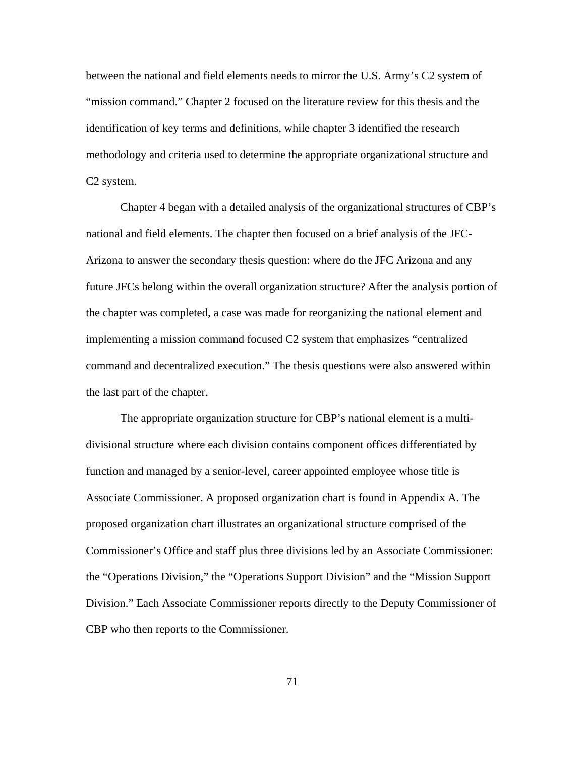between the national and field elements needs to mirror the U.S. Army's C2 system of "mission command." Chapter 2 focused on the literature review for this thesis and the identification of key terms and definitions, while chapter 3 identified the research methodology and criteria used to determine the appropriate organizational structure and C2 system.

Chapter 4 began with a detailed analysis of the organizational structures of CBP's national and field elements. The chapter then focused on a brief analysis of the JFC-Arizona to answer the secondary thesis question: where do the JFC Arizona and any future JFCs belong within the overall organization structure? After the analysis portion of the chapter was completed, a case was made for reorganizing the national element and implementing a mission command focused C2 system that emphasizes "centralized command and decentralized execution." The thesis questions were also answered within the last part of the chapter.

The appropriate organization structure for CBP's national element is a multidivisional structure where each division contains component offices differentiated by function and managed by a senior-level, career appointed employee whose title is Associate Commissioner. A proposed organization chart is found in Appendix A. The proposed organization chart illustrates an organizational structure comprised of the Commissioner's Office and staff plus three divisions led by an Associate Commissioner: the "Operations Division," the "Operations Support Division" and the "Mission Support Division." Each Associate Commissioner reports directly to the Deputy Commissioner of CBP who then reports to the Commissioner.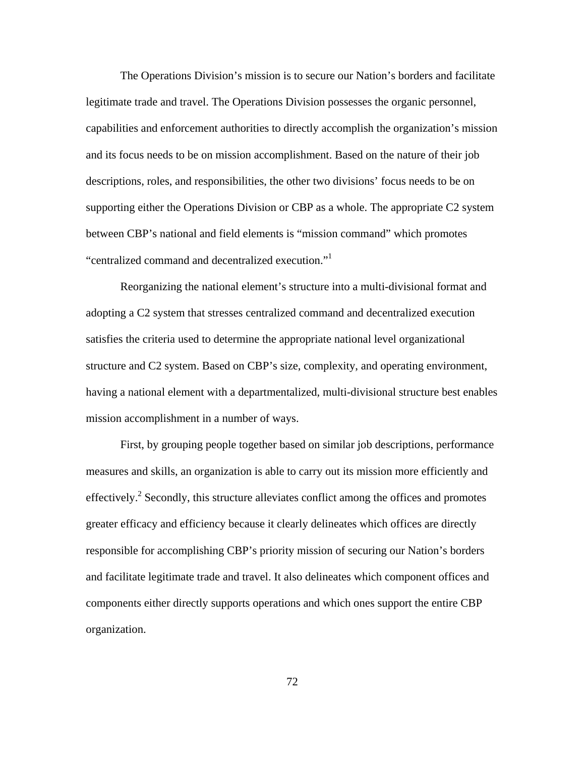The Operations Division's mission is to secure our Nation's borders and facilitate legitimate trade and travel. The Operations Division possesses the organic personnel, capabilities and enforcement authorities to directly accomplish the organization's mission and its focus needs to be on mission accomplishment. Based on the nature of their job descriptions, roles, and responsibilities, the other two divisions' focus needs to be on supporting either the Operations Division or CBP as a whole. The appropriate C2 system between CBP's national and field elements is "mission command" which promotes "centralized command and decentralized execution."

Reorganizing the national element's structure into a multi-divisional format and adopting a C2 system that stresses centralized command and decentralized execution satisfies the criteria used to determine the appropriate national level organizational structure and C2 system. Based on CBP's size, complexity, and operating environment, having a national element with a departmentalized, multi-divisional structure best enables mission accomplishment in a number of ways.

First, by grouping people together based on similar job descriptions, performance measures and skills, an organization is able to carry out its mission more efficiently and effectively.<sup>2</sup> Secondly, this structure alleviates conflict among the offices and promotes greater efficacy and efficiency because it clearly delineates which offices are directly responsible for accomplishing CBP's priority mission of securing our Nation's borders and facilitate legitimate trade and travel. It also delineates which component offices and components either directly supports operations and which ones support the entire CBP organization.

72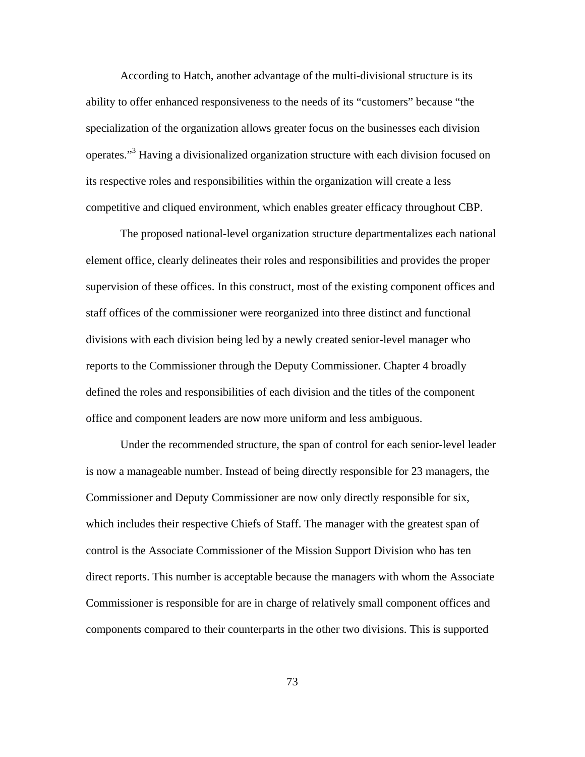According to Hatch, another advantage of the multi-divisional structure is its ability to offer enhanced responsiveness to the needs of its "customers" because "the specialization of the organization allows greater focus on the businesses each division operates."<sup>3</sup> Having a divisionalized organization structure with each division focused on its respective roles and responsibilities within the organization will create a less competitive and cliqued environment, which enables greater efficacy throughout CBP.

The proposed national-level organization structure departmentalizes each national element office, clearly delineates their roles and responsibilities and provides the proper supervision of these offices. In this construct, most of the existing component offices and staff offices of the commissioner were reorganized into three distinct and functional divisions with each division being led by a newly created senior-level manager who reports to the Commissioner through the Deputy Commissioner. Chapter 4 broadly defined the roles and responsibilities of each division and the titles of the component office and component leaders are now more uniform and less ambiguous.

Under the recommended structure, the span of control for each senior-level leader is now a manageable number. Instead of being directly responsible for 23 managers, the Commissioner and Deputy Commissioner are now only directly responsible for six, which includes their respective Chiefs of Staff. The manager with the greatest span of control is the Associate Commissioner of the Mission Support Division who has ten direct reports. This number is acceptable because the managers with whom the Associate Commissioner is responsible for are in charge of relatively small component offices and components compared to their counterparts in the other two divisions. This is supported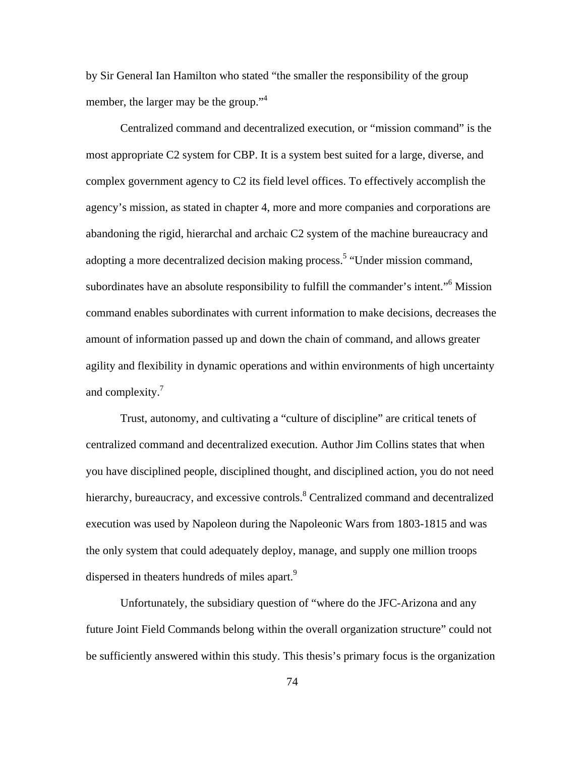by Sir General Ian Hamilton who stated "the smaller the responsibility of the group member, the larger may be the group."<sup>4</sup>

Centralized command and decentralized execution, or "mission command" is the most appropriate C2 system for CBP. It is a system best suited for a large, diverse, and complex government agency to C2 its field level offices. To effectively accomplish the agency's mission, as stated in chapter 4, more and more companies and corporations are abandoning the rigid, hierarchal and archaic C2 system of the machine bureaucracy and adopting a more decentralized decision making process.<sup>5</sup> "Under mission command, subordinates have an absolute responsibility to fulfill the commander's intent."<sup>6</sup> Mission command enables subordinates with current information to make decisions, decreases the amount of information passed up and down the chain of command, and allows greater agility and flexibility in dynamic operations and within environments of high uncertainty and complexity.<sup>7</sup>

Trust, autonomy, and cultivating a "culture of discipline" are critical tenets of centralized command and decentralized execution. Author Jim Collins states that when you have disciplined people, disciplined thought, and disciplined action, you do not need hierarchy, bureaucracy, and excessive controls. <sup>8</sup> Centralized command and decentralized execution was used by Napoleon during the Napoleonic Wars from 1803-1815 and was the only system that could adequately deploy, manage, and supply one million troops dispersed in theaters hundreds of miles apart.<sup>9</sup>

Unfortunately, the subsidiary question of "where do the JFC-Arizona and any future Joint Field Commands belong within the overall organization structure" could not be sufficiently answered within this study. This thesis's primary focus is the organization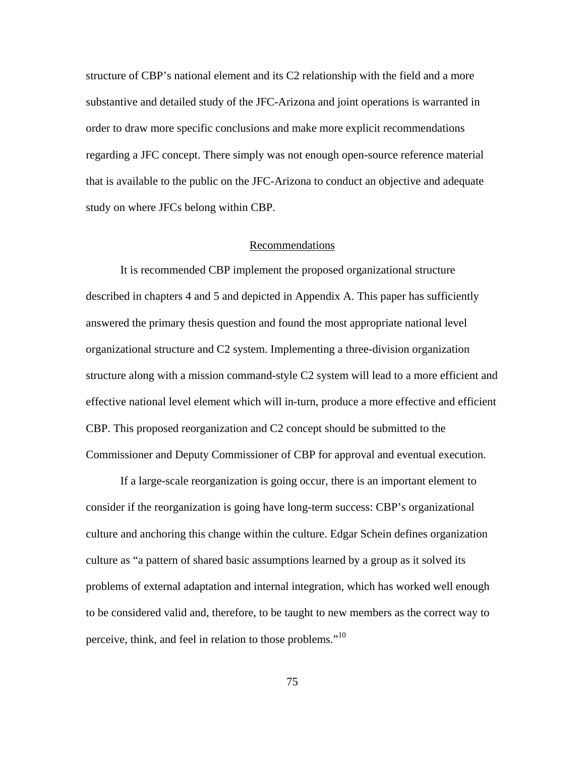structure of CBP's national element and its C2 relationship with the field and a more substantive and detailed study of the JFC-Arizona and joint operations is warranted in order to draw more specific conclusions and make more explicit recommendations regarding a JFC concept. There simply was not enough open-source reference material that is available to the public on the JFC-Arizona to conduct an objective and adequate study on where JFCs belong within CBP.

# Recommendations

It is recommended CBP implement the proposed organizational structure described in chapters 4 and 5 and depicted in Appendix A. This paper has sufficiently answered the primary thesis question and found the most appropriate national level organizational structure and C2 system. Implementing a three-division organization structure along with a mission command-style C2 system will lead to a more efficient and effective national level element which will in-turn, produce a more effective and efficient CBP. This proposed reorganization and C2 concept should be submitted to the Commissioner and Deputy Commissioner of CBP for approval and eventual execution.

If a large-scale reorganization is going occur, there is an important element to consider if the reorganization is going have long-term success: CBP's organizational culture and anchoring this change within the culture. Edgar Schein defines organization culture as "a pattern of shared basic assumptions learned by a group as it solved its problems of external adaptation and internal integration, which has worked well enough to be considered valid and, therefore, to be taught to new members as the correct way to perceive, think, and feel in relation to those problems."<sup>10</sup>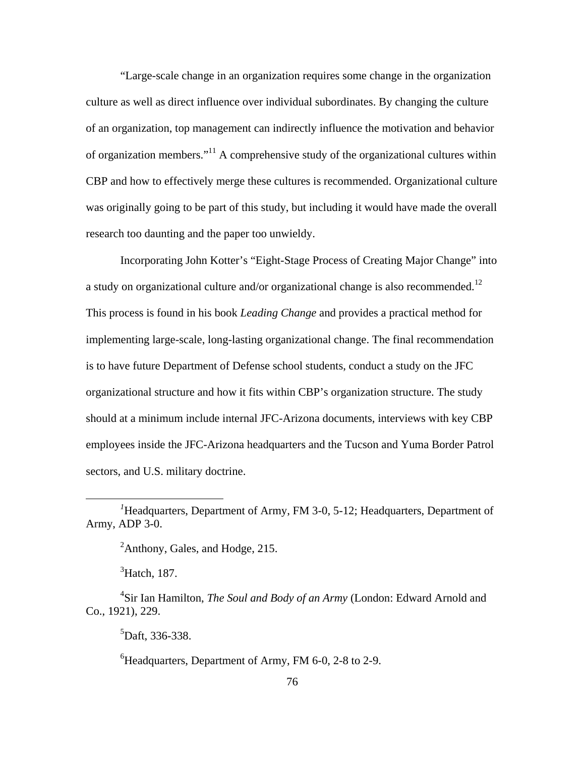"Large-scale change in an organization requires some change in the organization culture as well as direct influence over individual subordinates. By changing the culture of an organization, top management can indirectly influence the motivation and behavior of organization members."11 A comprehensive study of the organizational cultures within CBP and how to effectively merge these cultures is recommended. Organizational culture was originally going to be part of this study, but including it would have made the overall research too daunting and the paper too unwieldy.

Incorporating John Kotter's "Eight-Stage Process of Creating Major Change" into a study on organizational culture and/or organizational change is also recommended.<sup>12</sup> This process is found in his book *Leading Change* and provides a practical method for implementing large-scale, long-lasting organizational change. The final recommendation is to have future Department of Defense school students, conduct a study on the JFC organizational structure and how it fits within CBP's organization structure. The study should at a minimum include internal JFC-Arizona documents, interviews with key CBP employees inside the JFC-Arizona headquarters and the Tucson and Yuma Border Patrol sectors, and U.S. military doctrine.

<sup>2</sup>Anthony, Gales, and Hodge, 215.

 ${}^{3}$ Hatch, 187.

 $\overline{a}$ 

5 Daft, 336-338.

 ${}^{6}$ Headquarters, Department of Army, FM 6-0, 2-8 to 2-9.

<sup>&</sup>lt;sup>1</sup>Headquarters, Department of Army, FM 3-0, 5-12; Headquarters, Department of Army, ADP 3-0.

<sup>4</sup> Sir Ian Hamilton, *The Soul and Body of an Army* (London: Edward Arnold and Co., 1921), 229.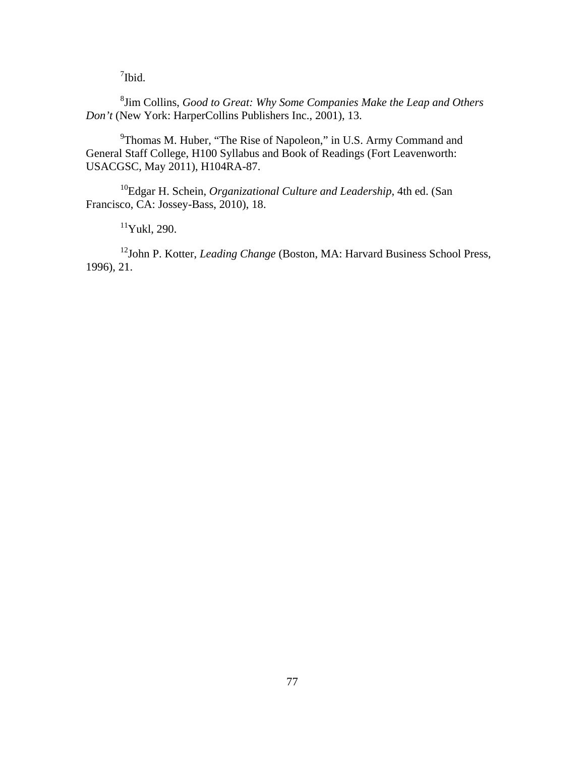<sup>7</sup>Ibid.

8 Jim Collins, *Good to Great: Why Some Companies Make the Leap and Others Don't* (New York: HarperCollins Publishers Inc., 2001), 13.

<sup>9</sup>Thomas M. Huber, "The Rise of Napoleon," in U.S. Army Command and General Staff College, H100 Syllabus and Book of Readings (Fort Leavenworth: USACGSC, May 2011), H104RA-87.

10Edgar H. Schein, *Organizational Culture and Leadership*, 4th ed. (San Francisco, CA: Jossey-Bass, 2010), 18.

 $11$ Yukl, 290.

<sup>12</sup>John P. Kotter, *Leading Change* (Boston, MA: Harvard Business School Press, 1996), 21.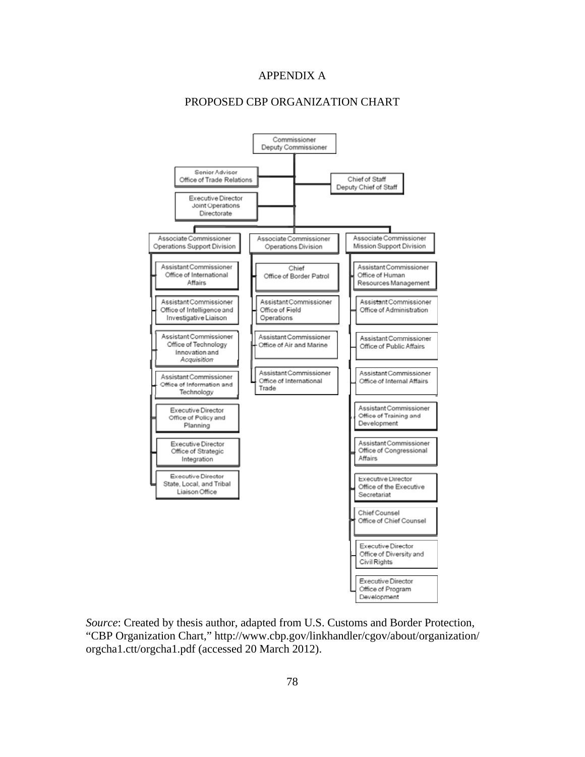## APPENDIX A

# PROPOSED CBP ORGANIZATION CHART



*Source*: Created by thesis author, adapted from U.S. Customs and Border Protection, "CBP Organization Chart," http://www.cbp.gov/linkhandler/cgov/about/organization/ orgcha1.ctt/orgcha1.pdf (accessed 20 March 2012).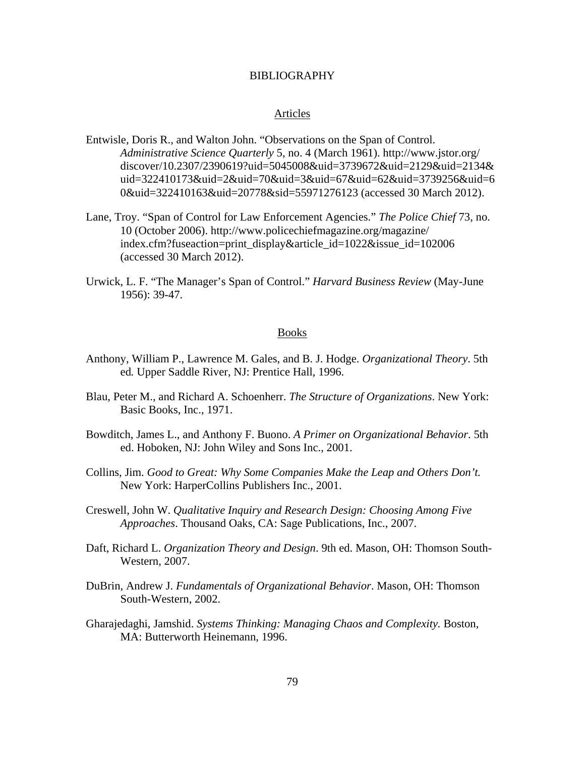#### BIBLIOGRAPHY

#### Articles

- Entwisle, Doris R., and Walton John. "Observations on the Span of Control. *Administrative Science Quarterly* 5, no. 4 (March 1961). http://www.jstor.org/ discover/10.2307/2390619?uid=5045008&uid=3739672&uid=2129&uid=2134& uid=322410173&uid=2&uid=70&uid=3&uid=67&uid=62&uid=3739256&uid=6 0&uid=322410163&uid=20778&sid=55971276123 (accessed 30 March 2012).
- Lane, Troy. "Span of Control for Law Enforcement Agencies." *The Police Chief* 73, no. 10 (October 2006). http://www.policechiefmagazine.org/magazine/ index.cfm?fuseaction=print\_display&article\_id=1022&issue\_id=102006 (accessed 30 March 2012).
- Urwick, L. F. "The Manager's Span of Control." *Harvard Business Review* (May-June 1956): 39-47.

#### Books

- Anthony, William P., Lawrence M. Gales, and B. J. Hodge. *Organizational Theory*. 5th ed*.* Upper Saddle River, NJ: Prentice Hall, 1996.
- Blau, Peter M., and Richard A. Schoenherr. *The Structure of Organizations*. New York: Basic Books, Inc., 1971.
- Bowditch, James L., and Anthony F. Buono. *A Primer on Organizational Behavior*. 5th ed. Hoboken, NJ: John Wiley and Sons Inc., 2001.
- Collins, Jim. *Good to Great: Why Some Companies Make the Leap and Others Don't.*  New York: HarperCollins Publishers Inc., 2001.
- Creswell, John W. *Qualitative Inquiry and Research Design: Choosing Among Five Approaches*. Thousand Oaks, CA: Sage Publications, Inc., 2007.
- Daft, Richard L. *Organization Theory and Design*. 9th ed. Mason, OH: Thomson South-Western, 2007.
- DuBrin, Andrew J. *Fundamentals of Organizational Behavior*. Mason, OH: Thomson South-Western, 2002.
- Gharajedaghi, Jamshid. *Systems Thinking: Managing Chaos and Complexity.* Boston, MA: Butterworth Heinemann, 1996.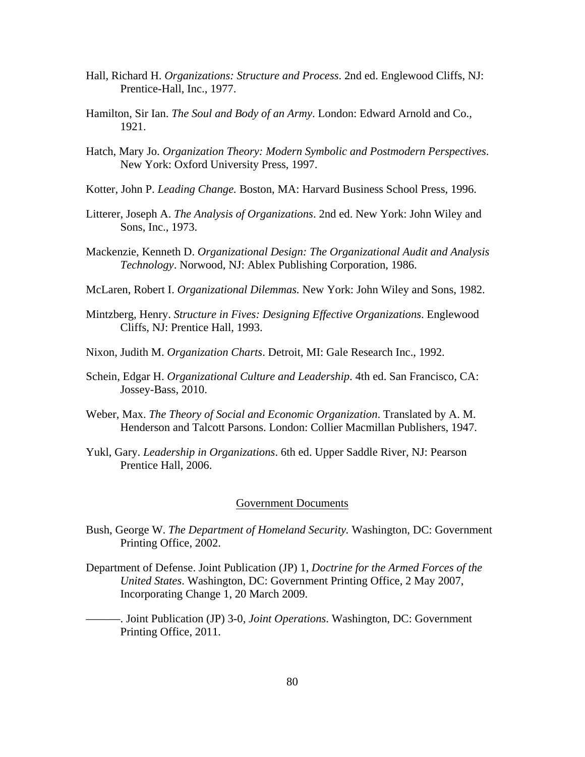- Hall, Richard H. *Organizations: Structure and Process*. 2nd ed. Englewood Cliffs, NJ: Prentice-Hall, Inc., 1977.
- Hamilton, Sir Ian. *The Soul and Body of an Army*. London: Edward Arnold and Co., 1921.
- Hatch, Mary Jo. *Organization Theory: Modern Symbolic and Postmodern Perspectives*. New York: Oxford University Press, 1997.
- Kotter, John P. *Leading Change.* Boston, MA: Harvard Business School Press, 1996.
- Litterer, Joseph A. *The Analysis of Organizations*. 2nd ed. New York: John Wiley and Sons, Inc., 1973.
- Mackenzie, Kenneth D. *Organizational Design: The Organizational Audit and Analysis Technology*. Norwood, NJ: Ablex Publishing Corporation, 1986.
- McLaren, Robert I. *Organizational Dilemmas.* New York: John Wiley and Sons, 1982.
- Mintzberg, Henry. *Structure in Fives: Designing Effective Organizations*. Englewood Cliffs, NJ: Prentice Hall, 1993.
- Nixon, Judith M. *Organization Charts*. Detroit, MI: Gale Research Inc., 1992.
- Schein, Edgar H. *Organizational Culture and Leadership*. 4th ed. San Francisco, CA: Jossey-Bass, 2010.
- Weber, Max. *The Theory of Social and Economic Organization*. Translated by A. M. Henderson and Talcott Parsons. London: Collier Macmillan Publishers, 1947.
- Yukl, Gary. *Leadership in Organizations*. 6th ed. Upper Saddle River, NJ: Pearson Prentice Hall, 2006.

## Government Documents

- Bush, George W. *The Department of Homeland Security.* Washington, DC: Government Printing Office, 2002.
- Department of Defense. Joint Publication (JP) 1, *Doctrine for the Armed Forces of the United States*. Washington, DC: Government Printing Office, 2 May 2007, Incorporating Change 1, 20 March 2009.
- ———. Joint Publication (JP) 3-0, *Joint Operations*. Washington, DC: Government Printing Office, 2011.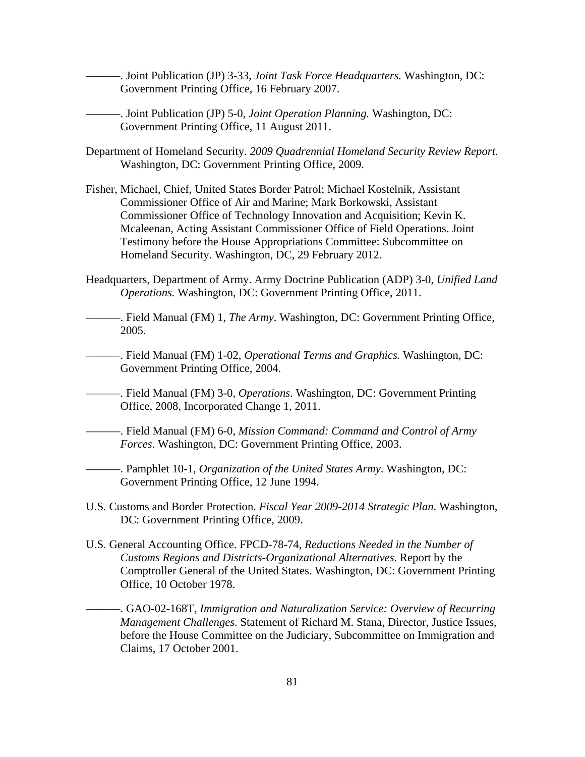———. Joint Publication (JP) 3-33, *Joint Task Force Headquarters.* Washington, DC: Government Printing Office, 16 February 2007.

———. Joint Publication (JP) 5-0, *Joint Operation Planning.* Washington, DC: Government Printing Office, 11 August 2011.

- Department of Homeland Security. *2009 Quadrennial Homeland Security Review Report*. Washington, DC: Government Printing Office, 2009.
- Fisher, Michael, Chief, United States Border Patrol; Michael Kostelnik, Assistant Commissioner Office of Air and Marine; Mark Borkowski, Assistant Commissioner Office of Technology Innovation and Acquisition; Kevin K. Mcaleenan, Acting Assistant Commissioner Office of Field Operations. Joint Testimony before the House Appropriations Committee: Subcommittee on Homeland Security. Washington, DC, 29 February 2012.
- Headquarters, Department of Army. Army Doctrine Publication (ADP) 3-0, *Unified Land Operations.* Washington, DC: Government Printing Office, 2011.
- ———. Field Manual (FM) 1, *The Army*. Washington, DC: Government Printing Office, 2005.
- ———. Field Manual (FM) 1-02, *Operational Terms and Graphics.* Washington, DC: Government Printing Office, 2004.
- ———. Field Manual (FM) 3-0, *Operations*. Washington, DC: Government Printing Office, 2008, Incorporated Change 1, 2011.
- ———. Field Manual (FM) 6-0, *Mission Command: Command and Control of Army Forces*. Washington, DC: Government Printing Office, 2003.
- ———. Pamphlet 10-1, *Organization of the United States Army*. Washington, DC: Government Printing Office, 12 June 1994.
- U.S. Customs and Border Protection. *Fiscal Year 2009-2014 Strategic Plan*. Washington, DC: Government Printing Office, 2009.
- U.S. General Accounting Office. FPCD-78-74, *Reductions Needed in the Number of Customs Regions and Districts-Organizational Alternatives*. Report by the Comptroller General of the United States. Washington, DC: Government Printing Office, 10 October 1978.
	- ———. GAO-02-168T, *Immigration and Naturalization Service: Overview of Recurring Management Challenges*. Statement of Richard M. Stana, Director, Justice Issues, before the House Committee on the Judiciary, Subcommittee on Immigration and Claims, 17 October 2001.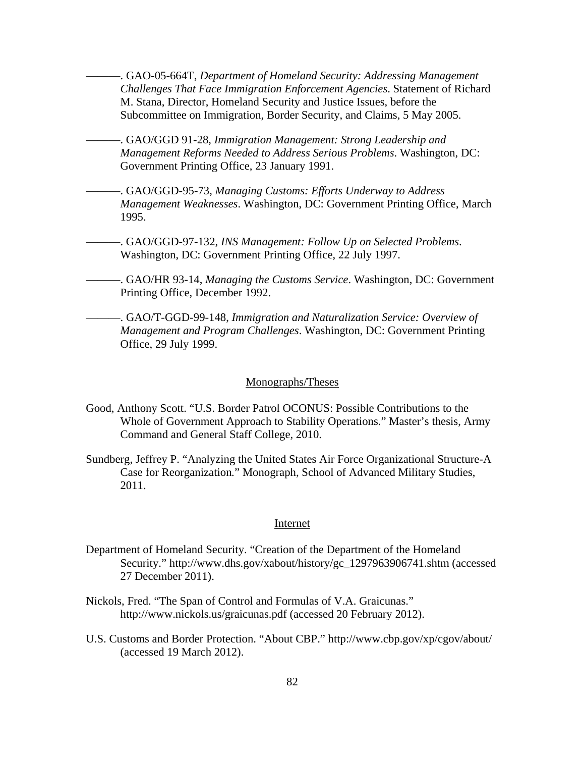———. GAO-05-664T, *Department of Homeland Security: Addressing Management Challenges That Face Immigration Enforcement Agencies*. Statement of Richard M. Stana, Director, Homeland Security and Justice Issues, before the Subcommittee on Immigration, Border Security, and Claims, 5 May 2005.

———. GAO/GGD 91-28, *Immigration Management: Strong Leadership and Management Reforms Needed to Address Serious Problems*. Washington, DC: Government Printing Office, 23 January 1991.

———. GAO/GGD-95-73, *Managing Customs: Efforts Underway to Address Management Weaknesses*. Washington, DC: Government Printing Office, March 1995.

———. GAO/GGD-97-132, *INS Management: Follow Up on Selected Problems*. Washington, DC: Government Printing Office, 22 July 1997.

———. GAO/HR 93-14, *Managing the Customs Service*. Washington, DC: Government Printing Office, December 1992.

———. GAO/T-GGD-99-148, *Immigration and Naturalization Service: Overview of Management and Program Challenges*. Washington, DC: Government Printing Office, 29 July 1999.

## Monographs/Theses

- Good, Anthony Scott. "U.S. Border Patrol OCONUS: Possible Contributions to the Whole of Government Approach to Stability Operations." Master's thesis, Army Command and General Staff College, 2010.
- Sundberg, Jeffrey P. "Analyzing the United States Air Force Organizational Structure-A Case for Reorganization*.*" Monograph, School of Advanced Military Studies, 2011.

#### Internet

- Department of Homeland Security. "Creation of the Department of the Homeland Security." http://www.dhs.gov/xabout/history/gc\_1297963906741.shtm (accessed 27 December 2011).
- Nickols, Fred. "The Span of Control and Formulas of V.A. Graicunas." http://www.nickols.us/graicunas.pdf (accessed 20 February 2012).
- U.S. Customs and Border Protection. "About CBP." http://www.cbp.gov/xp/cgov/about/ (accessed 19 March 2012).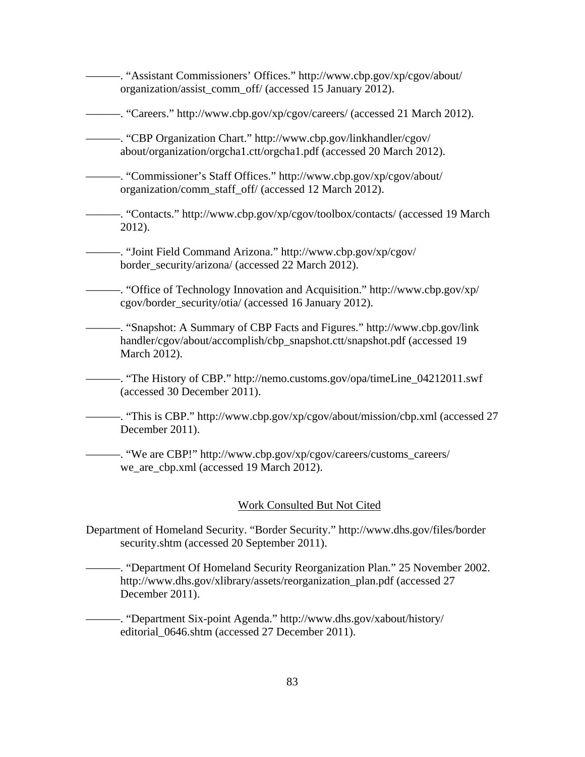———. "Assistant Commissioners' Offices." http://www.cbp.gov/xp/cgov/about/ organization/assist\_comm\_off/ (accessed 15 January 2012).

———. "Careers." http://www.cbp.gov/xp/cgov/careers/ (accessed 21 March 2012).

———. "CBP Organization Chart." http://www.cbp.gov/linkhandler/cgov/ about/organization/orgcha1.ctt/orgcha1.pdf (accessed 20 March 2012).

———. "Commissioner's Staff Offices." http://www.cbp.gov/xp/cgov/about/ organization/comm\_staff\_off/ (accessed 12 March 2012).

———. "Contacts." http://www.cbp.gov/xp/cgov/toolbox/contacts/ (accessed 19 March 2012).

———. "Joint Field Command Arizona." http://www.cbp.gov/xp/cgov/ border\_security/arizona/ (accessed 22 March 2012).

———. "Office of Technology Innovation and Acquisition." http://www.cbp.gov/xp/ cgov/border\_security/otia/ (accessed 16 January 2012).

———. "Snapshot: A Summary of CBP Facts and Figures." http://www.cbp.gov/link handler/cgov/about/accomplish/cbp\_snapshot.ctt/snapshot.pdf (accessed 19 March 2012).

———. "The History of CBP." http://nemo.customs.gov/opa/timeLine\_04212011.swf (accessed 30 December 2011).

——. "This is CBP." http://www.cbp.gov/xp/cgov/about/mission/cbp.xml (accessed 27 December 2011).

———. "We are CBP!" http://www.cbp.gov/xp/cgov/careers/customs\_careers/ we\_are\_cbp.xml (accessed 19 March 2012).

### Work Consulted But Not Cited

Department of Homeland Security. "Border Security." http://www.dhs.gov/files/border security.shtm (accessed 20 September 2011).

———. "Department Of Homeland Security Reorganization Plan." 25 November 2002. http://www.dhs.gov/xlibrary/assets/reorganization\_plan.pdf (accessed 27 December 2011).

———. "Department Six-point Agenda." http://www.dhs.gov/xabout/history/ editorial\_0646.shtm (accessed 27 December 2011).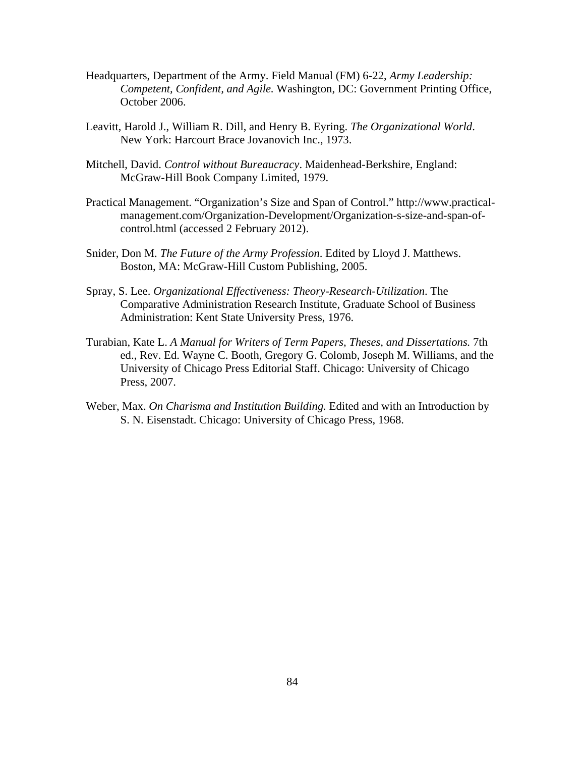- Headquarters, Department of the Army. Field Manual (FM) 6-22, *Army Leadership: Competent, Confident, and Agile.* Washington, DC: Government Printing Office, October 2006.
- Leavitt, Harold J., William R. Dill, and Henry B. Eyring. *The Organizational World*. New York: Harcourt Brace Jovanovich Inc., 1973.
- Mitchell, David. *Control without Bureaucracy*. Maidenhead-Berkshire, England: McGraw-Hill Book Company Limited, 1979.
- Practical Management. "Organization's Size and Span of Control." http://www.practicalmanagement.com/Organization-Development/Organization-s-size-and-span-ofcontrol.html (accessed 2 February 2012).
- Snider, Don M. *The Future of the Army Profession*. Edited by Lloyd J. Matthews. Boston, MA: McGraw-Hill Custom Publishing, 2005.
- Spray, S. Lee. *Organizational Effectiveness: Theory-Research-Utilization*. The Comparative Administration Research Institute, Graduate School of Business Administration: Kent State University Press, 1976.
- Turabian, Kate L. *A Manual for Writers of Term Papers, Theses, and Dissertations.* 7th ed., Rev. Ed. Wayne C. Booth, Gregory G. Colomb, Joseph M. Williams, and the University of Chicago Press Editorial Staff. Chicago: University of Chicago Press, 2007.
- Weber, Max. *On Charisma and Institution Building.* Edited and with an Introduction by S. N. Eisenstadt. Chicago: University of Chicago Press, 1968.